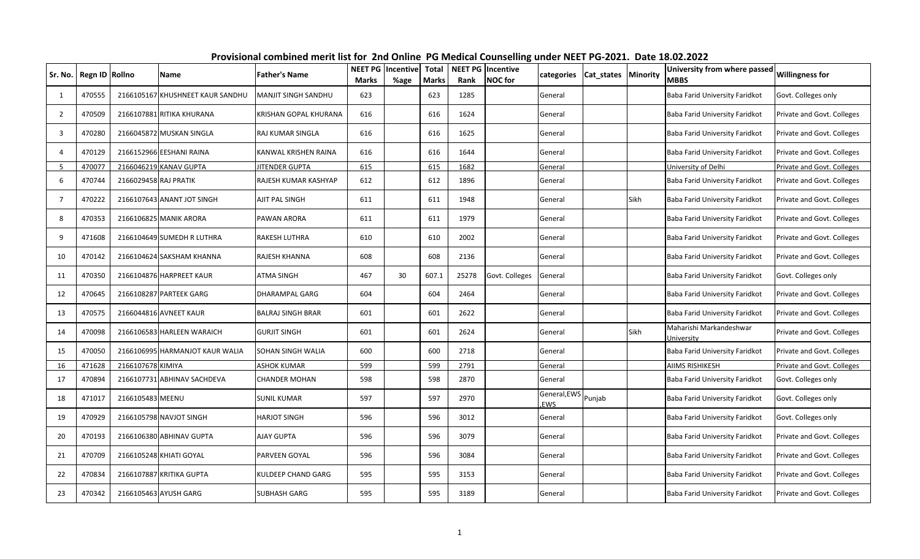| Sr. No.        | Regn ID Rollno |                       | Name                             | <b>Father's Name</b>     | <b>NEET PG</b><br><b>Marks</b> | <b>Incentive</b><br>%age | <b>Total</b><br><b>Marks</b> | <b>NEET PG Incentive</b><br>Rank | <b>NOC</b> for | categories          | Cat_states   Minority |      | University from where passed<br>MBBS  | <b>Willingness for</b>     |
|----------------|----------------|-----------------------|----------------------------------|--------------------------|--------------------------------|--------------------------|------------------------------|----------------------------------|----------------|---------------------|-----------------------|------|---------------------------------------|----------------------------|
| -1             | 470555         |                       | 2166105167 KHUSHNEET KAUR SANDHU | MANJIT SINGH SANDHU      | 623                            |                          | 623                          | 1285                             |                | General             |                       |      | Baba Farid University Faridkot        | Govt. Colleges only        |
| $\overline{2}$ | 470509         |                       | 2166107881 RITIKA KHURANA        | KRISHAN GOPAL KHURANA    | 616                            |                          | 616                          | 1624                             |                | General             |                       |      | Baba Farid University Faridkot        | Private and Govt. Colleges |
| -3             | 470280         |                       | 2166045872 MUSKAN SINGLA         | RAJ KUMAR SINGLA         | 616                            |                          | 616                          | 1625                             |                | General             |                       |      | Baba Farid University Faridkot        | Private and Govt. Colleges |
| $\overline{4}$ | 470129         |                       | 2166152966 EESHANI RAINA         | KANWAL KRISHEN RAINA     | 616                            |                          | 616                          | 1644                             |                | General             |                       |      | Baba Farid University Faridkot        | Private and Govt. Colleges |
| -5             | 470077         |                       | 2166046219 KANAV GUPTA           | JITENDER GUPTA           | 615                            |                          | 615                          | 1682                             |                | General             |                       |      | University of Delhi                   | Private and Govt. Colleges |
| 6              | 470744         | 2166029458 RAJ PRATIK |                                  | RAJESH KUMAR KASHYAP     | 612                            |                          | 612                          | 1896                             |                | General             |                       |      | Baba Farid University Faridkot        | Private and Govt. Colleges |
| 7              | 470222         |                       | 2166107643 ANANT JOT SINGH       | AJIT PAL SINGH           | 611                            |                          | 611                          | 1948                             |                | General             |                       | Sikh | Baba Farid University Faridkot        | Private and Govt. Colleges |
| 8              | 470353         |                       | 2166106825 MANIK ARORA           | PAWAN ARORA              | 611                            |                          | 611                          | 1979                             |                | General             |                       |      | Baba Farid University Faridkot        | Private and Govt. Colleges |
| q              | 471608         |                       | 2166104649 SUMEDH R LUTHRA       | RAKESH LUTHRA            | 610                            |                          | 610                          | 2002                             |                | General             |                       |      | Baba Farid University Faridkot        | Private and Govt. Colleges |
| 10             | 470142         |                       | 2166104624 SAKSHAM KHANNA        | RAJESH KHANNA            | 608                            |                          | 608                          | 2136                             |                | General             |                       |      | Baba Farid University Faridkot        | Private and Govt. Colleges |
| 11             | 470350         |                       | 2166104876 HARPREET KAUR         | ATMA SINGH               | 467                            | 30                       | 607.1                        | 25278                            | Govt. Colleges | General             |                       |      | Baba Farid University Faridkot        | Govt. Colleges only        |
| 12             | 470645         |                       | 2166108287 PARTEEK GARG          | DHARAMPAL GARG           | 604                            |                          | 604                          | 2464                             |                | General             |                       |      | Baba Farid University Faridkot        | Private and Govt. Colleges |
| 13             | 470575         |                       | 2166044816 AVNEET KAUR           | <b>BALRAJ SINGH BRAR</b> | 601                            |                          | 601                          | 2622                             |                | General             |                       |      | Baba Farid University Faridkot        | Private and Govt. Colleges |
| 14             | 470098         |                       | 2166106583 HARLEEN WARAICH       | <b>GURJIT SINGH</b>      | 601                            |                          | 601                          | 2624                             |                | General             |                       | Sikh | Maharishi Markandeshwar<br>Jniversity | Private and Govt. Colleges |
| 15             | 470050         |                       | 2166106995 HARMANJOT KAUR WALIA  | SOHAN SINGH WALIA        | 600                            |                          | 600                          | 2718                             |                | General             |                       |      | Baba Farid University Faridkot        | Private and Govt. Colleges |
| 16             | 471628         | 2166107678 KIMIYA     |                                  | <b>ASHOK KUMAR</b>       | 599                            |                          | 599                          | 2791                             |                | General             |                       |      | AIIMS RISHIKESH                       | Private and Govt. Colleges |
| 17             | 470894         |                       | 2166107731 ABHINAV SACHDEVA      | <b>CHANDER MOHAN</b>     | 598                            |                          | 598                          | 2870                             |                | General             |                       |      | Baba Farid University Faridkot        | Govt. Colleges only        |
| 18             | 471017         | 2166105483 MEENU      |                                  | <b>SUNIL KUMAR</b>       | 597                            |                          | 597                          | 2970                             |                | General, EWS<br>EWS | Punjab                |      | Baba Farid University Faridkot        | Govt. Colleges only        |
| 19             | 470929         |                       | 2166105798 NAVJOT SINGH          | HARJOT SINGH             | 596                            |                          | 596                          | 3012                             |                | General             |                       |      | Baba Farid University Faridkot        | Govt. Colleges only        |
| 20             | 470193         |                       | 2166106380 ABHINAV GUPTA         | AJAY GUPTA               | 596                            |                          | 596                          | 3079                             |                | General             |                       |      | Baba Farid University Faridkot        | Private and Govt. Colleges |
| 21             | 470709         |                       | 2166105248 KHIATI GOYAL          | PARVEEN GOYAL            | 596                            |                          | 596                          | 3084                             |                | General             |                       |      | Baba Farid University Faridkot        | Private and Govt. Colleges |
| 22             | 470834         |                       | 2166107887 KRITIKA GUPTA         | KULDEEP CHAND GARG       | 595                            |                          | 595                          | 3153                             |                | General             |                       |      | Baba Farid University Faridkot        | Private and Govt. Colleges |
| 23             | 470342         |                       | 2166105463 AYUSH GARG            | <b>SUBHASH GARG</b>      | 595                            |                          | 595                          | 3189                             |                | General             |                       |      | Baba Farid University Faridkot        | Private and Govt. Colleges |

**Provisional combined merit list for 2nd Online PG Medical Counselling under NEET PG-2021. Date 18.02.2022**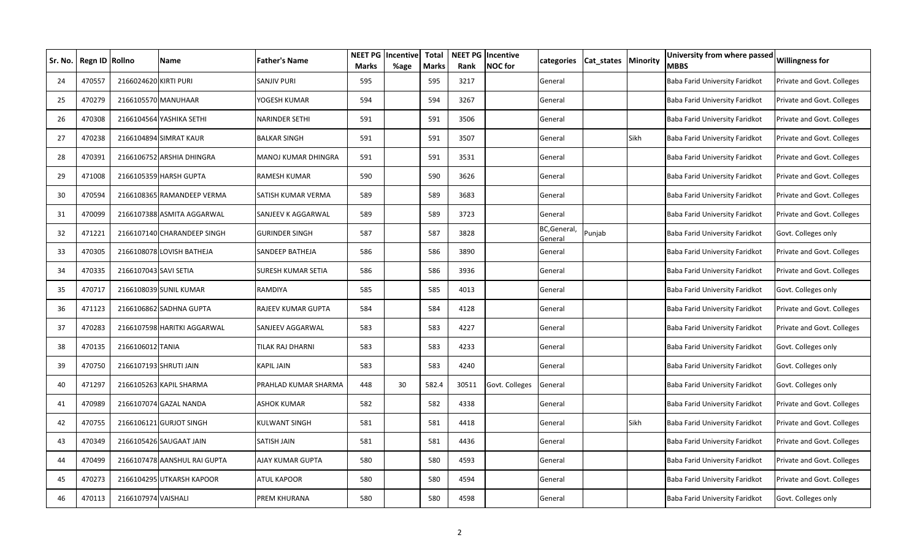| Sr. No. | Regn ID Rollno |                        | Name                         | <b>Father's Name</b> | <b>NEET PG</b><br><b>Marks</b> | Incentive<br>%age | <b>Total</b><br><b>Marks</b> | Rank  | <b>NEET PG Incentive</b><br><b>NOC</b> for | categories              | Cat_states Minority |      | University from where passed<br><b>MBBS</b> | <b>Willingness for</b>     |
|---------|----------------|------------------------|------------------------------|----------------------|--------------------------------|-------------------|------------------------------|-------|--------------------------------------------|-------------------------|---------------------|------|---------------------------------------------|----------------------------|
| 24      | 470557         | 2166024620 KIRTI PURI  |                              | SANJIV PURI          | 595                            |                   | 595                          | 3217  |                                            | General                 |                     |      | Baba Farid University Faridkot              | Private and Govt. Colleges |
| 25      | 470279         | 2166105570 MANUHAAR    |                              | YOGESH KUMAR         | 594                            |                   | 594                          | 3267  |                                            | General                 |                     |      | Baba Farid University Faridkot              | Private and Govt. Colleges |
| 26      | 470308         |                        | 2166104564 YASHIKA SETHI     | NARINDER SETHI       | 591                            |                   | 591                          | 3506  |                                            | General                 |                     |      | Baba Farid University Faridkot              | Private and Govt. Colleges |
| 27      | 470238         |                        | 2166104894 SIMRAT KAUR       | <b>BALKAR SINGH</b>  | 591                            |                   | 591                          | 3507  |                                            | General                 |                     | Sikh | Baba Farid University Faridkot              | Private and Govt. Colleges |
| 28      | 470391         |                        | 2166106752 ARSHIA DHINGRA    | MANOJ KUMAR DHINGRA  | 591                            |                   | 591                          | 3531  |                                            | General                 |                     |      | Baba Farid University Faridkot              | Private and Govt. Colleges |
| 29      | 471008         |                        | 2166105359 HARSH GUPTA       | RAMESH KUMAR         | 590                            |                   | 590                          | 3626  |                                            | General                 |                     |      | Baba Farid University Faridkot              | Private and Govt. Colleges |
| 30      | 470594         |                        | 2166108365 RAMANDEEP VERMA   | SATISH KUMAR VERMA   | 589                            |                   | 589                          | 3683  |                                            | General                 |                     |      | Baba Farid University Faridkot              | Private and Govt. Colleges |
| 31      | 470099         |                        | 2166107388 ASMITA AGGARWAL   | SANJEEV K AGGARWAL   | 589                            |                   | 589                          | 3723  |                                            | General                 |                     |      | Baba Farid University Faridkot              | Private and Govt. Colleges |
| 32      | 471221         |                        | 2166107140 CHARANDEEP SINGH  | GURINDER SINGH       | 587                            |                   | 587                          | 3828  |                                            | BC, General,<br>General | Punjab              |      | Baba Farid University Faridkot              | Govt. Colleges only        |
| 33      | 470305         |                        | 2166108078 LOVISH BATHEJA    | SANDEEP BATHEJA      | 586                            |                   | 586                          | 3890  |                                            | General                 |                     |      | Baba Farid University Faridkot              | Private and Govt. Colleges |
| 34      | 470335         | 2166107043 SAVI SETIA  |                              | SURESH KUMAR SETIA   | 586                            |                   | 586                          | 3936  |                                            | General                 |                     |      | Baba Farid University Faridkot              | Private and Govt. Colleges |
| 35      | 470717         |                        | 2166108039 SUNIL KUMAR       | RAMDIYA              | 585                            |                   | 585                          | 4013  |                                            | General                 |                     |      | Baba Farid University Faridkot              | Govt. Colleges only        |
| 36      | 471123         |                        | 2166106862 SADHNA GUPTA      | RAJEEV KUMAR GUPTA   | 584                            |                   | 584                          | 4128  |                                            | General                 |                     |      | Baba Farid University Faridkot              | Private and Govt. Colleges |
| 37      | 470283         |                        | 2166107598 HARITKI AGGARWAL  | SANJEEV AGGARWAL     | 583                            |                   | 583                          | 4227  |                                            | General                 |                     |      | Baba Farid University Faridkot              | Private and Govt. Colleges |
| 38      | 470135         | 2166106012 TANIA       |                              | TILAK RAJ DHARNI     | 583                            |                   | 583                          | 4233  |                                            | General                 |                     |      | Baba Farid University Faridkot              | Govt. Colleges only        |
| 39      | 470750         | 2166107193 SHRUTI JAIN |                              | <b>KAPIL JAIN</b>    | 583                            |                   | 583                          | 4240  |                                            | General                 |                     |      | Baba Farid University Faridkot              | Govt. Colleges only        |
| 40      | 471297         |                        | 2166105263 KAPIL SHARMA      | PRAHLAD KUMAR SHARMA | 448                            | 30                | 582.4                        | 30511 | Govt. Colleges                             | General                 |                     |      | Baba Farid University Faridkot              | Govt. Colleges only        |
| 41      | 470989         |                        | 2166107074 GAZAL NANDA       | ASHOK KUMAR          | 582                            |                   | 582                          | 4338  |                                            | General                 |                     |      | Baba Farid University Faridkot              | Private and Govt. Colleges |
| 42      | 470755         |                        | 2166106121 GURJOT SINGH      | KULWANT SINGH        | 581                            |                   | 581                          | 4418  |                                            | General                 |                     | Sikh | Baba Farid University Faridkot              | Private and Govt. Colleges |
| 43      | 470349         |                        | 2166105426 SAUGAAT JAIN      | SATISH JAIN          | 581                            |                   | 581                          | 4436  |                                            | General                 |                     |      | Baba Farid University Faridkot              | Private and Govt. Colleges |
| 44      | 470499         |                        | 2166107478 AANSHUL RAI GUPTA | AJAY KUMAR GUPTA     | 580                            |                   | 580                          | 4593  |                                            | General                 |                     |      | Baba Farid University Faridkot              | Private and Govt. Colleges |
| 45      | 470273         |                        | 2166104295 UTKARSH KAPOOR    | ATUL KAPOOR          | 580                            |                   | 580                          | 4594  |                                            | General                 |                     |      | Baba Farid University Faridkot              | Private and Govt. Colleges |
| 46      | 470113         | 2166107974 VAISHALI    |                              | PREM KHURANA         | 580                            |                   | 580                          | 4598  |                                            | General                 |                     |      | Baba Farid University Faridkot              | Govt. Colleges only        |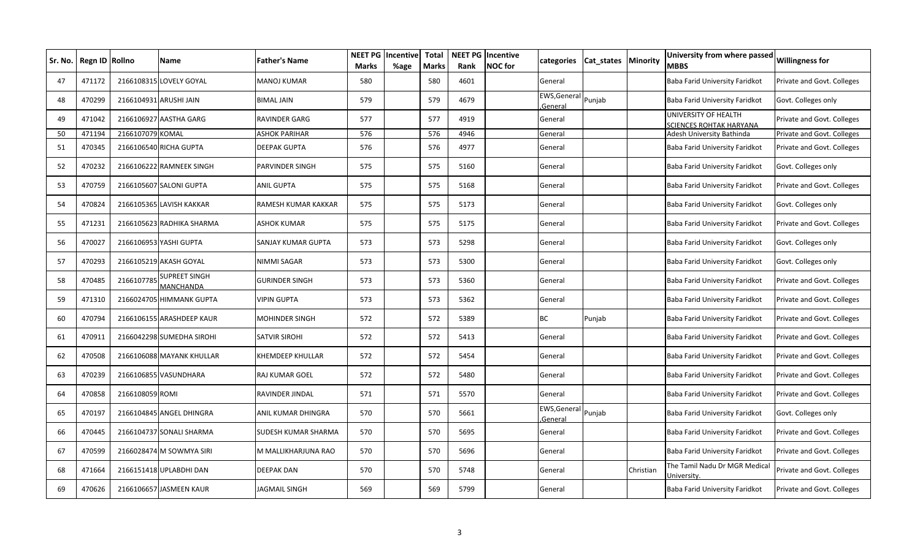| Sr. No. | Regn ID Rollno |                  | Name                       | <b>Father's Name</b>  | Marks | <b>NEET PG Incentive</b><br>%age | <b>Total</b><br><b>Marks</b> | Rank | <b>NEET PG</b> Incentive<br><b>NOC</b> for | categories              | Cat states | <b>Minority</b> | University from where passed<br><b>MBBS</b>     | <b>Willingness for</b>     |
|---------|----------------|------------------|----------------------------|-----------------------|-------|----------------------------------|------------------------------|------|--------------------------------------------|-------------------------|------------|-----------------|-------------------------------------------------|----------------------------|
| 47      | 471172         |                  | 2166108315 LOVELY GOYAL    | <b>MANOJ KUMAR</b>    | 580   |                                  | 580                          | 4601 |                                            | General                 |            |                 | Baba Farid University Faridkot                  | Private and Govt. Colleges |
| 48      | 470299         |                  | 2166104931 ARUSHI JAIN     | <b>BIMAL JAIN</b>     | 579   |                                  | 579                          | 4679 |                                            | EWS, Genera<br>General  | Punjab     |                 | Baba Farid University Faridkot                  | Govt. Colleges only        |
| 49      | 471042         |                  | 2166106927 AASTHA GARG     | RAVINDER GARG         | 577   |                                  | 577                          | 4919 |                                            | General                 |            |                 | UNIVERSITY OF HEALTH<br>SCIENCES ROHTAK HARYANA | Private and Govt. Colleges |
| 50      | 471194         | 2166107079 KOMAL |                            | <b>ASHOK PARIHAR</b>  | 576   |                                  | 576                          | 4946 |                                            | General                 |            |                 | Adesh University Bathinda                       | Private and Govt. Colleges |
| 51      | 470345         |                  | 2166106540 RICHA GUPTA     | <b>DEEPAK GUPTA</b>   | 576   |                                  | 576                          | 4977 |                                            | General                 |            |                 | Baba Farid University Faridkot                  | Private and Govt. Colleges |
| 52      | 470232         |                  | 2166106222 RAMNEEK SINGH   | PARVINDER SINGH       | 575   |                                  | 575                          | 5160 |                                            | General                 |            |                 | Baba Farid University Faridkot                  | Govt. Colleges only        |
| 53      | 470759         |                  | 2166105607 SALONI GUPTA    | ANIL GUPTA            | 575   |                                  | 575                          | 5168 |                                            | General                 |            |                 | Baba Farid University Faridkot                  | Private and Govt. Colleges |
| 54      | 470824         |                  | 2166105365 LAVISH KAKKAR   | RAMESH KUMAR KAKKAR   | 575   |                                  | 575                          | 5173 |                                            | General                 |            |                 | Baba Farid University Faridkot                  | Govt. Colleges only        |
| 55      | 471231         |                  | 2166105623 RADHIKA SHARMA  | ASHOK KUMAR           | 575   |                                  | 575                          | 5175 |                                            | General                 |            |                 | Baba Farid University Faridkot                  | Private and Govt. Colleges |
| 56      | 470027         |                  | 2166106953 YASHI GUPTA     | SANJAY KUMAR GUPTA    | 573   |                                  | 573                          | 5298 |                                            | General                 |            |                 | Baba Farid University Faridkot                  | Govt. Colleges only        |
| 57      | 470293         |                  | 2166105219 AKASH GOYAL     | NIMMI SAGAR           | 573   |                                  | 573                          | 5300 |                                            | General                 |            |                 | Baba Farid University Faridkot                  | Govt. Colleges only        |
| 58      | 470485         | 216610778        | SUPREET SINGH<br>MANCHANDA | <b>GURINDER SINGH</b> | 573   |                                  | 573                          | 5360 |                                            | General                 |            |                 | Baba Farid University Faridkot                  | Private and Govt. Colleges |
| 59      | 471310         |                  | 2166024705 HIMMANK GUPTA   | <b>VIPIN GUPTA</b>    | 573   |                                  | 573                          | 5362 |                                            | General                 |            |                 | Baba Farid University Faridkot                  | Private and Govt. Colleges |
| 60      | 470794         |                  | 2166106155 ARASHDEEP KAUR  | MOHINDER SINGH        | 572   |                                  | 572                          | 5389 |                                            | BC                      | Punjab     |                 | Baba Farid University Faridkot                  | Private and Govt. Colleges |
| 61      | 470911         |                  | 2166042298 SUMEDHA SIROHI  | <b>SATVIR SIROHI</b>  | 572   |                                  | 572                          | 5413 |                                            | General                 |            |                 | Baba Farid University Faridkot                  | Private and Govt. Colleges |
| 62      | 470508         |                  | 2166106088 MAYANK KHULLAR  | KHEMDEEP KHULLAR      | 572   |                                  | 572                          | 5454 |                                            | General                 |            |                 | Baba Farid University Faridkot                  | Private and Govt. Colleges |
| 63      | 470239         |                  | 2166106855 VASUNDHARA      | RAJ KUMAR GOEL        | 572   |                                  | 572                          | 5480 |                                            | General                 |            |                 | Baba Farid University Faridkot                  | Private and Govt. Colleges |
| 64      | 470858         | 2166108059 ROMI  |                            | RAVINDER JINDAL       | 571   |                                  | 571                          | 5570 |                                            | General                 |            |                 | Baba Farid University Faridkot                  | Private and Govt. Colleges |
| 65      | 470197         |                  | 2166104845 ANGEL DHINGRA   | ANIL KUMAR DHINGRA    | 570   |                                  | 570                          | 5661 |                                            | EWS, General<br>General | Punjab     |                 | Baba Farid University Faridkot                  | Govt. Colleges only        |
| 66      | 470445         |                  | 2166104737 SONALI SHARMA   | SUDESH KUMAR SHARMA   | 570   |                                  | 570                          | 5695 |                                            | General                 |            |                 | Baba Farid University Faridkot                  | Private and Govt. Colleges |
| 67      | 470599         |                  | 2166028474 M SOWMYA SIRI   | M MALLIKHARJUNA RAO   | 570   |                                  | 570                          | 5696 |                                            | General                 |            |                 | Baba Farid University Faridkot                  | Private and Govt. Colleges |
| 68      | 471664         |                  | 2166151418 UPLABDHI DAN    | <b>DEEPAK DAN</b>     | 570   |                                  | 570                          | 5748 |                                            | General                 |            | Christian       | The Tamil Nadu Dr MGR Medical<br>Universitv.    | Private and Govt. Colleges |
| 69      | 470626         |                  | 2166106657 JASMEEN KAUR    | IAGMAIL SINGH         | 569   |                                  | 569                          | 5799 |                                            | General                 |            |                 | Baba Farid University Faridkot                  | Private and Govt. Colleges |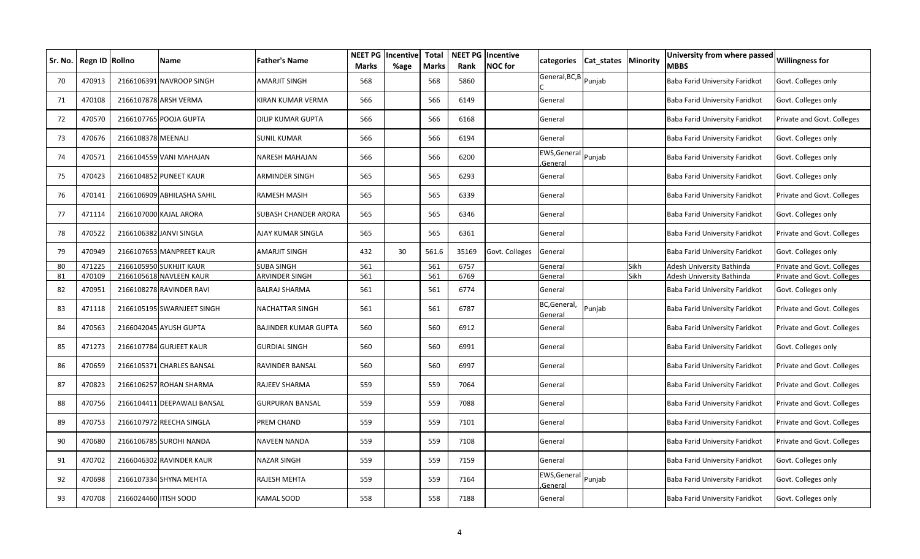| Sr. No. | Regn ID Rollno |                       | Name                        | <b>Father's Name</b>        | <b>NEET PG</b><br><b>Marks</b> | Incentive<br>%age | <b>Total</b><br><b>Marks</b> | Rank  | <b>NEET PG Incentive</b><br><b>NOC</b> for | categories                     | Cat_states Minority |      | University from where passed<br>MBBS | <b>Willingness for</b>     |
|---------|----------------|-----------------------|-----------------------------|-----------------------------|--------------------------------|-------------------|------------------------------|-------|--------------------------------------------|--------------------------------|---------------------|------|--------------------------------------|----------------------------|
| 70      | 470913         |                       | 2166106391 NAVROOP SINGH    | AMARJIT SINGH               | 568                            |                   | 568                          | 5860  |                                            | General, BC, B Punjab          |                     |      | Baba Farid University Faridkot       | Govt. Colleges only        |
| 71      | 470108         |                       | 2166107878 ARSH VERMA       | KIRAN KUMAR VERMA           | 566                            |                   | 566                          | 6149  |                                            | General                        |                     |      | Baba Farid University Faridkot       | Govt. Colleges only        |
| 72      | 470570         |                       | 2166107765 POOJA GUPTA      | <b>DILIP KUMAR GUPTA</b>    | 566                            |                   | 566                          | 6168  |                                            | General                        |                     |      | Baba Farid University Faridkot       | Private and Govt. Colleges |
| 73      | 470676         | 2166108378 MEENALI    |                             | <b>SUNIL KUMAR</b>          | 566                            |                   | 566                          | 6194  |                                            | General                        |                     |      | Baba Farid University Faridkot       | Govt. Colleges only        |
| 74      | 470571         |                       | 2166104559 VANI MAHAJAN     | <b>NARESH MAHAJAN</b>       | 566                            |                   | 566                          | 6200  |                                            | EWS, General Punjab<br>General |                     |      | Baba Farid University Faridkot       | Govt. Colleges only        |
| 75      | 470423         |                       | 2166104852 PUNEET KAUR      | ARMINDER SINGH              | 565                            |                   | 565                          | 6293  |                                            | General                        |                     |      | Baba Farid University Faridkot       | Govt. Colleges only        |
| 76      | 470141         |                       | 2166106909 ABHILASHA SAHIL  | RAMESH MASIH                | 565                            |                   | 565                          | 6339  |                                            | General                        |                     |      | Baba Farid University Faridkot       | Private and Govt. Colleges |
| 77      | 471114         |                       | 2166107000 KAJAL ARORA      | SUBASH CHANDER ARORA        | 565                            |                   | 565                          | 6346  |                                            | General                        |                     |      | Baba Farid University Faridkot       | Govt. Colleges only        |
| 78      | 470522         |                       | 2166106382 JANVI SINGLA     | AJAY KUMAR SINGLA           | 565                            |                   | 565                          | 6361  |                                            | General                        |                     |      | Baba Farid University Faridkot       | Private and Govt. Colleges |
| 79      | 470949         |                       | 2166107653 MANPREET KAUR    | AMARJIT SINGH               | 432                            | 30                | 561.6                        | 35169 | Govt. Colleges                             | General                        |                     |      | Baba Farid University Faridkot       | Govt. Colleges only        |
| 80      | 471225         |                       | 2166105950 SUKHJIT KAUR     | <b>SUBA SINGH</b>           | 561                            |                   | 561                          | 6757  |                                            | General                        |                     | Sikh | Adesh University Bathinda            | Private and Govt. Colleges |
| 81      | 470109         |                       | 2166105618 NAVLEEN KAUR     | ARVINDER SINGH              | 561                            |                   | 561                          | 6769  |                                            | General                        |                     | Sikh | Adesh University Bathinda            | Private and Govt. Colleges |
| 82      | 470951         |                       | 2166108278 RAVINDER RAVI    | BALRAJ SHARMA               | 561                            |                   | 561                          | 6774  |                                            | General                        |                     |      | Baba Farid University Faridkot       | Govt. Colleges only        |
| 83      | 471118         |                       | 2166105195 SWARNJEET SINGH  | <b>NACHATTAR SINGH</b>      | 561                            |                   | 561                          | 6787  |                                            | BC, General,<br>Genera         | Punjab              |      | Baba Farid University Faridkot       | Private and Govt. Colleges |
| 84      | 470563         |                       | 2166042045 AYUSH GUPTA      | <b>BAJINDER KUMAR GUPTA</b> | 560                            |                   | 560                          | 6912  |                                            | General                        |                     |      | Baba Farid University Faridkot       | Private and Govt. Colleges |
| 85      | 471273         | 2166107784            | <b>GURJEET KAUR</b>         | <b>GURDIAL SINGH</b>        | 560                            |                   | 560                          | 6991  |                                            | General                        |                     |      | Baba Farid University Faridkot       | Govt. Colleges only        |
| 86      | 470659         |                       | 2166105371 CHARLES BANSAL   | RAVINDER BANSAL             | 560                            |                   | 560                          | 6997  |                                            | General                        |                     |      | Baba Farid University Faridkot       | Private and Govt. Colleges |
| 87      | 470823         |                       | 2166106257 ROHAN SHARMA     | RAJEEV SHARMA               | 559                            |                   | 559                          | 7064  |                                            | General                        |                     |      | Baba Farid University Faridkot       | Private and Govt. Colleges |
| 88      | 470756         |                       | 2166104411 DEEPAWALI BANSAL | GURPURAN BANSAL             | 559                            |                   | 559                          | 7088  |                                            | General                        |                     |      | Baba Farid University Faridkot       | Private and Govt. Colleges |
| 89      | 470753         |                       | 2166107972 REECHA SINGLA    | PREM CHAND                  | 559                            |                   | 559                          | 7101  |                                            | General                        |                     |      | Baba Farid University Faridkot       | Private and Govt. Colleges |
| 90      | 470680         |                       | 2166106785 SUROHI NANDA     | <b>NAVEEN NANDA</b>         | 559                            |                   | 559                          | 7108  |                                            | General                        |                     |      | Baba Farid University Faridkot       | Private and Govt. Colleges |
| 91      | 470702         |                       | 2166046302 RAVINDER KAUR    | NAZAR SINGH                 | 559                            |                   | 559                          | 7159  |                                            | General                        |                     |      | Baba Farid University Faridkot       | Govt. Colleges only        |
| 92      | 470698         |                       | 2166107334 SHYNA MEHTA      | RAJESH MEHTA                | 559                            |                   | 559                          | 7164  |                                            | EWS, General<br>General        | Punjab              |      | Baba Farid University Faridkot       | Govt. Colleges only        |
| 93      | 470708         | 2166024460 ITISH SOOD |                             | KAMAL SOOD                  | 558                            |                   | 558                          | 7188  |                                            | General                        |                     |      | Baba Farid University Faridkot       | Govt. Colleges only        |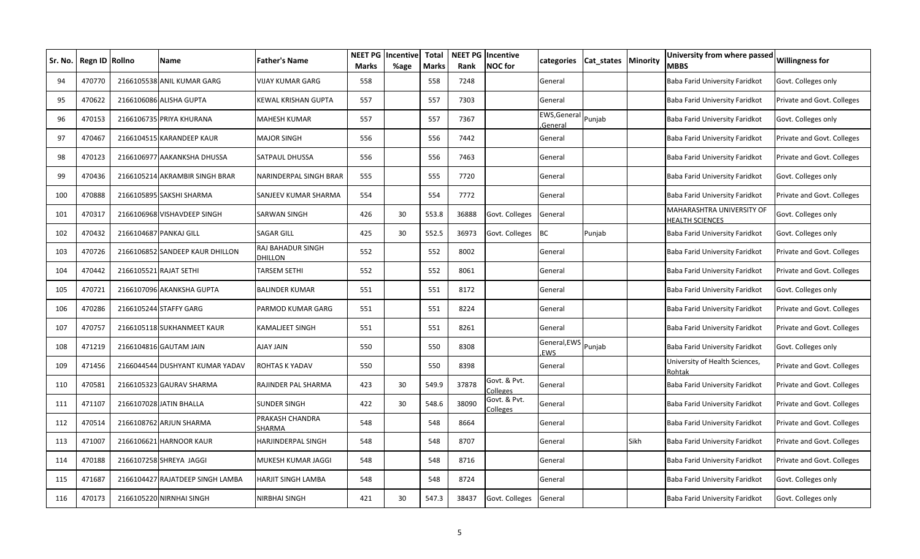|     | Sr. No.   Regn ID   Rollno | <b>Name</b>                      | Father's Name                   | <b>NEET PG</b><br>Marks | Incentive<br>%age | <b>Total</b><br><b>Marks</b> | Rank  | <b>NEET PG Incentive</b><br><b>NOC</b> for | categories                     | Cat_states   Minority |      | University from where passed<br>MBBS                | <b>Willingness for</b>     |
|-----|----------------------------|----------------------------------|---------------------------------|-------------------------|-------------------|------------------------------|-------|--------------------------------------------|--------------------------------|-----------------------|------|-----------------------------------------------------|----------------------------|
| 94  | 470770                     | 2166105538 ANIL KUMAR GARG       | VIJAY KUMAR GARG                | 558                     |                   | 558                          | 7248  |                                            | General                        |                       |      | Baba Farid University Faridkot                      | Govt. Colleges only        |
| 95  | 470622                     | 2166106086 ALISHA GUPTA          | KEWAL KRISHAN GUPTA             | 557                     |                   | 557                          | 7303  |                                            | General                        |                       |      | Baba Farid University Faridkot                      | Private and Govt. Colleges |
| 96  | 470153                     | 2166106735 PRIYA KHURANA         | MAHESH KUMAR                    | 557                     |                   | 557                          | 7367  |                                            | EWS, General Punjab<br>General |                       |      | Baba Farid University Faridkot                      | Govt. Colleges only        |
| 97  | 470467                     | 2166104515 KARANDEEP KAUR        | <b>MAJOR SINGH</b>              | 556                     |                   | 556                          | 7442  |                                            | General                        |                       |      | Baba Farid University Faridkot                      | Private and Govt. Colleges |
| 98  | 470123                     | 2166106977 AAKANKSHA DHUSSA      | SATPAUL DHUSSA                  | 556                     |                   | 556                          | 7463  |                                            | General                        |                       |      | Baba Farid University Faridkot                      | Private and Govt. Colleges |
| 99  | 470436                     | 2166105214 AKRAMBIR SINGH BRAR   | NARINDERPAL SINGH BRAR          | 555                     |                   | 555                          | 7720  |                                            | General                        |                       |      | Baba Farid University Faridkot                      | Govt. Colleges only        |
| 100 | 470888                     | 2166105895 SAKSHI SHARMA         | SANJEEV KUMAR SHARMA            | 554                     |                   | 554                          | 7772  |                                            | General                        |                       |      | Baba Farid University Faridkot                      | Private and Govt. Colleges |
| 101 | 470317                     | 2166106968 VISHAVDEEP SINGH      | SARWAN SINGH                    | 426                     | 30                | 553.8                        | 36888 | Govt. Colleges                             | General                        |                       |      | MAHARASHTRA UNIVERSITY OF<br><b>IEALTH SCIENCES</b> | Govt. Colleges only        |
| 102 | 470432                     | 2166104687 PANKAJ GILL           | SAGAR GILL                      | 425                     | 30                | 552.5                        | 36973 | Govt. Colleges                             | <b>BC</b>                      | Punjab                |      | Baba Farid University Faridkot                      | Govt. Colleges only        |
| 103 | 470726                     | 2166106852 SANDEEP KAUR DHILLON  | RAJ BAHADUR SINGH<br>DHILLON    | 552                     |                   | 552                          | 8002  |                                            | General                        |                       |      | Baba Farid University Faridkot                      | Private and Govt. Colleges |
| 104 | 470442                     | 2166105521 RAJAT SETHI           | TARSEM SETHI                    | 552                     |                   | 552                          | 8061  |                                            | General                        |                       |      | Baba Farid University Faridkot                      | Private and Govt. Colleges |
| 105 | 470721                     | 2166107096 AKANKSHA GUPTA        | BALINDER KUMAR                  | 551                     |                   | 551                          | 8172  |                                            | General                        |                       |      | Baba Farid University Faridkot                      | Govt. Colleges only        |
| 106 | 470286                     | 2166105244 STAFFY GARG           | PARMOD KUMAR GARG               | 551                     |                   | 551                          | 8224  |                                            | General                        |                       |      | Baba Farid University Faridkot                      | Private and Govt. Colleges |
| 107 | 470757                     | 2166105118 SUKHANMEET KAUR       | KAMALJEET SINGH                 | 551                     |                   | 551                          | 8261  |                                            | General                        |                       |      | Baba Farid University Faridkot                      | Private and Govt. Colleges |
| 108 | 471219                     | 2166104816 GAUTAM JAIN           | <b>AJAY JAIN</b>                | 550                     |                   | 550                          | 8308  |                                            | General, EWS<br><b>EWS</b>     | Punjab                |      | Baba Farid University Faridkot                      | Govt. Colleges only        |
| 109 | 471456                     | 2166044544 DUSHYANT KUMAR YADAV  | ROHTAS K YADAV                  | 550                     |                   | 550                          | 8398  |                                            | General                        |                       |      | University of Health Sciences,<br>Rohtak            | Private and Govt. Colleges |
| 110 | 470581                     | 2166105323 GAURAV SHARMA         | RAJINDER PAL SHARMA             | 423                     | 30                | 549.9                        | 37878 | Govt. & Pvt.<br>Colleges                   | General                        |                       |      | Baba Farid University Faridkot                      | Private and Govt. Colleges |
| 111 | 471107                     | 2166107028 JATIN BHALLA          | SUNDER SINGH                    | 422                     | 30                | 548.6                        | 38090 | Govt. & Pvt.<br>Colleges                   | General                        |                       |      | Baba Farid University Faridkot                      | Private and Govt. Colleges |
| 112 | 470514                     | 2166108762 ARJUN SHARMA          | PRAKASH CHANDRA<br><b>HARMA</b> | 548                     |                   | 548                          | 8664  |                                            | General                        |                       |      | Baba Farid University Faridkot                      | Private and Govt. Colleges |
| 113 | 471007                     | 2166106621 HARNOOR KAUR          | HARJINDERPAL SINGH              | 548                     |                   | 548                          | 8707  |                                            | General                        |                       | Sikh | Baba Farid University Faridkot                      | Private and Govt. Colleges |
| 114 | 470188                     | 2166107258 SHREYA JAGGI          | MUKESH KUMAR JAGGI              | 548                     |                   | 548                          | 8716  |                                            | General                        |                       |      | Baba Farid University Faridkot                      | Private and Govt. Colleges |
| 115 | 471687                     | 2166104427 RAJATDEEP SINGH LAMBA | HARJIT SINGH LAMBA              | 548                     |                   | 548                          | 8724  |                                            | General                        |                       |      | Baba Farid University Faridkot                      | Govt. Colleges only        |
| 116 | 470173                     | 2166105220 NIRNHAI SINGH         | NIRBHAI SINGH                   | 421                     | 30                | 547.3                        | 38437 | Govt. Colleges                             | General                        |                       |      | Baba Farid University Faridkot                      | Govt. Colleges only        |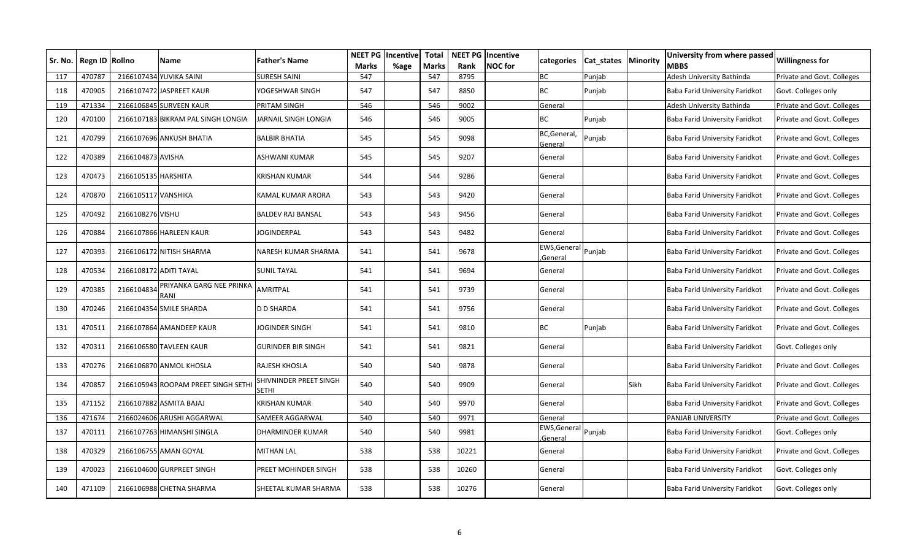| Sr. No. I | Regn ID Rollno |                        | <b>Name</b>                         | Father's Name                   | <b>NEET PG</b><br><b>Marks</b> | Incentive<br>%age | Total<br><b>Marks</b> | Rank  | <b>NEET PG Incentive</b><br><b>NOC</b> for | categories                     | Cat_states   Minority |      | University from where passed<br>MBBS | <b>Willingness for</b>     |
|-----------|----------------|------------------------|-------------------------------------|---------------------------------|--------------------------------|-------------------|-----------------------|-------|--------------------------------------------|--------------------------------|-----------------------|------|--------------------------------------|----------------------------|
| 117       | 470787         |                        | 2166107434 YUVIKA SAINI             | <b>SURESH SAINI</b>             | 547                            |                   | 547                   | 8795  |                                            | BC                             | Punjab                |      | Adesh University Bathinda            | Private and Govt. Colleges |
| 118       | 470905         |                        | 2166107472 JASPREET KAUR            | YOGESHWAR SINGH                 | 547                            |                   | 547                   | 8850  |                                            | <b>BC</b>                      | Punjab                |      | Baba Farid University Faridkot       | Govt. Colleges only        |
| 119       | 471334         |                        | 2166106845 SURVEEN KAUR             | PRITAM SINGH                    | 546                            |                   | 546                   | 9002  |                                            | General                        |                       |      | Adesh University Bathinda            | Private and Govt. Colleges |
| 120       | 470100         |                        | 2166107183 BIKRAM PAL SINGH LONGIA  | JARNAIL SINGH LONGIA            | 546                            |                   | 546                   | 9005  |                                            | <b>BC</b>                      | Punjab                |      | Baba Farid University Faridkot       | Private and Govt. Colleges |
| 121       | 470799         |                        | 2166107696 ANKUSH BHATIA            | BALBIR BHATIA                   | 545                            |                   | 545                   | 9098  |                                            | BC, General,<br>General        | Punjab                |      | Baba Farid University Faridkot       | Private and Govt. Colleges |
| 122       | 470389         | 2166104873 AVISHA      |                                     | ASHWANI KUMAR                   | 545                            |                   | 545                   | 9207  |                                            | General                        |                       |      | Baba Farid University Faridkot       | Private and Govt. Colleges |
| 123       | 470473         | 2166105135 HARSHITA    |                                     | KRISHAN KUMAR                   | 544                            |                   | 544                   | 9286  |                                            | General                        |                       |      | Baba Farid University Faridkot       | Private and Govt. Colleges |
| 124       | 470870         | 2166105117 VANSHIKA    |                                     | KAMAL KUMAR ARORA               | 543                            |                   | 543                   | 9420  |                                            | General                        |                       |      | Baba Farid University Faridkot       | Private and Govt. Colleges |
| 125       | 470492         | 2166108276 VISHU       |                                     | <b>BALDEV RAJ BANSAL</b>        | 543                            |                   | 543                   | 9456  |                                            | General                        |                       |      | Baba Farid University Faridkot       | Private and Govt. Colleges |
| 126       | 470884         |                        | 2166107866 HARLEEN KAUR             | JOGINDERPAL                     | 543                            |                   | 543                   | 9482  |                                            | General                        |                       |      | Baba Farid University Faridkot       | Private and Govt. Colleges |
| 127       | 470393         |                        | 2166106172 NITISH SHARMA            | NARESH KUMAR SHARMA             | 541                            |                   | 541                   | 9678  |                                            | EWS, General Punjab<br>General |                       |      | Baba Farid University Faridkot       | Private and Govt. Colleges |
| 128       | 470534         | 2166108172 ADITI TAYAL |                                     | SUNIL TAYAL                     | 541                            |                   | 541                   | 9694  |                                            | General                        |                       |      | Baba Farid University Faridkot       | Private and Govt. Colleges |
| 129       | 470385         | 2166104834             | PRIYANKA GARG NEE PRINKA<br>RANI    | AMRITPAL                        | 541                            |                   | 541                   | 9739  |                                            | General                        |                       |      | Baba Farid University Faridkot       | Private and Govt. Colleges |
| 130       | 470246         |                        | 2166104354 SMILE SHARDA             | D D SHARDA                      | 541                            |                   | 541                   | 9756  |                                            | General                        |                       |      | Baba Farid University Faridkot       | Private and Govt. Colleges |
| 131       | 470511         |                        | 2166107864 AMANDEEP KAUR            | JOGINDER SINGH                  | 541                            |                   | 541                   | 9810  |                                            | ВC                             | Punjab                |      | Baba Farid University Faridkot       | Private and Govt. Colleges |
| 132       | 470311         |                        | 2166106580 TAVLEEN KAUR             | GURINDER BIR SINGH              | 541                            |                   | 541                   | 9821  |                                            | General                        |                       |      | Baba Farid University Faridkot       | Govt. Colleges only        |
| 133       | 470276         |                        | 2166106870 ANMOL KHOSLA             | RAJESH KHOSLA                   | 540                            |                   | 540                   | 9878  |                                            | General                        |                       |      | Baba Farid University Faridkot       | Private and Govt. Colleges |
| 134       | 470857         |                        | 2166105943 ROOPAM PREET SINGH SETHI | SHIVNINDER PREET SINGH<br>SETHI | 540                            |                   | 540                   | 9909  |                                            | General                        |                       | Sikh | Baba Farid University Faridkot       | Private and Govt. Colleges |
| 135       | 471152         |                        | 2166107882 ASMITA BAJAJ             | KRISHAN KUMAR                   | 540                            |                   | 540                   | 9970  |                                            | General                        |                       |      | Baba Farid University Faridkot       | Private and Govt. Colleges |
| 136       | 471674         |                        | 2166024606 ARUSHI AGGARWAL          | SAMEER AGGARWAL                 | 540                            |                   | 540                   | 9971  |                                            | General                        |                       |      | PANJAB UNIVERSITY                    | Private and Govt. Colleges |
| 137       | 470111         |                        | 2166107763 HIMANSHI SINGLA          | DHARMINDER KUMAR                | 540                            |                   | 540                   | 9981  |                                            | EWS, General Punjab<br>General |                       |      | Baba Farid University Faridkot       | Govt. Colleges only        |
| 138       | 470329         |                        | 2166106755 AMAN GOYAL               | <b>MITHAN LAL</b>               | 538                            |                   | 538                   | 10221 |                                            | General                        |                       |      | Baba Farid University Faridkot       | Private and Govt. Colleges |
| 139       | 470023         |                        | 2166104600 GURPREET SINGH           | PREET MOHINDER SINGH            | 538                            |                   | 538                   | 10260 |                                            | General                        |                       |      | Baba Farid University Faridkot       | Govt. Colleges only        |
| 140       | 471109         |                        | 2166106988 CHETNA SHARMA            | SHEETAL KUMAR SHARMA            | 538                            |                   | 538                   | 10276 |                                            | General                        |                       |      | Baba Farid University Faridkot       | Govt. Colleges only        |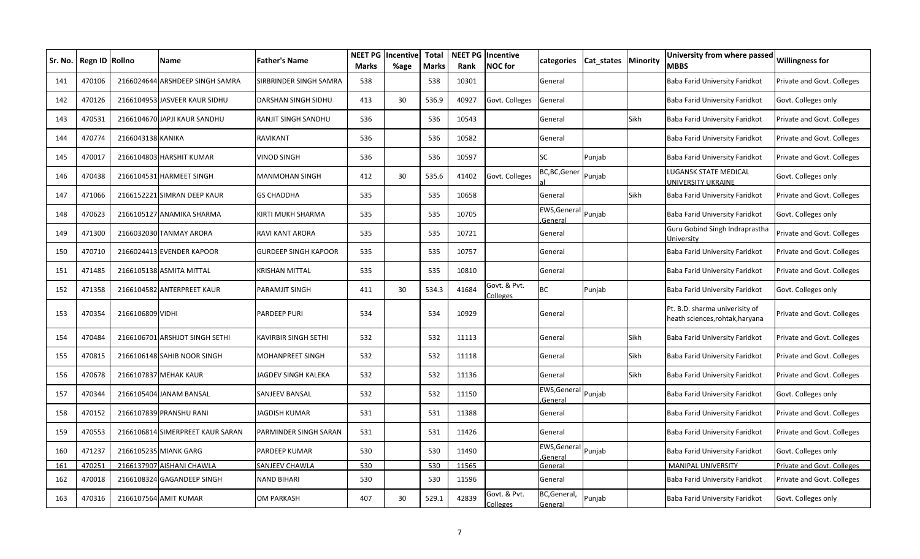| Sr. No. l | Regn ID Rollno |                   | Name                             | <b>Father's Name</b>   | <b>NEET PG</b><br><b>Marks</b> | Incentive<br>%age | <b>Total</b><br>Marks | Rank  | <b>NEET PG Incentive</b><br><b>NOC</b> for | categories                     | Cat states | <b>Minority</b> | University from where passed<br><b>MBBS</b>                     | <b>Willingness for</b>     |
|-----------|----------------|-------------------|----------------------------------|------------------------|--------------------------------|-------------------|-----------------------|-------|--------------------------------------------|--------------------------------|------------|-----------------|-----------------------------------------------------------------|----------------------------|
| 141       | 470106         |                   | 2166024644 ARSHDEEP SINGH SAMRA  | SIRBRINDER SINGH SAMRA | 538                            |                   | 538                   | 10301 |                                            | General                        |            |                 | Baba Farid University Faridkot                                  | Private and Govt. Colleges |
| 142       | 470126         |                   | 2166104953 JASVEER KAUR SIDHU    | DARSHAN SINGH SIDHU    | 413                            | 30                | 536.9                 | 40927 | Govt. Colleges                             | General                        |            |                 | Baba Farid University Faridkot                                  | Govt. Colleges only        |
| 143       | 470531         |                   | 2166104670 JAPJI KAUR SANDHU     | RANJIT SINGH SANDHU    | 536                            |                   | 536                   | 10543 |                                            | General                        |            | Sikh            | Baba Farid University Faridkot                                  | Private and Govt. Colleges |
| 144       | 470774         | 2166043138 KANIKA |                                  | RAVIKANT               | 536                            |                   | 536                   | 10582 |                                            | General                        |            |                 | Baba Farid University Faridkot                                  | Private and Govt. Colleges |
| 145       | 470017         |                   | 2166104803 HARSHIT KUMAR         | VINOD SINGH            | 536                            |                   | 536                   | 10597 |                                            | <b>SC</b>                      | Punjab     |                 | Baba Farid University Faridkot                                  | Private and Govt. Colleges |
| 146       | 470438         |                   | 2166104531 HARMEET SINGH         | <b>MANMOHAN SINGH</b>  | 412                            | 30                | 535.6                 | 41402 | Govt. Colleges                             | BC,BC,Gener                    | Punjab     |                 | LUGANSK STATE MEDICAL<br>UNIVERSITY UKRAINE                     | Govt. Colleges only        |
| 147       | 471066         |                   | 2166152221 SIMRAN DEEP KAUR      | GS CHADDHA             | 535                            |                   | 535                   | 10658 |                                            | General                        |            | Sikh            | Baba Farid University Faridkot                                  | Private and Govt. Colleges |
| 148       | 470623         |                   | 2166105127 ANAMIKA SHARMA        | KIRTI MUKH SHARMA      | 535                            |                   | 535                   | 10705 |                                            | EWS, General<br>General        | Punjab     |                 | Baba Farid University Faridkot                                  | Govt. Colleges only        |
| 149       | 471300         |                   | 2166032030 TANMAY ARORA          | RAVI KANT ARORA        | 535                            |                   | 535                   | 10721 |                                            | General                        |            |                 | Guru Gobind Singh Indraprastha<br>University                    | Private and Govt. Colleges |
| 150       | 470710         |                   | 2166024413 EVENDER KAPOOR        | GURDEEP SINGH KAPOOR   | 535                            |                   | 535                   | 10757 |                                            | General                        |            |                 | Baba Farid University Faridkot                                  | Private and Govt. Colleges |
| 151       | 471485         |                   | 2166105138 ASMITA MITTAL         | KRISHAN MITTAL         | 535                            |                   | 535                   | 10810 |                                            | General                        |            |                 | Baba Farid University Faridkot                                  | Private and Govt. Colleges |
| 152       | 471358         |                   | 2166104582 ANTERPREET KAUR       | PARAMJIT SINGH         | 411                            | 30                | 534.3                 | 41684 | Govt. & Pvt.<br>Colleges                   | <b>BC</b>                      | Punjab     |                 | Baba Farid University Faridkot                                  | Govt. Colleges only        |
| 153       | 470354         | 2166106809 VIDHI  |                                  | PARDEEP PURI           | 534                            |                   | 534                   | 10929 |                                            | General                        |            |                 | Pt. B.D. sharma univerisity of<br>heath sciences,rohtak,haryana | Private and Govt. Colleges |
| 154       | 470484         |                   | 2166106701 ARSHJOT SINGH SETHI   | KAVIRBIR SINGH SETHI   | 532                            |                   | 532                   | 11113 |                                            | General                        |            | Sikh            | Baba Farid University Faridkot                                  | Private and Govt. Colleges |
| 155       | 470815         |                   | 2166106148 SAHIB NOOR SINGH      | MOHANPREET SINGH       | 532                            |                   | 532                   | 11118 |                                            | General                        |            | Sikh            | Baba Farid University Faridkot                                  | Private and Govt. Colleges |
| 156       | 470678         |                   | 2166107837 MEHAK KAUR            | JAGDEV SINGH KALEKA    | 532                            |                   | 532                   | 11136 |                                            | General                        |            | Sikh            | Baba Farid University Faridkot                                  | Private and Govt. Colleges |
| 157       | 470344         |                   | 2166105404 JANAM BANSAL          | SANJEEV BANSAL         | 532                            |                   | 532                   | 11150 |                                            | EWS, General<br><u>General</u> | Punjab     |                 | Baba Farid University Faridkot                                  | Govt. Colleges only        |
| 158       | 470152         |                   | 2166107839 PRANSHU RANI          | JAGDISH KUMAR          | 531                            |                   | 531                   | 11388 |                                            | General                        |            |                 | Baba Farid University Faridkot                                  | Private and Govt. Colleges |
| 159       | 470553         |                   | 2166106814 SIMERPREET KAUR SARAN | PARMINDER SINGH SARAN  | 531                            |                   | 531                   | 11426 |                                            | General                        |            |                 | Baba Farid University Faridkot                                  | Private and Govt. Colleges |
| 160       | 471237         |                   | 2166105235 MIANK GARG            | PARDEEP KUMAR          | 530                            |                   | 530                   | 11490 |                                            | EWS, Genera<br>General         | Punjab     |                 | Baba Farid University Faridkot                                  | Govt. Colleges only        |
| 161       | 470251         |                   | 2166137907 AISHANI CHAWLA        | SANJEEV CHAWLA         | 530                            |                   | 530                   | 11565 |                                            | General                        |            |                 | <b>MANIPAL UNIVERSITY</b>                                       | Private and Govt. Colleges |
| 162       | 470018         |                   | 2166108324 GAGANDEEP SINGH       | NAND BIHARI            | 530                            |                   | 530                   | 11596 |                                            | General                        |            |                 | Baba Farid University Faridkot                                  | Private and Govt. Colleges |
| 163       | 470316         |                   | 2166107564 AMIT KUMAR            | OM PARKASH             | 407                            | 30                | 529.1                 | 42839 | Govt. & Pvt.<br>Colleges                   | BC, General,<br>General        | Punjab     |                 | Baba Farid University Faridkot                                  | Govt. Colleges only        |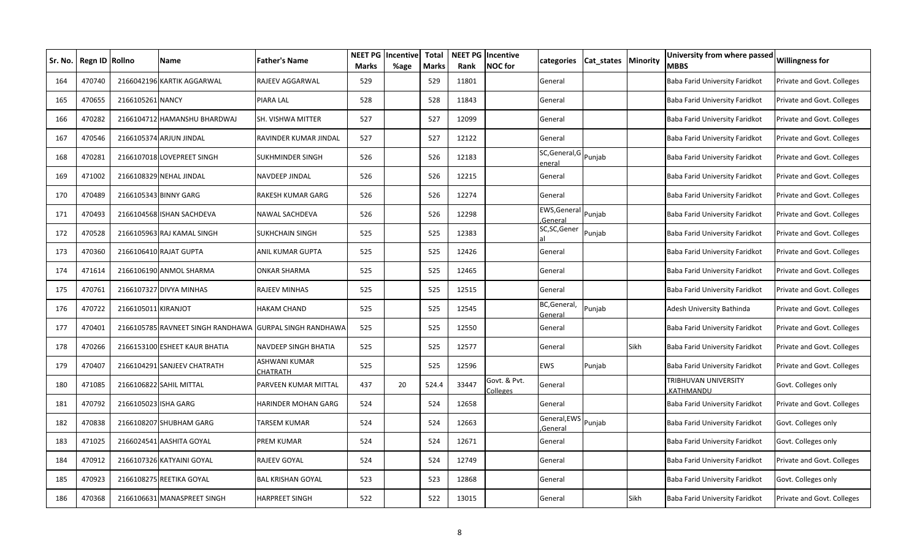| Sr. No. | Regn ID Rollno |                      | <b>Name</b>                       | <b>Father's Name</b>         | <b>NEET PG</b><br><b>Marks</b> | Incentive<br>%age | <b>Total</b><br>Marks | Rank  | <b>NEET PG Incentive</b><br><b>NOC</b> for | categories                      | Cat states | <b>Minority</b> | University from where passed<br><b>MBBS</b> | <b>Willingness for</b>     |
|---------|----------------|----------------------|-----------------------------------|------------------------------|--------------------------------|-------------------|-----------------------|-------|--------------------------------------------|---------------------------------|------------|-----------------|---------------------------------------------|----------------------------|
| 164     | 470740         |                      | 2166042196 KARTIK AGGARWAL        | RAJEEV AGGARWAL              | 529                            |                   | 529                   | 11801 |                                            | General                         |            |                 | Baba Farid University Faridkot              | Private and Govt. Colleges |
| 165     | 470655         | 2166105261 NANCY     |                                   | PIARA LAL                    | 528                            |                   | 528                   | 11843 |                                            | General                         |            |                 | Baba Farid University Faridkot              | Private and Govt. Colleges |
| 166     | 470282         |                      | 2166104712 HAMANSHU BHARDWAJ      | SH. VISHWA MITTER            | 527                            |                   | 527                   | 12099 |                                            | General                         |            |                 | Baba Farid University Faridkot              | Private and Govt. Colleges |
| 167     | 470546         |                      | 2166105374 ARJUN JINDAL           | RAVINDER KUMAR JINDAL        | 527                            |                   | 527                   | 12122 |                                            | General                         |            |                 | Baba Farid University Faridkot              | Private and Govt. Colleges |
| 168     | 470281         |                      | 2166107018 LOVEPREET SINGH        | SUKHMINDER SINGH             | 526                            |                   | 526                   | 12183 |                                            | SC, General, G Punjab<br>eneral |            |                 | Baba Farid University Faridkot              | Private and Govt. Colleges |
| 169     | 471002         |                      | 2166108329 NEHAL JINDAL           | NAVDEEP JINDAL               | 526                            |                   | 526                   | 12215 |                                            | General                         |            |                 | Baba Farid University Faridkot              | Private and Govt. Colleges |
| 170     | 470489         |                      | 2166105343 BINNY GARG             | RAKESH KUMAR GARG            | 526                            |                   | 526                   | 12274 |                                            | General                         |            |                 | Baba Farid University Faridkot              | Private and Govt. Colleges |
| 171     | 470493         |                      | 2166104568 ISHAN SACHDEVA         | NAWAL SACHDEVA               | 526                            |                   | 526                   | 12298 |                                            | EWS, Genera<br>General          | Punjab     |                 | Baba Farid University Faridkot              | Private and Govt. Colleges |
| 172     | 470528         |                      | 2166105963 RAJ KAMAL SINGH        | SUKHCHAIN SINGH              | 525                            |                   | 525                   | 12383 |                                            | SC,SC,Gener                     | Punjab     |                 | Baba Farid University Faridkot              | Private and Govt. Colleges |
| 173     | 470360         |                      | 2166106410 RAJAT GUPTA            | ANIL KUMAR GUPTA             | 525                            |                   | 525                   | 12426 |                                            | General                         |            |                 | Baba Farid University Faridkot              | Private and Govt. Colleges |
| 174     | 471614         |                      | 2166106190 ANMOL SHARMA           | ONKAR SHARMA                 | 525                            |                   | 525                   | 12465 |                                            | General                         |            |                 | Baba Farid University Faridkot              | Private and Govt. Colleges |
| 175     | 470761         |                      | 2166107327 DIVYA MINHAS           | RAJEEV MINHAS                | 525                            |                   | 525                   | 12515 |                                            | General                         |            |                 | Baba Farid University Faridkot              | Private and Govt. Colleges |
| 176     | 470722         | 2166105011 KIRANJOT  |                                   | HAKAM CHAND                  | 525                            |                   | 525                   | 12545 |                                            | BC, General,<br>General         | Punjab     |                 | Adesh University Bathinda                   | Private and Govt. Colleges |
| 177     | 470401         |                      | 2166105785 RAVNEET SINGH RANDHAWA | <b>GURPAL SINGH RANDHAWA</b> | 525                            |                   | 525                   | 12550 |                                            | General                         |            |                 | Baba Farid University Faridkot              | Private and Govt. Colleges |
| 178     | 470266         |                      | 2166153100 ESHEET KAUR BHATIA     | NAVDEEP SINGH BHATIA         | 525                            |                   | 525                   | 12577 |                                            | General                         |            | Sikh            | Baba Farid University Faridkot              | Private and Govt. Colleges |
| 179     | 470407         |                      | 2166104291 SANJEEV CHATRATH       | ASHWANI KUMAR<br>CHATRATH    | 525                            |                   | 525                   | 12596 |                                            | <b>EWS</b>                      | Punjab     |                 | Baba Farid University Faridkot              | Private and Govt. Colleges |
| 180     | 471085         |                      | 2166106822 SAHIL MITTAL           | PARVEEN KUMAR MITTAL         | 437                            | 20                | 524.4                 | 33447 | Govt. & Pvt.<br>Colleges                   | General                         |            |                 | TRIBHUVAN UNIVERSITY<br>KATHMANDU           | Govt. Colleges only        |
| 181     | 470792         | 2166105023 ISHA GARG |                                   | HARINDER MOHAN GARG          | 524                            |                   | 524                   | 12658 |                                            | General                         |            |                 | Baba Farid University Faridkot              | Private and Govt. Colleges |
| 182     | 470838         |                      | 2166108207 SHUBHAM GARG           | TARSEM KUMAR                 | 524                            |                   | 524                   | 12663 |                                            | General, EWS<br>General         | Punjab     |                 | Baba Farid University Faridkot              | Govt. Colleges only        |
| 183     | 471025         |                      | 2166024541 AASHITA GOYAL          | PREM KUMAR                   | 524                            |                   | 524                   | 12671 |                                            | General                         |            |                 | Baba Farid University Faridkot              | Govt. Colleges only        |
| 184     | 470912         |                      | 2166107326 KATYAINI GOYAL         | RAJEEV GOYAL                 | 524                            |                   | 524                   | 12749 |                                            | General                         |            |                 | Baba Farid University Faridkot              | Private and Govt. Colleges |
| 185     | 470923         |                      | 2166108275 REETIKA GOYAL          | BAL KRISHAN GOYAL            | 523                            |                   | 523                   | 12868 |                                            | General                         |            |                 | Baba Farid University Faridkot              | Govt. Colleges only        |
| 186     | 470368         |                      | 2166106631 MANASPREET SINGH       | <b>HARPREET SINGH</b>        | 522                            |                   | 522                   | 13015 |                                            | General                         |            | Sikh            | Baba Farid University Faridkot              | Private and Govt. Colleges |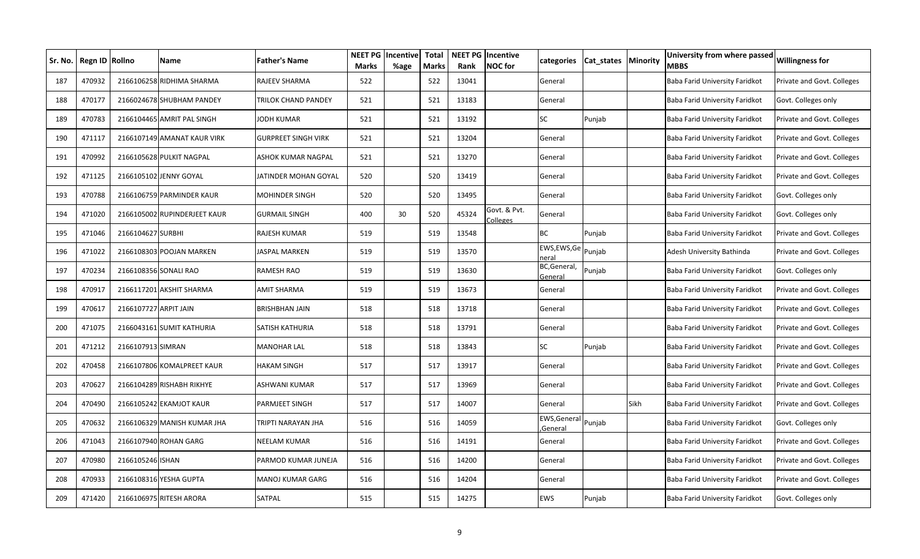| Sr. No. I | Regn ID Rollno |                       | <b>Name</b>                  | <b>Father's Name</b>       | <b>NEET PG</b><br><b>Marks</b> | Incentive<br>%age | <b>Total</b><br>Marks | Rank  | <b>NEET PG Incentive</b><br><b>NOC</b> for | categories                     | Cat states | <b>Minority</b> | University from where passed<br><b>MBBS</b> | <b>Willingness for</b>     |
|-----------|----------------|-----------------------|------------------------------|----------------------------|--------------------------------|-------------------|-----------------------|-------|--------------------------------------------|--------------------------------|------------|-----------------|---------------------------------------------|----------------------------|
| 187       | 470932         |                       | 2166106258 RIDHIMA SHARMA    | RAJEEV SHARMA              | 522                            |                   | 522                   | 13041 |                                            | General                        |            |                 | Baba Farid University Faridkot              | Private and Govt. Colleges |
| 188       | 470177         |                       | 2166024678 SHUBHAM PANDEY    | TRILOK CHAND PANDEY        | 521                            |                   | 521                   | 13183 |                                            | General                        |            |                 | Baba Farid University Faridkot              | Govt. Colleges only        |
| 189       | 470783         |                       | 2166104465 AMRIT PAL SINGH   | JODH KUMAR                 | 521                            |                   | 521                   | 13192 |                                            | <b>SC</b>                      | Punjab     |                 | Baba Farid University Faridkot              | Private and Govt. Colleges |
| 190       | 471117         |                       | 2166107149 AMANAT KAUR VIRK  | <b>GURPREET SINGH VIRK</b> | 521                            |                   | 521                   | 13204 |                                            | General                        |            |                 | Baba Farid University Faridkot              | Private and Govt. Colleges |
| 191       | 470992         |                       | 2166105628 PULKIT NAGPAL     | ASHOK KUMAR NAGPAL         | 521                            |                   | 521                   | 13270 |                                            | General                        |            |                 | Baba Farid University Faridkot              | Private and Govt. Colleges |
| 192       | 471125         |                       | 2166105102 JENNY GOYAL       | JATINDER MOHAN GOYAL       | 520                            |                   | 520                   | 13419 |                                            | General                        |            |                 | Baba Farid University Faridkot              | Private and Govt. Colleges |
| 193       | 470788         |                       | 2166106759 PARMINDER KAUR    | MOHINDER SINGH             | 520                            |                   | 520                   | 13495 |                                            | General                        |            |                 | Baba Farid University Faridkot              | Govt. Colleges only        |
| 194       | 471020         |                       | 2166105002 RUPINDERJEET KAUR | GURMAIL SINGH              | 400                            | 30                | 520                   | 45324 | Govt. & Pvt.<br>Colleges                   | General                        |            |                 | Baba Farid University Faridkot              | Govt. Colleges only        |
| 195       | 471046         | 2166104627 SURBHI     |                              | RAJESH KUMAR               | 519                            |                   | 519                   | 13548 |                                            | <b>BC</b>                      | Punjab     |                 | Baba Farid University Faridkot              | Private and Govt. Colleges |
| 196       | 471022         |                       | 2166108303 POOJAN MARKEN     | JASPAL MARKEN              | 519                            |                   | 519                   | 13570 |                                            | EWS, EWS, Ge<br>neral          | Punjab     |                 | Adesh University Bathinda                   | Private and Govt. Colleges |
| 197       | 470234         |                       | 2166108356 SONALI RAO        | RAMESH RAO                 | 519                            |                   | 519                   | 13630 |                                            | BC, General,<br>General        | Punjab     |                 | Baba Farid University Faridkot              | Govt. Colleges only        |
| 198       | 470917         |                       | 2166117201 AKSHIT SHARMA     | AMIT SHARMA                | 519                            |                   | 519                   | 13673 |                                            | General                        |            |                 | Baba Farid University Faridkot              | Private and Govt. Colleges |
| 199       | 470617         | 2166107727 ARPIT JAIN |                              | <b>BRISHBHAN JAIN</b>      | 518                            |                   | 518                   | 13718 |                                            | General                        |            |                 | Baba Farid University Faridkot              | Private and Govt. Colleges |
| 200       | 471075         |                       | 2166043161 SUMIT KATHURIA    | SATISH KATHURIA            | 518                            |                   | 518                   | 13791 |                                            | General                        |            |                 | Baba Farid University Faridkot              | Private and Govt. Colleges |
| 201       | 471212         | 2166107913 SIMRAN     |                              | <b>MANOHAR LAL</b>         | 518                            |                   | 518                   | 13843 |                                            | SC                             | Punjab     |                 | Baba Farid University Faridkot              | Private and Govt. Colleges |
| 202       | 470458         |                       | 2166107806 KOMALPREET KAUR   | <b>HAKAM SINGH</b>         | 517                            |                   | 517                   | 13917 |                                            | General                        |            |                 | Baba Farid University Faridkot              | Private and Govt. Colleges |
| 203       | 470627         |                       | 2166104289 RISHABH RIKHYE    | ASHWANI KUMAR              | 517                            |                   | 517                   | 13969 |                                            | General                        |            |                 | Baba Farid University Faridkot              | Private and Govt. Colleges |
| 204       | 470490         |                       | 2166105242 EKAMJOT KAUR      | PARMJEET SINGH             | 517                            |                   | 517                   | 14007 |                                            | General                        |            | Sikh            | Baba Farid University Faridkot              | Private and Govt. Colleges |
| 205       | 470632         |                       | 2166106329 MANISH KUMAR JHA  | TRIPTI NARAYAN JHA         | 516                            |                   | 516                   | 14059 |                                            | EWS, General Punjab<br>General |            |                 | Baba Farid University Faridkot              | Govt. Colleges only        |
| 206       | 471043         |                       | 2166107940 ROHAN GARG        | <b>NEELAM KUMAR</b>        | 516                            |                   | 516                   | 14191 |                                            | General                        |            |                 | Baba Farid University Faridkot              | Private and Govt. Colleges |
| 207       | 470980         | 2166105246 ISHAN      |                              | PARMOD KUMAR JUNEJA        | 516                            |                   | 516                   | 14200 |                                            | General                        |            |                 | Baba Farid University Faridkot              | Private and Govt. Colleges |
| 208       | 470933         |                       | 2166108316 YESHA GUPTA       | MANOJ KUMAR GARG           | 516                            |                   | 516                   | 14204 |                                            | General                        |            |                 | Baba Farid University Faridkot              | Private and Govt. Colleges |
| 209       | 471420         |                       | 2166106975 RITESH ARORA      | SATPAL                     | 515                            |                   | 515                   | 14275 |                                            | <b>EWS</b>                     | Punjab     |                 | Baba Farid University Faridkot              | Govt. Colleges only        |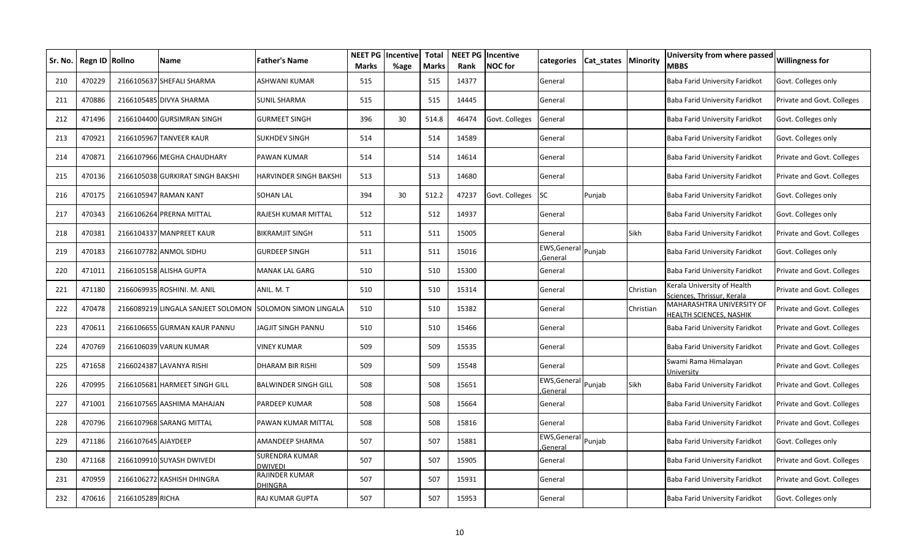| Sr. No. | Regn ID Rollno |                     | <b>Name</b>                        | <b>Father's Name</b>        | NEET PG<br><b>Marks</b> | Incentive<br>%age | <b>Total</b><br><b>Marks</b> | Rank  | <b>NEET PG Incentive</b><br><b>NOC</b> for | categories               | Cat states | Minority  | University from where passed<br><b>MBBS</b>                 | <b>Willingness for</b>     |
|---------|----------------|---------------------|------------------------------------|-----------------------------|-------------------------|-------------------|------------------------------|-------|--------------------------------------------|--------------------------|------------|-----------|-------------------------------------------------------------|----------------------------|
| 210     | 470229         |                     | 2166105637 SHEFALI SHARMA          | ASHWANI KUMAR               | 515                     |                   | 515                          | 14377 |                                            | General                  |            |           | Baba Farid University Faridkot                              | Govt. Colleges only        |
| 211     | 470886         |                     | 2166105485 DIVYA SHARMA            | <b>SUNIL SHARMA</b>         | 515                     |                   | 515                          | 14445 |                                            | General                  |            |           | Baba Farid University Faridkot                              | Private and Govt. Colleges |
| 212     | 471496         |                     | 2166104400 GURSIMRAN SINGH         | <b>GURMEET SINGH</b>        | 396                     | 30                | 514.8                        | 46474 | Govt. Colleges                             | General                  |            |           | Baba Farid University Faridkot                              | Govt. Colleges only        |
| 213     | 470921         |                     | 2166105967 TANVEER KAUR            | <b>SUKHDEV SINGH</b>        | 514                     |                   | 514                          | 14589 |                                            | General                  |            |           | Baba Farid University Faridkot                              | Govt. Colleges only        |
| 214     | 470871         |                     | 2166107966 MEGHA CHAUDHARY         | PAWAN KUMAR                 | 514                     |                   | 514                          | 14614 |                                            | General                  |            |           | Baba Farid University Faridkot                              | Private and Govt. Colleges |
| 215     | 470136         |                     | 2166105038 GURKIRAT SINGH BAKSHI   | HARVINDER SINGH BAKSHI      | 513                     |                   | 513                          | 14680 |                                            | General                  |            |           | Baba Farid University Faridkot                              | Private and Govt. Colleges |
| 216     | 470175         |                     | 2166105947 RAMAN KANT              | SOHAN LAL                   | 394                     | 30                | 512.2                        | 47237 | Govt. Colleges                             | SC                       | Punjab     |           | Baba Farid University Faridkot                              | Govt. Colleges only        |
| 217     | 470343         |                     | 2166106264 PRERNA MITTAL           | RAJESH KUMAR MITTAL         | 512                     |                   | 512                          | 14937 |                                            | General                  |            |           | Baba Farid University Faridkot                              | Govt. Colleges only        |
| 218     | 470381         |                     | 2166104337 MANPREET KAUR           | <b>BIKRAMJIT SINGH</b>      | 511                     |                   | 511                          | 15005 |                                            | General                  |            | Sikh      | Baba Farid University Faridkot                              | Private and Govt. Colleges |
| 219     | 470183         |                     | 2166107782 ANMOL SIDHU             | GURDEEP SINGH               | 511                     |                   | 511                          | 15016 |                                            | EWS, General<br>General  | Punjab     |           | Baba Farid University Faridkot                              | Govt. Colleges only        |
| 220     | 471011         |                     | 2166105158 ALISHA GUPTA            | MANAK LAL GARG              | 510                     |                   | 510                          | 15300 |                                            | General                  |            |           | Baba Farid University Faridkot                              | Private and Govt. Colleges |
| 221     | 471180         |                     | 2166069935 ROSHINI. M. ANIL        | ANIL. M. T                  | 510                     |                   | 510                          | 15314 |                                            | General                  |            | Christian | Kerala University of Health<br>Sciences, Thrissur, Kerala   | Private and Govt. Colleges |
| 222     | 470478         |                     | 2166089219 LINGALA SANJEET SOLOMON | SOLOMON SIMON LINGALA       | 510                     |                   | 510                          | 15382 |                                            | General                  |            | Christian | <b>MAHARASHTRA UNIVERSITY OF</b><br>HEALTH SCIENCES, NASHIK | Private and Govt. Colleges |
| 223     | 470611         |                     | 2166106655 GURMAN KAUR PANNU       | JAGJIT SINGH PANNU          | 510                     |                   | 510                          | 15466 |                                            | General                  |            |           | Baba Farid University Faridkot                              | Private and Govt. Colleges |
| 224     | 470769         |                     | 2166106039 VARUN KUMAR             | <b>VINEY KUMAR</b>          | 509                     |                   | 509                          | 15535 |                                            | General                  |            |           | Baba Farid University Faridkot                              | Private and Govt. Colleges |
| 225     | 471658         |                     | 2166024387 LAVANYA RISHI           | <b>DHARAM BIR RISHI</b>     | 509                     |                   | 509                          | 15548 |                                            | General                  |            |           | Swami Rama Himalayan<br><b>Jniversity</b>                   | Private and Govt. Colleges |
| 226     | 470995         |                     | 2166105681 HARMEET SINGH GILL      | <b>BALWINDER SINGH GILL</b> | 508                     |                   | 508                          | 15651 |                                            | EWS, General<br>.General | Punjab     | Sikh      | Baba Farid University Faridkot                              | Private and Govt. Colleges |
| 227     | 471001         |                     | 2166107565 AASHIMA MAHAJAN         | PARDEEP KUMAR               | 508                     |                   | 508                          | 15664 |                                            | General                  |            |           | Baba Farid University Faridkot                              | Private and Govt. Colleges |
| 228     | 470796         |                     | 2166107968 SARANG MITTAL           | PAWAN KUMAR MITTAL          | 508                     |                   | 508                          | 15816 |                                            | General                  |            |           | Baba Farid University Faridkot                              | Private and Govt. Colleges |
| 229     | 471186         | 2166107645 AJAYDEEP |                                    | AMANDEEP SHARMA             | 507                     |                   | 507                          | 15881 |                                            | EWS, General<br>General  | Punjab     |           | Baba Farid University Faridkot                              | Govt. Colleges only        |
| 230     | 471168         |                     | 2166109910 SUYASH DWIVEDI          | SURENDRA KUMAR<br>dwivedi   | 507                     |                   | 507                          | 15905 |                                            | General                  |            |           | Baba Farid University Faridkot                              | Private and Govt. Colleges |
| 231     | 470959         |                     | 2166106272 KASHISH DHINGRA         | RAJINDER KUMAR<br>DHINGRA   | 507                     |                   | 507                          | 15931 |                                            | General                  |            |           | Baba Farid University Faridkot                              | Private and Govt. Colleges |
| 232     | 470616         | 2166105289 RICHA    |                                    | RAJ KUMAR GUPTA             | 507                     |                   | 507                          | 15953 |                                            | General                  |            |           | Baba Farid University Faridkot                              | Govt. Colleges only        |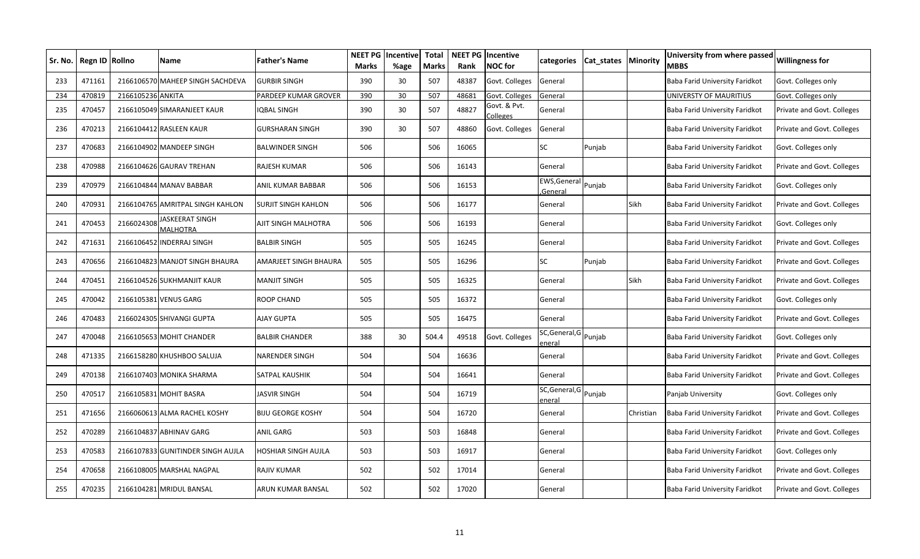| Sr. No. | Regn ID Rollno |                   | <b>Name</b>                               | <b>Father's Name</b>         | <b>NEET PG</b><br><b>Marks</b> | Incentive<br>%age | <b>Total</b><br>Marks | Rank  | <b>NEET PG Incentive</b><br><b>NOC</b> for | categories               | Cat states | <b>Minority</b> | University from where passed<br><b>MBBS</b> | <b>Willingness for</b>     |
|---------|----------------|-------------------|-------------------------------------------|------------------------------|--------------------------------|-------------------|-----------------------|-------|--------------------------------------------|--------------------------|------------|-----------------|---------------------------------------------|----------------------------|
| 233     | 471161         | 2166106570        | <b>MAHEEP SINGH SACHDEVA</b>              | <b>GURBIR SINGH</b>          | 390                            | 30                | 507                   | 48387 | Govt. Colleges                             | General                  |            |                 | Baba Farid University Faridkot              | Govt. Colleges only        |
| 234     | 470819         | 2166105236 ANKITA |                                           | PARDEEP KUMAR GROVER         | 390                            | 30                | 507                   | 48681 | Govt. Colleges                             | General                  |            |                 | UNIVERSTY OF MAURITIUS                      | Govt. Colleges only        |
| 235     | 470457         |                   | 2166105049 SIMARANJEET KAUR               | <b>IQBAL SINGH</b>           | 390                            | 30                | 507                   | 48827 | Govt. & Pvt.<br><b>Colleges</b>            | General                  |            |                 | Baba Farid University Faridkot              | Private and Govt. Colleges |
| 236     | 470213         | 2166104412        | <b>RASLEEN KAUR</b>                       | <b>GURSHARAN SINGH</b>       | 390                            | 30                | 507                   | 48860 | Govt. Colleges                             | General                  |            |                 | Baba Farid University Faridkot              | Private and Govt. Colleges |
| 237     | 470683         |                   | 2166104902 MANDEEP SINGH                  | <b>BALWINDER SINGH</b>       | 506                            |                   | 506                   | 16065 |                                            | SC                       | Punjab     |                 | Baba Farid University Faridkot              | Govt. Colleges only        |
| 238     | 470988         |                   | 2166104626 GAURAV TREHAN                  | RAJESH KUMAR                 | 506                            |                   | 506                   | 16143 |                                            | General                  |            |                 | Baba Farid University Faridkot              | Private and Govt. Colleges |
| 239     | 470979         | 2166104844        | <b>MANAV BABBAR</b>                       | ANIL KUMAR BABBAR            | 506                            |                   | 506                   | 16153 |                                            | EWS, General<br>Genera   | Punjab     |                 | Baba Farid University Faridkot              | Govt. Colleges only        |
| 240     | 470931         |                   | 2166104765 AMRITPAL SINGH KAHLON          | <b>SURJIT SINGH KAHLON</b>   | 506                            |                   | 506                   | 16177 |                                            | General                  |            | Sikh            | Baba Farid University Faridkot              | Private and Govt. Colleges |
| 241     | 470453         | 2166024308        | <b>IASKEERAT SINGH</b><br><b>MALHOTRA</b> | AJIT SINGH MALHOTRA          | 506                            |                   | 506                   | 16193 |                                            | General                  |            |                 | Baba Farid University Faridkot              | Govt. Colleges only        |
| 242     | 471631         | 2166106452        | <b>INDERRAJ SINGH</b>                     | <b>BALBIR SINGH</b>          | 505                            |                   | 505                   | 16245 |                                            | General                  |            |                 | Baba Farid University Faridkot              | Private and Govt. Colleges |
| 243     | 470656         | 2166104823        | <b>MANJOT SINGH BHAURA</b>                | <b>AMARJEET SINGH BHAURA</b> | 505                            |                   | 505                   | 16296 |                                            | SC                       | Punjab     |                 | Baba Farid University Faridkot              | Private and Govt. Colleges |
| 244     | 470451         |                   | 2166104526 SUKHMANJIT KAUR                | <b>MANJIT SINGH</b>          | 505                            |                   | 505                   | 16325 |                                            | General                  |            | Sikh            | Baba Farid University Faridkot              | Private and Govt. Colleges |
| 245     | 470042         |                   | 2166105381 VENUS GARG                     | ROOP CHAND                   | 505                            |                   | 505                   | 16372 |                                            | General                  |            |                 | Baba Farid University Faridkot              | Govt. Colleges only        |
| 246     | 470483         |                   | 2166024305 SHIVANGI GUPTA                 | <b>AJAY GUPTA</b>            | 505                            |                   | 505                   | 16475 |                                            | General                  |            |                 | Baba Farid University Faridkot              | Private and Govt. Colleges |
| 247     | 470048         |                   | 2166105653 MOHIT CHANDER                  | <b>BALBIR CHANDER</b>        | 388                            | 30                | 504.4                 | 49518 | Govt. Colleges                             | SC, General, G<br>eneral | Punjab     |                 | Baba Farid University Faridkot              | Govt. Colleges only        |
| 248     | 471335         |                   | 2166158280 KHUSHBOO SALUJA                | <b>NARENDER SINGH</b>        | 504                            |                   | 504                   | 16636 |                                            | General                  |            |                 | Baba Farid University Faridkot              | Private and Govt. Colleges |
| 249     | 470138         |                   | 2166107403 MONIKA SHARMA                  | <b>SATPAL KAUSHIK</b>        | 504                            |                   | 504                   | 16641 |                                            | General                  |            |                 | Baba Farid University Faridkot              | Private and Govt. Colleges |
| 250     | 470517         |                   | 2166105831 MOHIT BASRA                    | <b>JASVIR SINGH</b>          | 504                            |                   | 504                   | 16719 |                                            | SC,General,G<br>eneral   | Punjab     |                 | Panjab University                           | Govt. Colleges only        |
| 251     | 471656         |                   | 2166060613 ALMA RACHEL KOSHY              | <b>BIJU GEORGE KOSHY</b>     | 504                            |                   | 504                   | 16720 |                                            | General                  |            | Christian       | Baba Farid University Faridkot              | Private and Govt. Colleges |
| 252     | 470289         |                   | 2166104837 ABHINAV GARG                   | <b>ANIL GARG</b>             | 503                            |                   | 503                   | 16848 |                                            | General                  |            |                 | Baba Farid University Faridkot              | Private and Govt. Colleges |
| 253     | 470583         | 2166107833        | <b>GUNITINDER SINGH AUJLA</b>             | <b>HOSHIAR SINGH AUJLA</b>   | 503                            |                   | 503                   | 16917 |                                            | General                  |            |                 | Baba Farid University Faridkot              | Govt. Colleges only        |
| 254     | 470658         |                   | 2166108005 MARSHAL NAGPAL                 | <b>RAJIV KUMAR</b>           | 502                            |                   | 502                   | 17014 |                                            | General                  |            |                 | Baba Farid University Faridkot              | Private and Govt. Colleges |
| 255     | 470235         |                   | 2166104281 MRIDUL BANSAL                  | ARUN KUMAR BANSAL            | 502                            |                   | 502                   | 17020 |                                            | General                  |            |                 | Baba Farid University Faridkot              | Private and Govt. Colleges |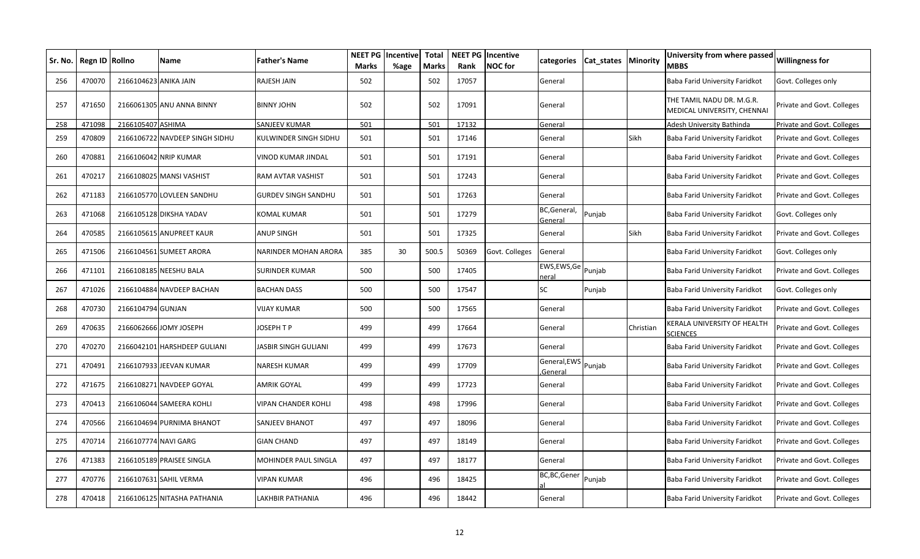| Sr. No. | Regn ID Rollno |                       | <b>Name</b>                    | Father's Name         | <b>NEET PG</b><br><b>Marks</b> | Incentive<br>%age | <b>Total</b><br><b>Marks</b> | Rank  | <b>NEET PG Incentive</b><br><b>NOC</b> for | categories                 | Cat_states   Minority |           | University from where passed<br>MBBS                     | <b>Willingness for</b>     |
|---------|----------------|-----------------------|--------------------------------|-----------------------|--------------------------------|-------------------|------------------------------|-------|--------------------------------------------|----------------------------|-----------------------|-----------|----------------------------------------------------------|----------------------------|
| 256     | 470070         | 2166104623 ANIKA JAIN |                                | RAJESH JAIN           | 502                            |                   | 502                          | 17057 |                                            | General                    |                       |           | Baba Farid University Faridkot                           | Govt. Colleges only        |
| 257     | 471650         |                       | 2166061305 ANU ANNA BINNY      | BINNY JOHN            | 502                            |                   | 502                          | 17091 |                                            | General                    |                       |           | THE TAMIL NADU DR. M.G.R.<br>MEDICAL UNIVERSITY, CHENNAI | Private and Govt. Colleges |
| 258     | 471098         | 2166105407 ASHIMA     |                                | SANJEEV KUMAR         | 501                            |                   | 501                          | 17132 |                                            | General                    |                       |           | Adesh University Bathinda                                | Private and Govt. Colleges |
| 259     | 470809         |                       | 2166106722 NAVDEEP SINGH SIDHU | KULWINDER SINGH SIDHU | 501                            |                   | 501                          | 17146 |                                            | General                    |                       | Sikh      | Baba Farid University Faridkot                           | Private and Govt. Colleges |
| 260     | 470881         |                       | 2166106042 NRIP KUMAR          | VINOD KUMAR JINDAL    | 501                            |                   | 501                          | 17191 |                                            | General                    |                       |           | Baba Farid University Faridkot                           | Private and Govt. Colleges |
| 261     | 470217         |                       | 2166108025 MANSI VASHIST       | RAM AVTAR VASHIST     | 501                            |                   | 501                          | 17243 |                                            | General                    |                       |           | Baba Farid University Faridkot                           | Private and Govt. Colleges |
| 262     | 471183         |                       | 2166105770 LOVLEEN SANDHU      | GURDEV SINGH SANDHU   | 501                            |                   | 501                          | 17263 |                                            | General                    |                       |           | Baba Farid University Faridkot                           | Private and Govt. Colleges |
| 263     | 471068         |                       | 2166105128 DIKSHA YADAV        | KOMAL KUMAR           | 501                            |                   | 501                          | 17279 |                                            | BC, General,<br>General    | Punjab                |           | Baba Farid University Faridkot                           | Govt. Colleges only        |
| 264     | 470585         |                       | 2166105615 ANUPREET KAUR       | ANUP SINGH            | 501                            |                   | 501                          | 17325 |                                            | General                    |                       | Sikh      | Baba Farid University Faridkot                           | Private and Govt. Colleges |
| 265     | 471506         |                       | 2166104561 SUMEET ARORA        | NARINDER MOHAN ARORA  | 385                            | 30                | 500.5                        | 50369 | Govt. Colleges                             | General                    |                       |           | Baba Farid University Faridkot                           | Govt. Colleges only        |
| 266     | 471101         |                       | 2166108185 NEESHU BALA         | SURINDER KUMAR        | 500                            |                   | 500                          | 17405 |                                            | EWS,EWS,Ge Punjab<br>าeral |                       |           | Baba Farid University Faridkot                           | Private and Govt. Colleges |
| 267     | 471026         |                       | 2166104884 NAVDEEP BACHAN      | BACHAN DASS           | 500                            |                   | 500                          | 17547 |                                            | SC                         | Punjab                |           | Baba Farid University Faridkot                           | Govt. Colleges only        |
| 268     | 470730         | 2166104794 GUNJAN     |                                | VIJAY KUMAR           | 500                            |                   | 500                          | 17565 |                                            | General                    |                       |           | Baba Farid University Faridkot                           | Private and Govt. Colleges |
| 269     | 470635         |                       | 2166062666 JOMY JOSEPH         | JOSEPH T P            | 499                            |                   | 499                          | 17664 |                                            | General                    |                       | Christian | KERALA UNIVERSITY OF HEALTH<br><b>SCIENCES</b>           | Private and Govt. Colleges |
| 270     | 470270         |                       | 2166042101 HARSHDEEP GULIANI   | IASBIR SINGH GULIANI  | 499                            |                   | 499                          | 17673 |                                            | General                    |                       |           | Baba Farid University Faridkot                           | Private and Govt. Colleges |
| 271     | 470491         |                       | 2166107933 JEEVAN KUMAR        | NARESH KUMAR          | 499                            |                   | 499                          | 17709 |                                            | General, EWS<br>General    | Punjab                |           | Baba Farid University Faridkot                           | Private and Govt. Colleges |
| 272     | 471675         |                       | 2166108271 NAVDEEP GOYAL       | AMRIK GOYAL           | 499                            |                   | 499                          | 17723 |                                            | General                    |                       |           | Baba Farid University Faridkot                           | Private and Govt. Colleges |
| 273     | 470413         |                       | 2166106044 SAMEERA KOHLI       | VIPAN CHANDER KOHLI   | 498                            |                   | 498                          | 17996 |                                            | General                    |                       |           | Baba Farid University Faridkot                           | Private and Govt. Colleges |
| 274     | 470566         |                       | 2166104694 PURNIMA BHANOT      | SANJEEV BHANOT        | 497                            |                   | 497                          | 18096 |                                            | General                    |                       |           | Baba Farid University Faridkot                           | Private and Govt. Colleges |
| 275     | 470714         | 2166107774 NAVI GARG  |                                | <b>GIAN CHAND</b>     | 497                            |                   | 497                          | 18149 |                                            | General                    |                       |           | Baba Farid University Faridkot                           | Private and Govt. Colleges |
| 276     | 471383         |                       | 2166105189 PRAISEE SINGLA      | MOHINDER PAUL SINGLA  | 497                            |                   | 497                          | 18177 |                                            | General                    |                       |           | Baba Farid University Faridkot                           | Private and Govt. Colleges |
| 277     | 470776         |                       | 2166107631 SAHIL VERMA         | VIPAN KUMAR           | 496                            |                   | 496                          | 18425 |                                            | BC,BC,Gener                | Punjab                |           | Baba Farid University Faridkot                           | Private and Govt. Colleges |
| 278     | 470418         |                       | 2166106125 NITASHA PATHANIA    | LAKHBIR PATHANIA      | 496                            |                   | 496                          | 18442 |                                            | General                    |                       |           | Baba Farid University Faridkot                           | Private and Govt. Colleges |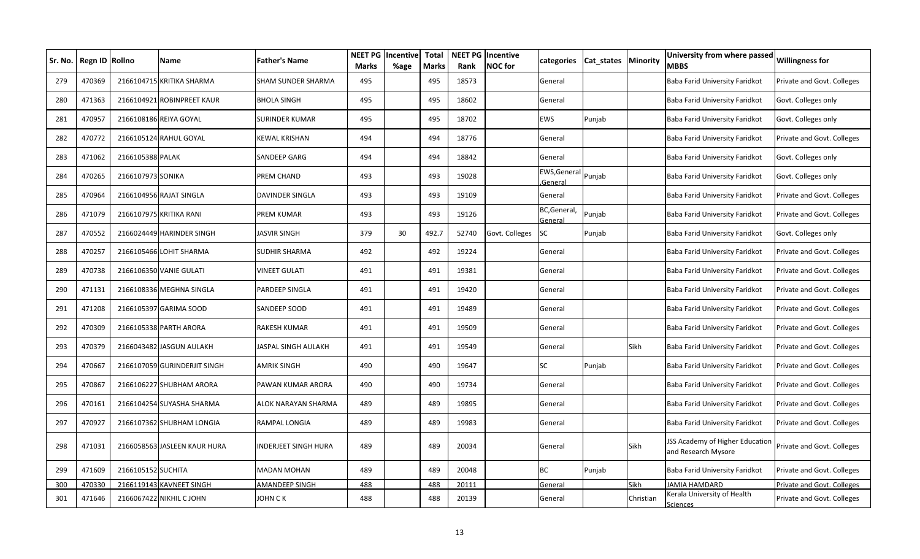| Sr. No. | Regn ID | <b>Rollno</b>      | Name                         | <b>Father's Name</b>  | <b>NEET PG</b><br><b>Marks</b> | Incentive<br>%age | <b>Total</b><br>Marks | Rank  | <b>NEET PG Incentive</b><br><b>NOC</b> for | categories              | Cat states | <b>Minority</b> | University from where passed<br><b>MBBS</b>            | <b>Willingness for</b>     |
|---------|---------|--------------------|------------------------------|-----------------------|--------------------------------|-------------------|-----------------------|-------|--------------------------------------------|-------------------------|------------|-----------------|--------------------------------------------------------|----------------------------|
| 279     | 470369  |                    | 2166104715 KRITIKA SHARMA    | SHAM SUNDER SHARMA    | 495                            |                   | 495                   | 18573 |                                            | General                 |            |                 | Baba Farid University Faridkot                         | Private and Govt. Colleges |
| 280     | 471363  |                    | 2166104921 ROBINPREET KAUR   | <b>BHOLA SINGH</b>    | 495                            |                   | 495                   | 18602 |                                            | General                 |            |                 | Baba Farid University Faridkot                         | Govt. Colleges only        |
| 281     | 470957  |                    | 2166108186 REIYA GOYAL       | <b>SURINDER KUMAR</b> | 495                            |                   | 495                   | 18702 |                                            | <b>EWS</b>              | Punjab     |                 | Baba Farid University Faridkot                         | Govt. Colleges only        |
| 282     | 470772  |                    | 2166105124 RAHUL GOYAL       | <b>KEWAL KRISHAN</b>  | 494                            |                   | 494                   | 18776 |                                            | General                 |            |                 | Baba Farid University Faridkot                         | Private and Govt. Colleges |
| 283     | 471062  | 2166105388 PALAK   |                              | SANDEEP GARG          | 494                            |                   | 494                   | 18842 |                                            | General                 |            |                 | Baba Farid University Faridkot                         | Govt. Colleges only        |
| 284     | 470265  | 2166107973 SONIKA  |                              | PREM CHAND            | 493                            |                   | 493                   | 19028 |                                            | EWS, General<br>General | Punjab     |                 | Baba Farid University Faridkot                         | Govt. Colleges only        |
| 285     | 470964  |                    | 2166104956 RAJAT SINGLA      | DAVINDER SINGLA       | 493                            |                   | 493                   | 19109 |                                            | General                 |            |                 | Baba Farid University Faridkot                         | Private and Govt. Colleges |
| 286     | 471079  |                    | 2166107975 KRITIKA RANI      | PREM KUMAR            | 493                            |                   | 493                   | 19126 |                                            | BC, General,<br>General | Punjab     |                 | Baba Farid University Faridkot                         | Private and Govt. Colleges |
| 287     | 470552  |                    | 2166024449 HARINDER SINGH    | JASVIR SINGH          | 379                            | 30                | 492.7                 | 52740 | Govt. Colleges                             | <b>SC</b>               | Punjab     |                 | Baba Farid University Faridkot                         | Govt. Colleges only        |
| 288     | 470257  |                    | 2166105466 LOHIT SHARMA      | SUDHIR SHARMA         | 492                            |                   | 492                   | 19224 |                                            | General                 |            |                 | Baba Farid University Faridkot                         | Private and Govt. Colleges |
| 289     | 470738  |                    | 2166106350 VANIE GULATI      | VINEET GULATI         | 491                            |                   | 491                   | 19381 |                                            | General                 |            |                 | Baba Farid University Faridkot                         | Private and Govt. Colleges |
| 290     | 471131  |                    | 2166108336 MEGHNA SINGLA     | PARDEEP SINGLA        | 491                            |                   | 491                   | 19420 |                                            | General                 |            |                 | Baba Farid University Faridkot                         | Private and Govt. Colleges |
| 291     | 471208  |                    | 2166105397 GARIMA SOOD       | SANDEEP SOOD          | 491                            |                   | 491                   | 19489 |                                            | General                 |            |                 | Baba Farid University Faridkot                         | Private and Govt. Colleges |
| 292     | 470309  |                    | 2166105338 PARTH ARORA       | RAKESH KUMAR          | 491                            |                   | 491                   | 19509 |                                            | General                 |            |                 | Baba Farid University Faridkot                         | Private and Govt. Colleges |
| 293     | 470379  |                    | 2166043482 JASGUN AULAKH     | JASPAL SINGH AULAKH   | 491                            |                   | 491                   | 19549 |                                            | General                 |            | Sikh            | Baba Farid University Faridkot                         | Private and Govt. Colleges |
| 294     | 470667  |                    | 2166107059 GURINDERJIT SINGH | AMRIK SINGH           | 490                            |                   | 490                   | 19647 |                                            | SC                      | Punjab     |                 | Baba Farid University Faridkot                         | Private and Govt. Colleges |
| 295     | 470867  |                    | 2166106227 SHUBHAM ARORA     | PAWAN KUMAR ARORA     | 490                            |                   | 490                   | 19734 |                                            | General                 |            |                 | Baba Farid University Faridkot                         | Private and Govt. Colleges |
| 296     | 470161  |                    | 2166104254 SUYASHA SHARMA    | ALOK NARAYAN SHARMA   | 489                            |                   | 489                   | 19895 |                                            | General                 |            |                 | Baba Farid University Faridkot                         | Private and Govt. Colleges |
| 297     | 470927  |                    | 2166107362 SHUBHAM LONGIA    | RAMPAL LONGIA         | 489                            |                   | 489                   | 19983 |                                            | General                 |            |                 | Baba Farid University Faridkot                         | Private and Govt. Colleges |
| 298     | 471031  |                    | 2166058563 JASLEEN KAUR HURA | INDERJEET SINGH HURA  | 489                            |                   | 489                   | 20034 |                                            | General                 |            | Sikh            | JSS Academy of Higher Education<br>and Research Mysore | Private and Govt. Colleges |
| 299     | 471609  | 2166105152 SUCHITA |                              | MADAN MOHAN           | 489                            |                   | 489                   | 20048 |                                            | BC                      | Punjab     |                 | <b>Baba Farid University Faridkot</b>                  | Private and Govt. Colleges |
| 300     | 470330  |                    | 2166119143 KAVNEET SINGH     | AMANDEEP SINGH        | 488                            |                   | 488                   | 20111 |                                            | General                 |            | Sikh            | <b>JAMIA HAMDARD</b>                                   | Private and Govt. Colleges |
| 301     | 471646  |                    | 2166067422 NIKHIL C JOHN     | JOHN C K              | 488                            |                   | 488                   | 20139 |                                            | General                 |            | Christian       | Kerala University of Health<br><u>Sciences</u>         | Private and Govt. Colleges |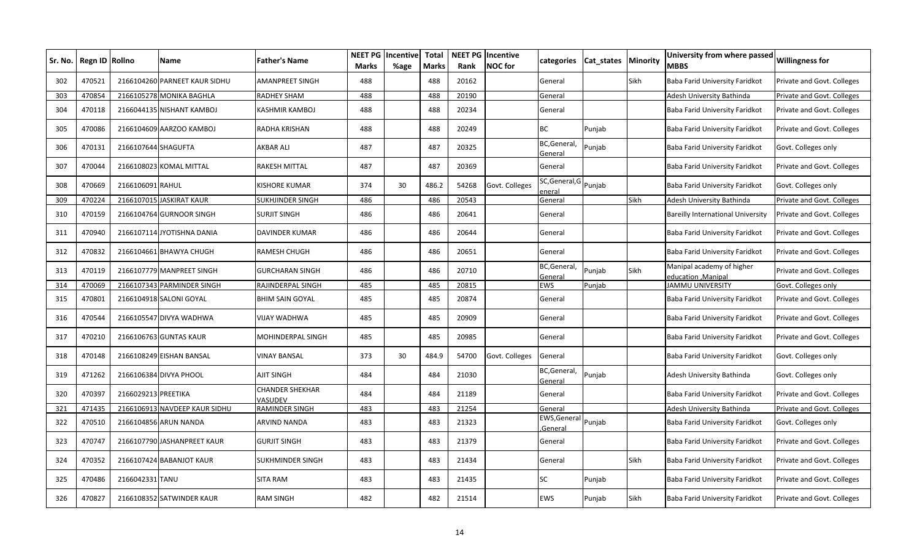| Sr. No. | Regn ID Rollno |                     | Name                          | <b>Father's Name</b>                     | <b>NEET PG</b><br>Marks | Incentive<br>%age | <b>Total</b><br><b>Marks</b> | Rank  | <b>NEET PG Incentive</b><br>NOC for | categories                     | Cat states | Minority | University from where passed<br>MBBS                  | <b>Willingness for</b>     |
|---------|----------------|---------------------|-------------------------------|------------------------------------------|-------------------------|-------------------|------------------------------|-------|-------------------------------------|--------------------------------|------------|----------|-------------------------------------------------------|----------------------------|
| 302     | 470521         | 2166104260          | <b>PARNEET KAUR SIDHU</b>     | <b>AMANPREET SINGH</b>                   | 488                     |                   | 488                          | 20162 |                                     | General                        |            | Sikh     | Baba Farid University Faridkot                        | Private and Govt. Colleges |
| 303     | 470854         |                     | 2166105278 MONIKA BAGHLA      | <b>RADHEY SHAM</b>                       | 488                     |                   | 488                          | 20190 |                                     | General                        |            |          | Adesh University Bathinda                             | Private and Govt. Colleges |
| 304     | 470118         |                     | 2166044135 NISHANT KAMBOJ     | KASHMIR KAMBOJ                           | 488                     |                   | 488                          | 20234 |                                     | General                        |            |          | Baba Farid University Faridkot                        | Private and Govt. Colleges |
| 305     | 470086         |                     | 2166104609 AARZOO KAMBOJ      | RADHA KRISHAN                            | 488                     |                   | 488                          | 20249 |                                     | ВC                             | Punjab     |          | Baba Farid University Faridkot                        | Private and Govt. Colleges |
| 306     | 470131         | 2166107644 SHAGUFTA |                               | <b>AKBAR ALI</b>                         | 487                     |                   | 487                          | 20325 |                                     | BC, General,<br><u>General</u> | Punjab     |          | Baba Farid University Faridkot                        | Govt. Colleges only        |
| 307     | 470044         |                     | 2166108023 KOMAL MITTAL       | RAKESH MITTAL                            | 487                     |                   | 487                          | 20369 |                                     | General                        |            |          | Baba Farid University Faridkot                        | Private and Govt. Colleges |
| 308     | 470669         | 2166106091          | <b>RAHUL</b>                  | <b>KISHORE KUMAR</b>                     | 374                     | 30                | 486.2                        | 54268 | Govt. Colleges                      | SC, General, G<br>enera        | Punjab     |          | Baba Farid University Faridkot                        | Govt. Colleges only        |
| 309     | 470224         |                     | 2166107015 JASKIRAT KAUR      | <b>SUKHJINDER SINGH</b>                  | 486                     |                   | 486                          | 20543 |                                     | General                        |            | Sikh     | Adesh University Bathinda                             | Private and Govt. Colleges |
| 310     | 470159         |                     | 2166104764 GURNOOR SINGH      | <b>SURJIT SINGH</b>                      | 486                     |                   | 486                          | 20641 |                                     | General                        |            |          | Bareilly International University                     | Private and Govt. Colleges |
| 311     | 470940         |                     | 2166107114 JYOTISHNA DANIA    | <b>DAVINDER KUMAR</b>                    | 486                     |                   | 486                          | 20644 |                                     | General                        |            |          | Baba Farid University Faridkot                        | Private and Govt. Colleges |
| 312     | 470832         |                     | 2166104661 BHAWYA CHUGH       | <b>RAMESH CHUGH</b>                      | 486                     |                   | 486                          | 20651 |                                     | General                        |            |          | Baba Farid University Faridkot                        | Private and Govt. Colleges |
| 313     | 470119         |                     | 2166107779 MANPREET SINGH     | <b>GURCHARAN SINGH</b>                   | 486                     |                   | 486                          | 20710 |                                     | BC,General,<br><u>General</u>  | Punjab     | Sikh     | Manipal academy of higher<br><b>ducation</b> .Manipal | Private and Govt. Colleges |
| 314     | 470069         |                     | 2166107343 PARMINDER SINGH    | RAJINDERPAL SINGH                        | 485                     |                   | 485                          | 20815 |                                     | <b>EWS</b>                     | Punjab     |          | <b>JAMMU UNIVERSITY</b>                               | Govt. Colleges only        |
| 315     | 470801         |                     | 2166104918 SALONI GOYAL       | <b>BHIM SAIN GOYAL</b>                   | 485                     |                   | 485                          | 20874 |                                     | General                        |            |          | Baba Farid University Faridkot                        | Private and Govt. Colleges |
| 316     | 470544         |                     | 2166105547 DIVYA WADHWA       | VIJAY WADHWA                             | 485                     |                   | 485                          | 20909 |                                     | General                        |            |          | Baba Farid University Faridkot                        | Private and Govt. Colleges |
| 317     | 470210         |                     | 2166106763 GUNTAS KAUR        | <b>MOHINDERPAL SINGH</b>                 | 485                     |                   | 485                          | 20985 |                                     | General                        |            |          | Baba Farid University Faridkot                        | Private and Govt. Colleges |
| 318     | 470148         |                     | 2166108249 EISHAN BANSAL      | <b>VINAY BANSAL</b>                      | 373                     | 30                | 484.9                        | 54700 | Govt. Colleges                      | General                        |            |          | Baba Farid University Faridkot                        | Govt. Colleges only        |
| 319     | 471262         |                     | 2166106384 DIVYA PHOOL        | AJIT SINGH                               | 484                     |                   | 484                          | 21030 |                                     | BC, General,<br><u>Genera</u>  | Punjab     |          | Adesh University Bathinda                             | Govt. Colleges only        |
| 320     | 470397         | 2166029213 PREETIKA |                               | <b>CHANDER SHEKHAR</b><br><b>/ASUDEV</b> | 484                     |                   | 484                          | 21189 |                                     | General                        |            |          | Baba Farid University Faridkot                        | Private and Govt. Colleges |
| 321     | 471435         |                     | 2166106913 NAVDEEP KAUR SIDHU | <b>RAMINDER SINGH</b>                    | 483                     |                   | 483                          | 21254 |                                     | General                        |            |          | Adesh University Bathinda                             | Private and Govt. Colleges |
| 322     | 470510         |                     | 2166104856 ARUN NANDA         | ARVIND NANDA                             | 483                     |                   | 483                          | 21323 |                                     | EWS, General<br>Genera         | Punjab     |          | Baba Farid University Faridkot                        | Govt. Colleges only        |
| 323     | 470747         |                     | 2166107790 JASHANPREET KAUR   | <b>GURJIT SINGH</b>                      | 483                     |                   | 483                          | 21379 |                                     | General                        |            |          | Baba Farid University Faridkot                        | Private and Govt. Colleges |
| 324     | 470352         |                     | 2166107424 BABANJOT KAUR      | <b>SUKHMINDER SINGH</b>                  | 483                     |                   | 483                          | 21434 |                                     | General                        |            | Sikh     | Baba Farid University Faridkot                        | Private and Govt. Colleges |
| 325     | 470486         | 2166042331 TANU     |                               | <b>SITA RAM</b>                          | 483                     |                   | 483                          | 21435 |                                     | SC                             | Punjab     |          | Baba Farid University Faridkot                        | Private and Govt. Colleges |
| 326     | 470827         |                     | 2166108352 SATWINDER KAUR     | <b>RAM SINGH</b>                         | 482                     |                   | 482                          | 21514 |                                     | <b>EWS</b>                     | Punjab     | Sikh     | Baba Farid University Faridkot                        | Private and Govt. Colleges |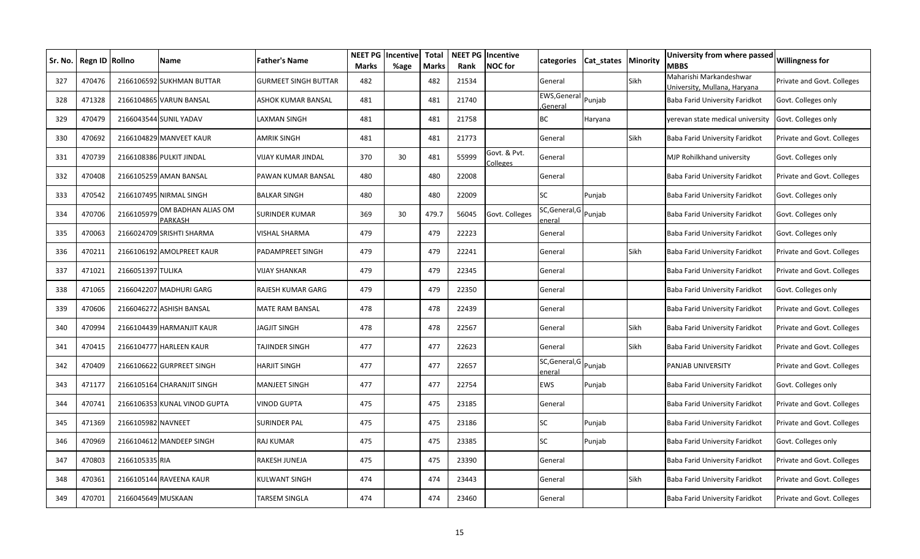| Sr. No. | Regn ID Rollno |                    | Name                                 | Father's Name        | <b>NEET PG</b><br><b>Marks</b> | Incentive<br>%age | <b>Total</b><br><b>Marks</b> | Rank  | <b>NEET PG Incentive</b><br><b>NOC</b> for | categories                      | Cat_states   Minority |      | University from where passed<br>MBBS                    | <b>Willingness for</b>     |
|---------|----------------|--------------------|--------------------------------------|----------------------|--------------------------------|-------------------|------------------------------|-------|--------------------------------------------|---------------------------------|-----------------------|------|---------------------------------------------------------|----------------------------|
| 327     | 470476         |                    | 2166106592 SUKHMAN BUTTAR            | GURMEET SINGH BUTTAR | 482                            |                   | 482                          | 21534 |                                            | General                         |                       | Sikh | Maharishi Markandeshwar<br>Jniversity, Mullana, Haryana | Private and Govt. Colleges |
| 328     | 471328         |                    | 2166104865 VARUN BANSAL              | ASHOK KUMAR BANSAL   | 481                            |                   | 481                          | 21740 |                                            | EWS, General<br>General         | Punjab                |      | Baba Farid University Faridkot                          | Govt. Colleges only        |
| 329     | 470479         |                    | 2166043544 SUNIL YADAV               | LAXMAN SINGH         | 481                            |                   | 481                          | 21758 |                                            | ВC                              | Haryana               |      | yerevan state medical university                        | Govt. Colleges only        |
| 330     | 470692         |                    | 2166104829 MANVEET KAUR              | AMRIK SINGH          | 481                            |                   | 481                          | 21773 |                                            | General                         |                       | Sikh | Baba Farid University Faridkot                          | Private and Govt. Colleges |
| 331     | 470739         |                    | 2166108386 PULKIT JINDAL             | VIJAY KUMAR JINDAL   | 370                            | 30                | 481                          | 55999 | Govt. & Pvt.<br>Colleges                   | General                         |                       |      | MJP Rohilkhand university                               | Govt. Colleges only        |
| 332     | 470408         |                    | 2166105259 AMAN BANSAL               | PAWAN KUMAR BANSAL   | 480                            |                   | 480                          | 22008 |                                            | General                         |                       |      | Baba Farid University Faridkot                          | Private and Govt. Colleges |
| 333     | 470542         |                    | 2166107495 NIRMAL SINGH              | BALKAR SINGH         | 480                            |                   | 480                          | 22009 |                                            | SC                              | Punjab                |      | Baba Farid University Faridkot                          | Govt. Colleges only        |
| 334     | 470706         | 2166105979         | OM BADHAN ALIAS OM<br><b>PARKASH</b> | SURINDER KUMAR       | 369                            | 30                | 479.7                        | 56045 | Govt. Colleges                             | SC, General, G Punjab<br>eneral |                       |      | Baba Farid University Faridkot                          | Govt. Colleges only        |
| 335     | 470063         |                    | 2166024709 SRISHTI SHARMA            | VISHAL SHARMA        | 479                            |                   | 479                          | 22223 |                                            | General                         |                       |      | Baba Farid University Faridkot                          | Govt. Colleges only        |
| 336     | 470211         |                    | 2166106192 AMOLPREET KAUR            | PADAMPREET SINGH     | 479                            |                   | 479                          | 22241 |                                            | General                         |                       | Sikh | Baba Farid University Faridkot                          | Private and Govt. Colleges |
| 337     | 471021         | 2166051397 TULIKA  |                                      | VIJAY SHANKAR        | 479                            |                   | 479                          | 22345 |                                            | General                         |                       |      | Baba Farid University Faridkot                          | Private and Govt. Colleges |
| 338     | 471065         |                    | 2166042207 MADHURI GARG              | RAJESH KUMAR GARG    | 479                            |                   | 479                          | 22350 |                                            | General                         |                       |      | Baba Farid University Faridkot                          | Govt. Colleges only        |
| 339     | 470606         |                    | 2166046272 ASHISH BANSAL             | MATE RAM BANSAL      | 478                            |                   | 478                          | 22439 |                                            | General                         |                       |      | Baba Farid University Faridkot                          | Private and Govt. Colleges |
| 340     | 470994         |                    | 2166104439 HARMANJIT KAUR            | JAGJIT SINGH         | 478                            |                   | 478                          | 22567 |                                            | General                         |                       | Sikh | Baba Farid University Faridkot                          | Private and Govt. Colleges |
| 341     | 470415         |                    | 2166104777 HARLEEN KAUR              | TAJINDER SINGH       | 477                            |                   | 477                          | 22623 |                                            | General                         |                       | Sikh | Baba Farid University Faridkot                          | Private and Govt. Colleges |
| 342     | 470409         |                    | 2166106622 GURPREET SINGH            | <b>HARJIT SINGH</b>  | 477                            |                   | 477                          | 22657 |                                            | SC, General, G Punjab<br>eneral |                       |      | PANJAB UNIVERSITY                                       | Private and Govt. Colleges |
| 343     | 471177         |                    | 2166105164 CHARANJIT SINGH           | MANJEET SINGH        | 477                            |                   | 477                          | 22754 |                                            | EWS                             | Punjab                |      | Baba Farid University Faridkot                          | Govt. Colleges only        |
| 344     | 470741         |                    | 2166106353 KUNAL VINOD GUPTA         | VINOD GUPTA          | 475                            |                   | 475                          | 23185 |                                            | General                         |                       |      | Baba Farid University Faridkot                          | Private and Govt. Colleges |
| 345     | 471369         | 2166105982 NAVNEET |                                      | SURINDER PAL         | 475                            |                   | 475                          | 23186 |                                            | SC                              | Punjab                |      | Baba Farid University Faridkot                          | Private and Govt. Colleges |
| 346     | 470969         |                    | 2166104612 MANDEEP SINGH             | RAJ KUMAR            | 475                            |                   | 475                          | 23385 |                                            | SC                              | Punjab                |      | Baba Farid University Faridkot                          | Govt. Colleges only        |
| 347     | 470803         | 2166105335 RIA     |                                      | RAKESH JUNEJA        | 475                            |                   | 475                          | 23390 |                                            | General                         |                       |      | Baba Farid University Faridkot                          | Private and Govt. Colleges |
| 348     | 470361         |                    | 2166105144 RAVEENA KAUR              | <b>KULWANT SINGH</b> | 474                            |                   | 474                          | 23443 |                                            | General                         |                       | Sikh | Baba Farid University Faridkot                          | Private and Govt. Colleges |
| 349     | 470701         | 2166045649 MUSKAAN |                                      | TARSEM SINGLA        | 474                            |                   | 474                          | 23460 |                                            | General                         |                       |      | Baba Farid University Faridkot                          | Private and Govt. Colleges |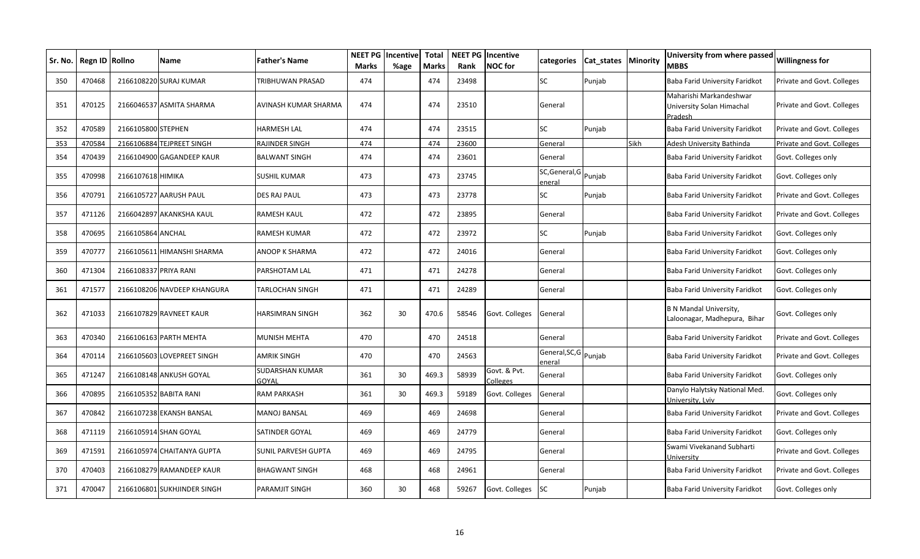| Sr. No. | Regn ID | <b>Rollno</b>         | Name                        | <b>Father's Name</b>            | NEET PG<br><b>Marks</b> | Incentive<br>%age | <b>Total</b><br><b>Marks</b> | Rank  | <b>NEET PG Incentive</b><br><b>NOC</b> for | categories                      | Cat states | Minority | University from where passed<br><b>MBBS</b>                     | <b>Willingness for</b>     |
|---------|---------|-----------------------|-----------------------------|---------------------------------|-------------------------|-------------------|------------------------------|-------|--------------------------------------------|---------------------------------|------------|----------|-----------------------------------------------------------------|----------------------------|
| 350     | 470468  |                       | 2166108220 SURAJ KUMAR      | TRIBHUWAN PRASAD                | 474                     |                   | 474                          | 23498 |                                            | <b>SC</b>                       | Punjab     |          | Baba Farid University Faridkot                                  | Private and Govt. Colleges |
| 351     | 470125  |                       | 2166046537 ASMITA SHARMA    | AVINASH KUMAR SHARMA            | 474                     |                   | 474                          | 23510 |                                            | General                         |            |          | Maharishi Markandeshwar<br>University Solan Himachal<br>Pradesh | Private and Govt. Colleges |
| 352     | 470589  | 2166105800 STEPHEN    |                             | <b>HARMESH LAL</b>              | 474                     |                   | 474                          | 23515 |                                            | SC                              | Punjab     |          | Baba Farid University Faridkot                                  | Private and Govt. Colleges |
| 353     | 470584  |                       | 2166106884 TEJPREET SINGH   | RAJINDER SINGH                  | 474                     |                   | 474                          | 23600 |                                            | General                         |            | Sikh     | Adesh University Bathinda                                       | Private and Govt. Colleges |
| 354     | 470439  |                       | 2166104900 GAGANDEEP KAUR   | <b>BALWANT SINGH</b>            | 474                     |                   | 474                          | 23601 |                                            | General                         |            |          | Baba Farid University Faridkot                                  | Govt. Colleges only        |
| 355     | 470998  | 2166107618 HIMIKA     |                             | SUSHIL KUMAR                    | 473                     |                   | 473                          | 23745 |                                            | SC, General, G Punjab<br>eneral |            |          | Baba Farid University Faridkot                                  | Govt. Colleges only        |
| 356     | 470791  |                       | 2166105727 AARUSH PAUL      | DES RAJ PAUL                    | 473                     |                   | 473                          | 23778 |                                            | <b>SC</b>                       | Punjab     |          | <b>Baba Farid University Faridkot</b>                           | Private and Govt. Colleges |
| 357     | 471126  |                       | 2166042897 AKANKSHA KAUL    | RAMESH KAUL                     | 472                     |                   | 472                          | 23895 |                                            | General                         |            |          | Baba Farid University Faridkot                                  | Private and Govt. Colleges |
| 358     | 470695  | 2166105864 ANCHAL     |                             | RAMESH KUMAR                    | 472                     |                   | 472                          | 23972 |                                            | SC                              | Punjab     |          | Baba Farid University Faridkot                                  | Govt. Colleges only        |
| 359     | 470777  |                       | 2166105611 HIMANSHI SHARMA  | ANOOP K SHARMA                  | 472                     |                   | 472                          | 24016 |                                            | General                         |            |          | Baba Farid University Faridkot                                  | Govt. Colleges only        |
| 360     | 471304  | 2166108337 PRIYA RANI |                             | PARSHOTAM LAL                   | 471                     |                   | 471                          | 24278 |                                            | General                         |            |          | Baba Farid University Faridkot                                  | Govt. Colleges only        |
| 361     | 471577  |                       | 2166108206 NAVDEEP KHANGURA | TARLOCHAN SINGH                 | 471                     |                   | 471                          | 24289 |                                            | General                         |            |          | Baba Farid University Faridkot                                  | Govt. Colleges only        |
| 362     | 471033  |                       | 2166107829 RAVNEET KAUR     | HARSIMRAN SINGH                 | 362                     | 30                | 470.6                        | 58546 | Govt. Colleges                             | General                         |            |          | <b>B N Mandal University,</b><br>Laloonagar, Madhepura, Bihar   | Govt. Colleges only        |
| 363     | 470340  |                       | 2166106163 PARTH MEHTA      | MUNISH MEHTA                    | 470                     |                   | 470                          | 24518 |                                            | General                         |            |          | Baba Farid University Faridkot                                  | Private and Govt. Colleges |
| 364     | 470114  |                       | 2166105603 LOVEPREET SINGH  | AMRIK SINGH                     | 470                     |                   | 470                          | 24563 |                                            | General, SC, G Punjab<br>eneral |            |          | Baba Farid University Faridkot                                  | Private and Govt. Colleges |
| 365     | 471247  |                       | 2166108148 ANKUSH GOYAL     | <b>SUDARSHAN KUMAR</b><br>GOYAL | 361                     | 30                | 469.3                        | 58939 | Govt. & Pvt.<br>Colleges                   | General                         |            |          | Baba Farid University Faridkot                                  | Govt. Colleges only        |
| 366     | 470895  |                       | 2166105352 BABITA RANI      | RAM PARKASH                     | 361                     | 30                | 469.3                        | 59189 | Govt. Colleges                             | General                         |            |          | Danylo Halytsky National Med.<br>University, Lviv               | Govt. Colleges only        |
| 367     | 470842  |                       | 2166107238 EKANSH BANSAL    | <b>MANOJ BANSAL</b>             | 469                     |                   | 469                          | 24698 |                                            | General                         |            |          | Baba Farid University Faridkot                                  | Private and Govt. Colleges |
| 368     | 471119  |                       | 2166105914 SHAN GOYAL       | SATINDER GOYAL                  | 469                     |                   | 469                          | 24779 |                                            | General                         |            |          | Baba Farid University Faridkot                                  | Govt. Colleges only        |
| 369     | 471591  |                       | 2166105974 CHAITANYA GUPTA  | SUNIL PARVESH GUPTA             | 469                     |                   | 469                          | 24795 |                                            | General                         |            |          | Swami Vivekanand Subharti<br>Jniversity                         | Private and Govt. Colleges |
| 370     | 470403  |                       | 2166108279 RAMANDEEP KAUR   | <b>BHAGWANT SINGH</b>           | 468                     |                   | 468                          | 24961 |                                            | General                         |            |          | Baba Farid University Faridkot                                  | Private and Govt. Colleges |
| 371     | 470047  |                       | 2166106801 SUKHJINDER SINGH | PARAMJIT SINGH                  | 360                     | 30                | 468                          | 59267 | Govt. Colleges                             | <b>SC</b>                       | Punjab     |          | Baba Farid University Faridkot                                  | Govt. Colleges only        |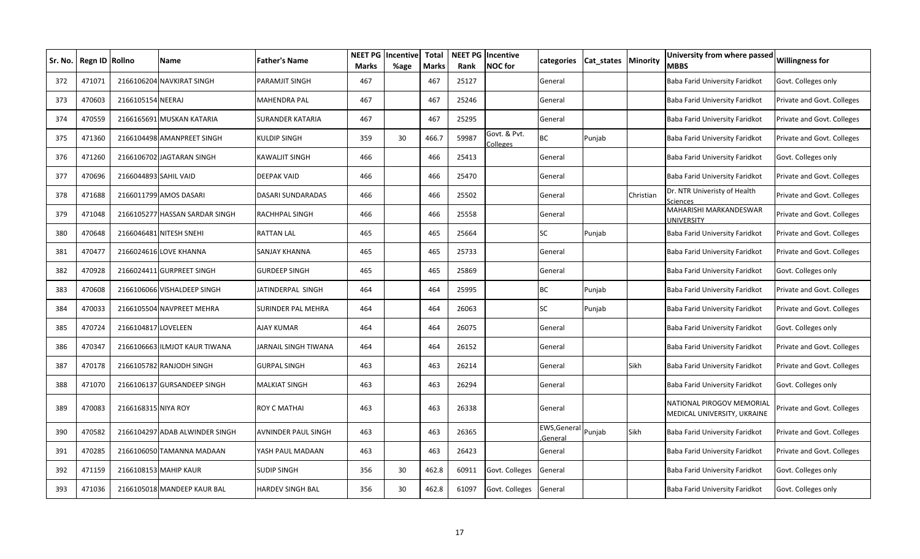| Sr. No. I | Regn ID Rollno |                       | Name                           | <b>Father's Name</b> | <b>NEET PG</b><br><b>Marks</b> | Incentive<br>%age | <b>Total</b><br><b>Marks</b> | Rank  | <b>NEET PG Incentive</b><br><b>NOC</b> for | categories                     | Cat_states   Minority |           | University from where passed<br>MBBS                     | <b>Willingness for</b>     |
|-----------|----------------|-----------------------|--------------------------------|----------------------|--------------------------------|-------------------|------------------------------|-------|--------------------------------------------|--------------------------------|-----------------------|-----------|----------------------------------------------------------|----------------------------|
| 372       | 471071         |                       | 2166106204 NAVKIRAT SINGH      | PARAMJIT SINGH       | 467                            |                   | 467                          | 25127 |                                            | General                        |                       |           | Baba Farid University Faridkot                           | Govt. Colleges only        |
| 373       | 470603         | 2166105154 NEERAJ     |                                | MAHENDRA PAL         | 467                            |                   | 467                          | 25246 |                                            | General                        |                       |           | Baba Farid University Faridkot                           | Private and Govt. Colleges |
| 374       | 470559         |                       | 2166165691 MUSKAN KATARIA      | SURANDER KATARIA     | 467                            |                   | 467                          | 25295 |                                            | General                        |                       |           | Baba Farid University Faridkot                           | Private and Govt. Colleges |
| 375       | 471360         |                       | 2166104498 AMANPREET SINGH     | KULDIP SINGH         | 359                            | 30                | 466.7                        | 59987 | Govt. & Pvt.<br>Colleges                   | <b>BC</b>                      | Punjab                |           | Baba Farid University Faridkot                           | Private and Govt. Colleges |
| 376       | 471260         |                       | 2166106702 JAGTARAN SINGH      | KAWALJIT SINGH       | 466                            |                   | 466                          | 25413 |                                            | General                        |                       |           | Baba Farid University Faridkot                           | Govt. Colleges only        |
| 377       | 470696         | 2166044893 SAHIL VAID |                                | DEEPAK VAID          | 466                            |                   | 466                          | 25470 |                                            | General                        |                       |           | <b>Baba Farid University Faridkot</b>                    | Private and Govt. Colleges |
| 378       | 471688         |                       | 2166011799 AMOS DASARI         | DASARI SUNDARADAS    | 466                            |                   | 466                          | 25502 |                                            | General                        |                       | Christian | Dr. NTR Univeristy of Health<br>Sciences                 | Private and Govt. Colleges |
| 379       | 471048         |                       | 2166105277 HASSAN SARDAR SINGH | RACHHPAL SINGH       | 466                            |                   | 466                          | 25558 |                                            | General                        |                       |           | MAHARISHI MARKANDESWAR<br><b>JNIVERSITY</b>              | Private and Govt. Colleges |
| 380       | 470648         |                       | 2166046481 NITESH SNEHI        | RATTAN LAL           | 465                            |                   | 465                          | 25664 |                                            | SC                             | Punjab                |           | Baba Farid University Faridkot                           | Private and Govt. Colleges |
| 381       | 470477         |                       | 2166024616 LOVE KHANNA         | SANJAY KHANNA        | 465                            |                   | 465                          | 25733 |                                            | General                        |                       |           | Baba Farid University Faridkot                           | Private and Govt. Colleges |
| 382       | 470928         |                       | 2166024411 GURPREET SINGH      | GURDEEP SINGH        | 465                            |                   | 465                          | 25869 |                                            | General                        |                       |           | Baba Farid University Faridkot                           | Govt. Colleges only        |
| 383       | 470608         |                       | 2166106066 VISHALDEEP SINGH    | IATINDERPAL SINGH    | 464                            |                   | 464                          | 25995 |                                            | <b>BC</b>                      | Punjab                |           | Baba Farid University Faridkot                           | Private and Govt. Colleges |
| 384       | 470033         |                       | 2166105504 NAVPREET MEHRA      | SURINDER PAL MEHRA   | 464                            |                   | 464                          | 26063 |                                            | SC                             | Punjab                |           | Baba Farid University Faridkot                           | Private and Govt. Colleges |
| 385       | 470724         | 2166104817 LOVELEEN   |                                | AJAY KUMAR           | 464                            |                   | 464                          | 26075 |                                            | General                        |                       |           | Baba Farid University Faridkot                           | Govt. Colleges only        |
| 386       | 470347         |                       | 2166106663 ILMJOT KAUR TIWANA  | JARNAIL SINGH TIWANA | 464                            |                   | 464                          | 26152 |                                            | General                        |                       |           | Baba Farid University Faridkot                           | Private and Govt. Colleges |
| 387       | 470178         |                       | 2166105782 RANJODH SINGH       | <b>GURPAL SINGH</b>  | 463                            |                   | 463                          | 26214 |                                            | General                        |                       | Sikh      | Baba Farid University Faridkot                           | Private and Govt. Colleges |
| 388       | 471070         |                       | 2166106137 GURSANDEEP SINGH    | MALKIAT SINGH        | 463                            |                   | 463                          | 26294 |                                            | General                        |                       |           | Baba Farid University Faridkot                           | Govt. Colleges only        |
| 389       | 470083         | 2166168315 NIYA ROY   |                                | ROY C MATHAI         | 463                            |                   | 463                          | 26338 |                                            | General                        |                       |           | NATIONAL PIROGOV MEMORIAL<br>MEDICAL UNIVERSITY, UKRAINE | Private and Govt. Colleges |
| 390       | 470582         |                       | 2166104297 ADAB ALWINDER SINGH | AVNINDER PAUL SINGH  | 463                            |                   | 463                          | 26365 |                                            | EWS, General Punjab<br>General |                       | Sikh      | Baba Farid University Faridkot                           | Private and Govt. Colleges |
| 391       | 470285         |                       | 2166106050 TAMANNA MADAAN      | YASH PAUL MADAAN     | 463                            |                   | 463                          | 26423 |                                            | General                        |                       |           | Baba Farid University Faridkot                           | Private and Govt. Colleges |
| 392       | 471159         |                       | 2166108153 MAHIP KAUR          | SUDIP SINGH          | 356                            | 30                | 462.8                        | 60911 | Govt. Colleges                             | General                        |                       |           | Baba Farid University Faridkot                           | Govt. Colleges only        |
| 393       | 471036         |                       | 2166105018 MANDEEP KAUR BAL    | HARDEV SINGH BAL     | 356                            | 30                | 462.8                        | 61097 | Govt. Colleges                             | General                        |                       |           | Baba Farid University Faridkot                           | Govt. Colleges only        |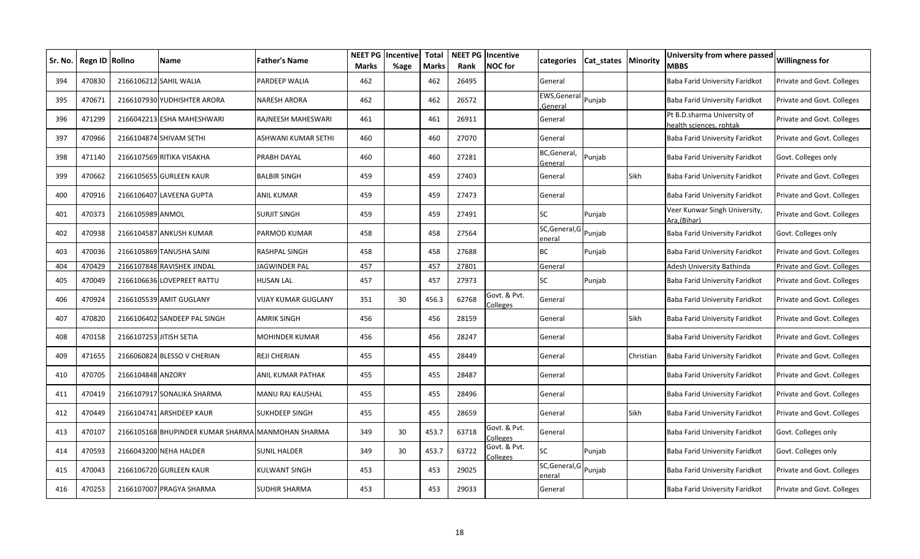| Sr. No. | Regn ID Rollno |                         | Name                                              | <b>Father's Name</b>  | NEET PG<br><b>Marks</b> | Incentive<br>%age | <b>Total</b><br><b>Marks</b> | Rank  | <b>NEET PG Incentive</b><br><b>NOC</b> for | categories                      | Cat states   Minority |           | University from where passed<br><b>MBBS</b>           | <b>Willingness for</b>     |
|---------|----------------|-------------------------|---------------------------------------------------|-----------------------|-------------------------|-------------------|------------------------------|-------|--------------------------------------------|---------------------------------|-----------------------|-----------|-------------------------------------------------------|----------------------------|
| 394     | 470830         |                         | 2166106212 SAHIL WALIA                            | <b>PARDEEP WALIA</b>  | 462                     |                   | 462                          | 26495 |                                            | General                         |                       |           | Baba Farid University Faridkot                        | Private and Govt. Colleges |
| 395     | 470671         |                         | 2166107930 YUDHISHTER ARORA                       | <b>NARESH ARORA</b>   | 462                     |                   | 462                          | 26572 |                                            | EWS, General Punjab<br>General  |                       |           | Baba Farid University Faridkot                        | Private and Govt. Colleges |
| 396     | 471299         |                         | 2166042213 ESHA MAHESHWARI                        | RAJNEESH MAHESWARI    | 461                     |                   | 461                          | 26911 |                                            | General                         |                       |           | Pt B.D.sharma University of<br>ealth sciences, rohtak | Private and Govt. Colleges |
| 397     | 470966         |                         | 2166104874 SHIVAM SETHI                           | ASHWANI KUMAR SETHI   | 460                     |                   | 460                          | 27070 |                                            | General                         |                       |           | Baba Farid University Faridkot                        | Private and Govt. Colleges |
| 398     | 471140         |                         | 2166107569 RITIKA VISAKHA                         | PRABH DAYAL           | 460                     |                   | 460                          | 27281 |                                            | BC, General,<br>General         | Punjab                |           | Baba Farid University Faridkot                        | Govt. Colleges only        |
| 399     | 470662         |                         | 2166105655 GURLEEN KAUR                           | <b>BALBIR SINGH</b>   | 459                     |                   | 459                          | 27403 |                                            | General                         |                       | Sikh      | Baba Farid University Faridkot                        | Private and Govt. Colleges |
| 400     | 470916         |                         | 2166106407 LAVEENA GUPTA                          | <b>ANIL KUMAR</b>     | 459                     |                   | 459                          | 27473 |                                            | General                         |                       |           | Baba Farid University Faridkot                        | Private and Govt. Colleges |
| 401     | 470373         | 2166105989 ANMOL        |                                                   | <b>SURJIT SINGH</b>   | 459                     |                   | 459                          | 27491 |                                            | SC                              | Punjab                |           | Veer Kunwar Singh University,<br>Ara.(Bihar)          | Private and Govt. Colleges |
| 402     | 470938         |                         | 2166104587 ANKUSH KUMAR                           | PARMOD KUMAR          | 458                     |                   | 458                          | 27564 |                                            | SC, General, G Punjab<br>enera  |                       |           | Baba Farid University Faridkot                        | Govt. Colleges only        |
| 403     | 470036         |                         | 2166105869 TANUSHA SAINI                          | RASHPAL SINGH         | 458                     |                   | 458                          | 27688 |                                            | <b>BC</b>                       | Punjab                |           | Baba Farid University Faridkot                        | Private and Govt. Colleges |
| 404     | 470429         |                         | 2166107848 RAVISHEK JINDAL                        | <b>JAGWINDER PAL</b>  | 457                     |                   | 457                          | 27801 |                                            | General                         |                       |           | Adesh University Bathinda                             | Private and Govt. Colleges |
| 405     | 470049         |                         | 2166106636 LOVEPREET RATTU                        | <b>HUSAN LAL</b>      | 457                     |                   | 457                          | 27973 |                                            | SC                              | Punjab                |           | Baba Farid University Faridkot                        | Private and Govt. Colleges |
| 406     | 470924         |                         | 2166105539 AMIT GUGLANY                           | VIJAY KUMAR GUGLANY   | 351                     | 30                | 456.3                        | 62768 | Govt. & Pvt.<br>Colleges                   | General                         |                       |           | Baba Farid University Faridkot                        | Private and Govt. Colleges |
| 407     | 470820         |                         | 2166106402 SANDEEP PAL SINGH                      | <b>AMRIK SINGH</b>    | 456                     |                   | 456                          | 28159 |                                            | General                         |                       | Sikh      | Baba Farid University Faridkot                        | Private and Govt. Colleges |
| 408     | 470158         | 2166107253 JITISH SETIA |                                                   | MOHINDER KUMAR        | 456                     |                   | 456                          | 28247 |                                            | General                         |                       |           | Baba Farid University Faridkot                        | Private and Govt. Colleges |
| 409     | 471655         |                         | 2166060824 BLESSO V CHERIAN                       | <b>REJI CHERIAN</b>   | 455                     |                   | 455                          | 28449 |                                            | General                         |                       | Christian | Baba Farid University Faridkot                        | Private and Govt. Colleges |
| 410     | 470705         | 2166104848 ANZORY       |                                                   | ANIL KUMAR PATHAK     | 455                     |                   | 455                          | 28487 |                                            | General                         |                       |           | Baba Farid University Faridkot                        | Private and Govt. Colleges |
| 411     | 470419         |                         | 2166107917 SONALIKA SHARMA                        | MANU RAJ KAUSHAL      | 455                     |                   | 455                          | 28496 |                                            | General                         |                       |           | Baba Farid University Faridkot                        | Private and Govt. Colleges |
| 412     | 470449         |                         | 2166104741 ARSHDEEP KAUR                          | <b>SUKHDEEP SINGH</b> | 455                     |                   | 455                          | 28659 |                                            | General                         |                       | Sikh      | Baba Farid University Faridkot                        | Private and Govt. Colleges |
| 413     | 470107         |                         | 2166105168 BHUPINDER KUMAR SHARMA MANMOHAN SHARMA |                       | 349                     | 30                | 453.7                        | 63718 | Govt. & Pvt.<br>Colleges                   | General                         |                       |           | Baba Farid University Faridkot                        | Govt. Colleges only        |
| 414     | 470593         |                         | 2166043200 NEHA HALDER                            | <b>SUNIL HALDER</b>   | 349                     | 30                | 453.7                        | 63722 | Govt. & Pvt.<br><b>Colleges</b>            | SC                              | Punjab                |           | Baba Farid University Faridkot                        | Govt. Colleges only        |
| 415     | 470043         |                         | 2166106720 GURLEEN KAUR                           | KULWANT SINGH         | 453                     |                   | 453                          | 29025 |                                            | SC, General, G Punjab<br>eneral |                       |           | Baba Farid University Faridkot                        | Private and Govt. Colleges |
| 416     | 470253         |                         | 2166107007 PRAGYA SHARMA                          | <b>SUDHIR SHARMA</b>  | 453                     |                   | 453                          | 29033 |                                            | General                         |                       |           | Baba Farid University Faridkot                        | Private and Govt. Colleges |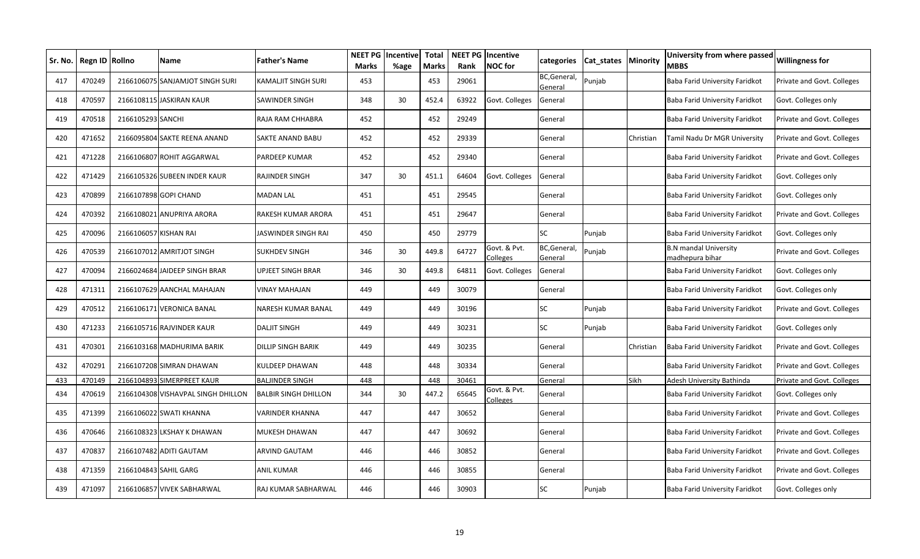| Sr. No. I | <b>Regn ID</b> | <b>Rollno</b>         | Name                               | <b>Father's Name</b>        | <b>NEET PG</b><br><b>Marks</b> | Incentive<br>%age | <b>Total</b><br><b>Marks</b> | Rank  | <b>NEET PG</b> Incentive<br><b>NOC</b> for | categories              | Cat states | <b>Minority</b> | University from where passed<br><b>MBBS</b>     | <b>Willingness for</b>     |
|-----------|----------------|-----------------------|------------------------------------|-----------------------------|--------------------------------|-------------------|------------------------------|-------|--------------------------------------------|-------------------------|------------|-----------------|-------------------------------------------------|----------------------------|
| 417       | 470249         |                       | 2166106075 SANJAMJOT SINGH SURI    | KAMALJIT SINGH SURI         | 453                            |                   | 453                          | 29061 |                                            | BC, General,<br>General | Punjab     |                 | Baba Farid University Faridkot                  | Private and Govt. Colleges |
| 418       | 470597         |                       | 2166108115 JASKIRAN KAUR           | SAWINDER SINGH              | 348                            | 30                | 452.4                        | 63922 | Govt. Colleges                             | General                 |            |                 | Baba Farid University Faridkot                  | Govt. Colleges only        |
| 419       | 470518         | 2166105293 SANCHI     |                                    | RAJA RAM CHHABRA            | 452                            |                   | 452                          | 29249 |                                            | General                 |            |                 | Baba Farid University Faridkot                  | Private and Govt. Colleges |
| 420       | 471652         |                       | 2166095804 SAKTE REENA ANAND       | SAKTE ANAND BABU            | 452                            |                   | 452                          | 29339 |                                            | General                 |            | Christian       | Tamil Nadu Dr MGR University                    | Private and Govt. Colleges |
| 421       | 471228         |                       | 2166106807 ROHIT AGGARWAL          | PARDEEP KUMAR               | 452                            |                   | 452                          | 29340 |                                            | General                 |            |                 | Baba Farid University Faridkot                  | Private and Govt. Colleges |
| 422       | 471429         |                       | 2166105326 SUBEEN INDER KAUR       | RAJINDER SINGH              | 347                            | 30                | 451.1                        | 64604 | Govt. Colleges                             | General                 |            |                 | Baba Farid University Faridkot                  | Govt. Colleges only        |
| 423       | 470899         |                       | 2166107898 GOPI CHAND              | <b>MADAN LAL</b>            | 451                            |                   | 451                          | 29545 |                                            | General                 |            |                 | Baba Farid University Faridkot                  | Govt. Colleges only        |
| 424       | 470392         |                       | 2166108021 ANUPRIYA ARORA          | RAKESH KUMAR ARORA          | 451                            |                   | 451                          | 29647 |                                            | General                 |            |                 | Baba Farid University Faridkot                  | Private and Govt. Colleges |
| 425       | 470096         | 2166106057 KISHAN RAI |                                    | JASWINDER SINGH RAI         | 450                            |                   | 450                          | 29779 |                                            | <b>SC</b>               | Punjab     |                 | Baba Farid University Faridkot                  | Govt. Colleges only        |
| 426       | 470539         |                       | 2166107012 AMRITJOT SINGH          | SUKHDEV SINGH               | 346                            | 30                | 449.8                        | 64727 | Govt. & Pvt.<br>Colleges                   | BC, General,<br>General | Punjab     |                 | <b>B.N</b> mandal University<br>madhepura bihar | Private and Govt. Colleges |
| 427       | 470094         |                       | 2166024684 JAIDEEP SINGH BRAR      | UPJEET SINGH BRAR           | 346                            | 30                | 449.8                        | 64811 | Govt. Colleges                             | General                 |            |                 | Baba Farid University Faridkot                  | Govt. Colleges only        |
| 428       | 471311         |                       | 2166107629 AANCHAL MAHAJAN         | VINAY MAHAJAN               | 449                            |                   | 449                          | 30079 |                                            | General                 |            |                 | Baba Farid University Faridkot                  | Govt. Colleges only        |
| 429       | 470512         |                       | 2166106171 VERONICA BANAL          | NARESH KUMAR BANAL          | 449                            |                   | 449                          | 30196 |                                            | <b>SC</b>               | Punjab     |                 | Baba Farid University Faridkot                  | Private and Govt. Colleges |
| 430       | 471233         |                       | 2166105716 RAJVINDER KAUR          | <b>DALJIT SINGH</b>         | 449                            |                   | 449                          | 30231 |                                            | SC                      | Punjab     |                 | Baba Farid University Faridkot                  | Govt. Colleges only        |
| 431       | 470301         |                       | 2166103168 MADHURIMA BARIK         | <b>DILLIP SINGH BARIK</b>   | 449                            |                   | 449                          | 30235 |                                            | General                 |            | Christian       | Baba Farid University Faridkot                  | Private and Govt. Colleges |
| 432       | 470291         |                       | 2166107208 SIMRAN DHAWAN           | KULDEEP DHAWAN              | 448                            |                   | 448                          | 30334 |                                            | General                 |            |                 | Baba Farid University Faridkot                  | Private and Govt. Colleges |
| 433       | 470149         |                       | 2166104893 SIMERPREET KAUR         | <b>BALJINDER SINGH</b>      | 448                            |                   | 448                          | 30461 |                                            | General                 |            | Sikh            | Adesh University Bathinda                       | Private and Govt. Colleges |
| 434       | 470619         |                       | 2166104308 VISHAVPAL SINGH DHILLON | <b>BALBIR SINGH DHILLON</b> | 344                            | 30                | 447.2                        | 65645 | Govt. & Pvt.<br>Colleges                   | General                 |            |                 | Baba Farid University Faridkot                  | Govt. Colleges only        |
| 435       | 471399         |                       | 2166106022 SWATI KHANNA            | VARINDER KHANNA             | 447                            |                   | 447                          | 30652 |                                            | General                 |            |                 | Baba Farid University Faridkot                  | Private and Govt. Colleges |
| 436       | 470646         |                       | 2166108323 LKSHAY K DHAWAN         | MUKESH DHAWAN               | 447                            |                   | 447                          | 30692 |                                            | General                 |            |                 | Baba Farid University Faridkot                  | Private and Govt. Colleges |
| 437       | 470837         |                       | 2166107482 ADITI GAUTAM            | ARVIND GAUTAM               | 446                            |                   | 446                          | 30852 |                                            | General                 |            |                 | Baba Farid University Faridkot                  | Private and Govt. Colleges |
| 438       | 471359         |                       | 2166104843 SAHIL GARG              | ANIL KUMAR                  | 446                            |                   | 446                          | 30855 |                                            | General                 |            |                 | Baba Farid University Faridkot                  | Private and Govt. Colleges |
| 439       | 471097         |                       | 2166106857 VIVEK SABHARWAL         | RAJ KUMAR SABHARWAL         | 446                            |                   | 446                          | 30903 |                                            | <b>SC</b>               | Punjab     |                 | Baba Farid University Faridkot                  | Govt. Colleges only        |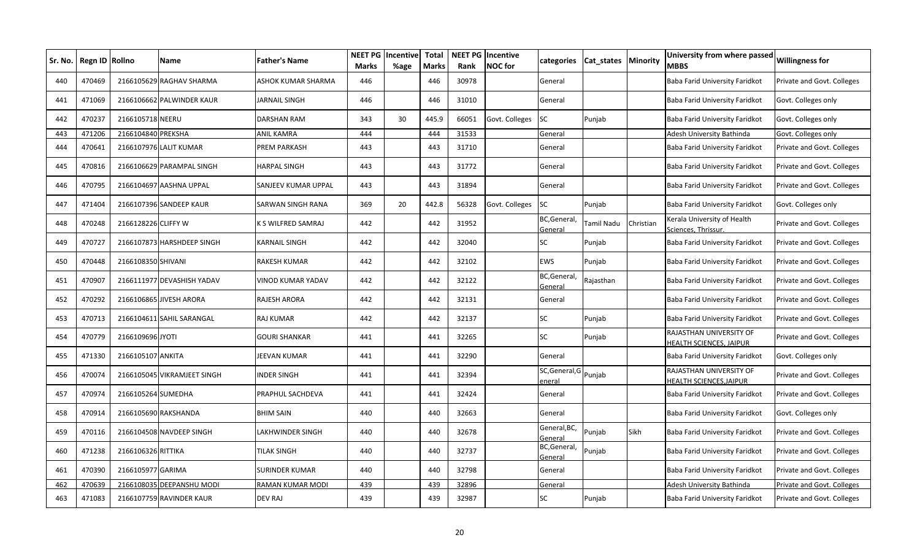| Sr. No. | Regn ID Rollno |                     | Name                        | <b>Father's Name</b>  | <b>NEET PG</b><br><b>Marks</b> | Incentive<br>%age | <b>Total</b><br>Marks | Rank  | <b>NEET PG Incentive</b><br><b>NOC</b> for | categories                      | <b>Cat states Minority</b> |           | University from where passed<br>MBBS                      | <b>Willingness for</b>     |
|---------|----------------|---------------------|-----------------------------|-----------------------|--------------------------------|-------------------|-----------------------|-------|--------------------------------------------|---------------------------------|----------------------------|-----------|-----------------------------------------------------------|----------------------------|
| 440     | 470469         |                     | 2166105629 RAGHAV SHARMA    | ASHOK KUMAR SHARMA    | 446                            |                   | 446                   | 30978 |                                            | General                         |                            |           | Baba Farid University Faridkot                            | Private and Govt. Colleges |
| 441     | 471069         |                     | 2166106662 PALWINDER KAUR   | JARNAIL SINGH         | 446                            |                   | 446                   | 31010 |                                            | General                         |                            |           | Baba Farid University Faridkot                            | Govt. Colleges only        |
| 442     | 470237         | 2166105718 NEERU    |                             | <b>DARSHAN RAM</b>    | 343                            | 30                | 445.9                 | 66051 | Govt. Colleges                             | <b>SC</b>                       | Punjab                     |           | Baba Farid University Faridkot                            | Govt. Colleges only        |
| 443     | 471206         | 2166104840 PREKSHA  |                             | ANIL KAMRA            | 444                            |                   | 444                   | 31533 |                                            | General                         |                            |           | Adesh University Bathinda                                 | Govt. Colleges only        |
| 444     | 470641         |                     | 2166107976 LALIT KUMAR      | PREM PARKASH          | 443                            |                   | 443                   | 31710 |                                            | General                         |                            |           | Baba Farid University Faridkot                            | Private and Govt. Colleges |
| 445     | 470816         |                     | 2166106629 PARAMPAL SINGH   | HARPAL SINGH          | 443                            |                   | 443                   | 31772 |                                            | General                         |                            |           | Baba Farid University Faridkot                            | Private and Govt. Colleges |
| 446     | 470795         |                     | 2166104697 AASHNA UPPAL     | SANJEEV KUMAR UPPAL   | 443                            |                   | 443                   | 31894 |                                            | General                         |                            |           | Baba Farid University Faridkot                            | Private and Govt. Colleges |
| 447     | 471404         |                     | 2166107396 SANDEEP KAUR     | SARWAN SINGH RANA     | 369                            | 20                | 442.8                 | 56328 | Govt. Colleges                             | SC                              | Punjab                     |           | Baba Farid University Faridkot                            | Govt. Colleges only        |
| 448     | 470248         | 2166128226 CLIFFY W |                             | K S WILFRED SAMRAJ    | 442                            |                   | 442                   | 31952 |                                            | BC, General,<br>General         | Tamil Nadu                 | Christian | Kerala University of Health<br>Sciences, Thrissur.        | Private and Govt. Colleges |
| 449     | 470727         |                     | 2166107873 HARSHDEEP SINGH  | KARNAIL SINGH         | 442                            |                   | 442                   | 32040 |                                            | SC                              | Punjab                     |           | Baba Farid University Faridkot                            | Private and Govt. Colleges |
| 450     | 470448         | 2166108350 SHIVANI  |                             | <b>RAKESH KUMAR</b>   | 442                            |                   | 442                   | 32102 |                                            | <b>EWS</b>                      | Punjab                     |           | Baba Farid University Faridkot                            | Private and Govt. Colleges |
| 451     | 470907         |                     | 2166111977 DEVASHISH YADAV  | VINOD KUMAR YADAV     | 442                            |                   | 442                   | 32122 |                                            | BC, General<br>General          | Rajasthan                  |           | Baba Farid University Faridkot                            | Private and Govt. Colleges |
| 452     | 470292         |                     | 2166106865 JIVESH ARORA     | RAJESH ARORA          | 442                            |                   | 442                   | 32131 |                                            | General                         |                            |           | Baba Farid University Faridkot                            | Private and Govt. Colleges |
| 453     | 470713         |                     | 2166104611 SAHIL SARANGAL   | RAJ KUMAR             | 442                            |                   | 442                   | 32137 |                                            | <b>SC</b>                       | Punjab                     |           | Baba Farid University Faridkot                            | Private and Govt. Colleges |
| 454     | 470779         | 2166109696 JYOTI    |                             | <b>GOURI SHANKAR</b>  | 441                            |                   | 441                   | 32265 |                                            | SC                              | Punjab                     |           | RAJASTHAN UNIVERSITY OF<br><b>IEALTH SCIENCES, JAIPUR</b> | Private and Govt. Colleges |
| 455     | 471330         | 2166105107 ANKITA   |                             | JEEVAN KUMAR          | 441                            |                   | 441                   | 32290 |                                            | General                         |                            |           | Baba Farid University Faridkot                            | Govt. Colleges only        |
| 456     | 470074         |                     | 2166105045 VIKRAMJEET SINGH | INDER SINGH           | 441                            |                   | 441                   | 32394 |                                            | SC, General, G Punjab<br>eneral |                            |           | RAJASTHAN UNIVERSITY OF<br><b>IEALTH SCIENCES, JAIPUR</b> | Private and Govt. Colleges |
| 457     | 470974         | 2166105264 SUMEDHA  |                             | PRAPHUL SACHDEVA      | 441                            |                   | 441                   | 32424 |                                            | General                         |                            |           | Baba Farid University Faridkot                            | Private and Govt. Colleges |
| 458     | 470914         |                     | 2166105690 RAKSHANDA        | <b>BHIM SAIN</b>      | 440                            |                   | 440                   | 32663 |                                            | General                         |                            |           | Baba Farid University Faridkot                            | Govt. Colleges only        |
| 459     | 470116         |                     | 2166104508 NAVDEEP SINGH    | LAKHWINDER SINGH      | 440                            |                   | 440                   | 32678 |                                            | General, BC,<br>General         | Punjab                     | Sikh      | Baba Farid University Faridkot                            | Private and Govt. Colleges |
| 460     | 471238         | 2166106326 RITTIKA  |                             | TILAK SINGH           | 440                            |                   | 440                   | 32737 |                                            | BC, General,<br>Genera          | Punjab                     |           | Baba Farid University Faridkot                            | Private and Govt. Colleges |
| 461     | 470390         | 2166105977 GARIMA   |                             | <b>SURINDER KUMAR</b> | 440                            |                   | 440                   | 32798 |                                            | General                         |                            |           | Baba Farid University Faridkot                            | Private and Govt. Colleges |
| 462     | 470639         |                     | 2166108035 DEEPANSHU MODI   | RAMAN KUMAR MODI      | 439                            |                   | 439                   | 32896 |                                            | General                         |                            |           | Adesh University Bathinda                                 | Private and Govt. Colleges |
| 463     | 471083         |                     | 2166107759 RAVINDER KAUR    | DEV RAJ               | 439                            |                   | 439                   | 32987 |                                            | SC                              | Punjab                     |           | Baba Farid University Faridkot                            | Private and Govt. Colleges |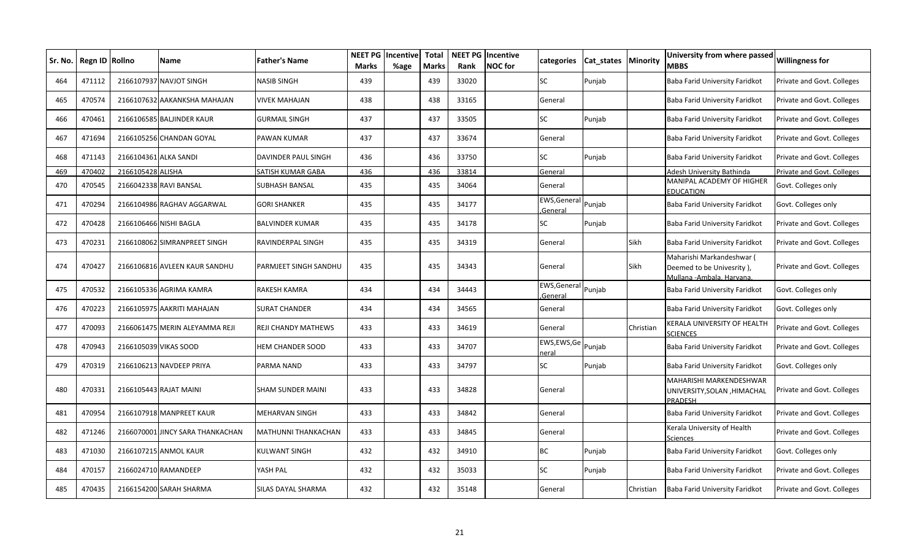| Sr. No. | Regn ID Rollno |                       | <b>Name</b>                      | Father's Name         | NEET PG<br><b>Marks</b> | Incentive<br>%age | <b>Total</b><br><b>Marks</b> | Rank  | <b>NEET PG Incentive</b><br><b>NOC</b> for | categories                     | Cat states | Minority  | University from where passed<br><b>MBBS</b>                                         | <b>Willingness for</b>     |
|---------|----------------|-----------------------|----------------------------------|-----------------------|-------------------------|-------------------|------------------------------|-------|--------------------------------------------|--------------------------------|------------|-----------|-------------------------------------------------------------------------------------|----------------------------|
| 464     | 471112         |                       | 2166107937 NAVJOT SINGH          | <b>NASIB SINGH</b>    | 439                     |                   | 439                          | 33020 |                                            | <b>SC</b>                      | Punjab     |           | Baba Farid University Faridkot                                                      | Private and Govt. Colleges |
| 465     | 470574         |                       | 2166107632 AAKANKSHA MAHAJAN     | <b>VIVEK MAHAJAN</b>  | 438                     |                   | 438                          | 33165 |                                            | General                        |            |           | Baba Farid University Faridkot                                                      | Private and Govt. Colleges |
| 466     | 470461         |                       | 2166106585 BALJINDER KAUR        | GURMAIL SINGH         | 437                     |                   | 437                          | 33505 |                                            | SC                             | Punjab     |           | Baba Farid University Faridkot                                                      | Private and Govt. Colleges |
| 467     | 471694         |                       | 2166105256 CHANDAN GOYAL         | PAWAN KUMAR           | 437                     |                   | 437                          | 33674 |                                            | General                        |            |           | Baba Farid University Faridkot                                                      | Private and Govt. Colleges |
| 468     | 471143         | 2166104361 ALKA SANDI |                                  | DAVINDER PAUL SINGH   | 436                     |                   | 436                          | 33750 |                                            | <b>SC</b>                      | Punjab     |           | Baba Farid University Faridkot                                                      | Private and Govt. Colleges |
| 469     | 470402         | 2166105428 ALISHA     |                                  | SATISH KUMAR GABA     | 436                     |                   | 436                          | 33814 |                                            | General                        |            |           | Adesh University Bathinda                                                           | Private and Govt. Colleges |
| 470     | 470545         |                       | 2166042338 RAVI BANSAL           | SUBHASH BANSAL        | 435                     |                   | 435                          | 34064 |                                            | General                        |            |           | MANIPAL ACADEMY OF HIGHER<br><b>EDUCATION</b>                                       | Govt. Colleges only        |
| 471     | 470294         |                       | 2166104986 RAGHAV AGGARWAL       | GORI SHANKER          | 435                     |                   | 435                          | 34177 |                                            | EWS, General Punjab<br>General |            |           | Baba Farid University Faridkot                                                      | Govt. Colleges only        |
| 472     | 470428         |                       | 2166106466 NISHI BAGLA           | BALVINDER KUMAR       | 435                     |                   | 435                          | 34178 |                                            | <b>SC</b>                      | Punjab     |           | Baba Farid University Faridkot                                                      | Private and Govt. Colleges |
| 473     | 470231         |                       | 2166108062 SIMRANPREET SINGH     | RAVINDERPAL SINGH     | 435                     |                   | 435                          | 34319 |                                            | General                        |            | Sikh      | Baba Farid University Faridkot                                                      | Private and Govt. Colleges |
| 474     | 470427         |                       | 2166106816 AVLEEN KAUR SANDHU    | PARMJEET SINGH SANDHU | 435                     |                   | 435                          | 34343 |                                            | General                        |            | Sikh      | Maharishi Markandeshwar (<br>Deemed to be Univesrity),<br>Mullana -Ambala. Harvana. | Private and Govt. Colleges |
| 475     | 470532         |                       | 2166105336 AGRIMA KAMRA          | RAKESH KAMRA          | 434                     |                   | 434                          | 34443 |                                            | EWS, General Punjab<br>General |            |           | Baba Farid University Faridkot                                                      | Govt. Colleges only        |
| 476     | 470223         |                       | 2166105975 AAKRITI MAHAJAN       | SURAT CHANDER         | 434                     |                   | 434                          | 34565 |                                            | General                        |            |           | Baba Farid University Faridkot                                                      | Govt. Colleges only        |
| 477     | 470093         |                       | 2166061475 MERIN ALEYAMMA REJI   | REJI CHANDY MATHEWS   | 433                     |                   | 433                          | 34619 |                                            | General                        |            | Christian | KERALA UNIVERSITY OF HEALTH<br><b>SCIENCES</b>                                      | Private and Govt. Colleges |
| 478     | 470943         |                       | 2166105039 VIKAS SOOD            | HEM CHANDER SOOD      | 433                     |                   | 433                          | 34707 |                                            | EWS, EWS, Ge Punjab<br>neral   |            |           | Baba Farid University Faridkot                                                      | Private and Govt. Colleges |
| 479     | 470319         |                       | 2166106213 NAVDEEP PRIYA         | PARMA NAND            | 433                     |                   | 433                          | 34797 |                                            | SC                             | Punjab     |           | Baba Farid University Faridkot                                                      | Govt. Colleges only        |
| 480     | 470331         |                       | 2166105443 RAJAT MAINI           | SHAM SUNDER MAINI     | 433                     |                   | 433                          | 34828 |                                            | General                        |            |           | MAHARISHI MARKENDESHWAR<br>UNIVERSITY, SOLAN, HIMACHAL<br><b>PRADESH</b>            | Private and Govt. Colleges |
| 481     | 470954         |                       | 2166107918 MANPREET KAUR         | MEHARVAN SINGH        | 433                     |                   | 433                          | 34842 |                                            | General                        |            |           | Baba Farid University Faridkot                                                      | Private and Govt. Colleges |
| 482     | 471246         |                       | 2166070001 JINCY SARA THANKACHAN | MATHUNNI THANKACHAN   | 433                     |                   | 433                          | 34845 |                                            | General                        |            |           | Kerala University of Health<br>Sciences                                             | Private and Govt. Colleges |
| 483     | 471030         |                       | 2166107215 ANMOL KAUR            | KULWANT SINGH         | 432                     |                   | 432                          | 34910 |                                            | <b>BC</b>                      | Punjab     |           | Baba Farid University Faridkot                                                      | Govt. Colleges only        |
| 484     | 470157         |                       | 2166024710 RAMANDEEP             | YASH PAL              | 432                     |                   | 432                          | 35033 |                                            | <b>SC</b>                      | Punjab     |           | Baba Farid University Faridkot                                                      | Private and Govt. Colleges |
| 485     | 470435         |                       | 2166154200 SARAH SHARMA          | SILAS DAYAL SHARMA    | 432                     |                   | 432                          | 35148 |                                            | General                        |            | Christian | Baba Farid University Faridkot                                                      | Private and Govt. Colleges |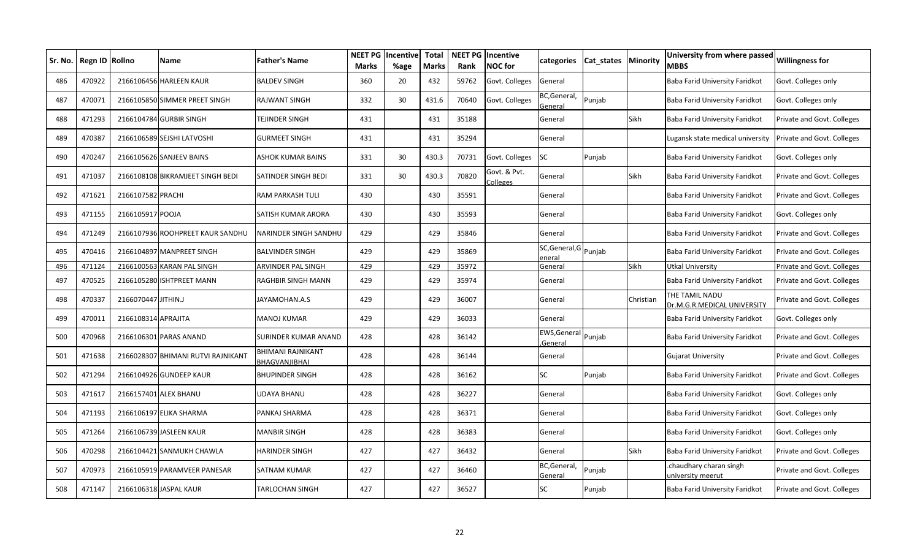| Sr. No. | Regn ID Rollno |                     | Name                               | <b>Father's Name</b>                      | NEET PG<br><b>Marks</b> | <b>Incentive</b><br>%age | <b>Total</b><br><b>Marks</b> | Rank  | <b>NEET PG Incentive</b><br><b>NOC</b> for | categories               | Cat states | Minority  | University from where passed<br><b>MBBS</b>   | <b>Willingness for</b>     |
|---------|----------------|---------------------|------------------------------------|-------------------------------------------|-------------------------|--------------------------|------------------------------|-------|--------------------------------------------|--------------------------|------------|-----------|-----------------------------------------------|----------------------------|
| 486     | 470922         |                     | 2166106456 HARLEEN KAUR            | <b>BALDEV SINGH</b>                       | 360                     | 20                       | 432                          | 59762 | Govt. Colleges                             | General                  |            |           | Baba Farid University Faridkot                | Govt. Colleges only        |
| 487     | 470071         |                     | 2166105850 SIMMER PREET SINGH      | <b>RAJWANT SINGH</b>                      | 332                     | 30                       | 431.6                        | 70640 | Govt. Colleges                             | BC, General,<br>General  | Punjab     |           | Baba Farid University Faridkot                | Govt. Colleges only        |
| 488     | 471293         |                     | 2166104784 GURBIR SINGH            | TEJINDER SINGH                            | 431                     |                          | 431                          | 35188 |                                            | General                  |            | Sikh      | Baba Farid University Faridkot                | Private and Govt. Colleges |
| 489     | 470387         |                     | 2166106589 SEJSHI LATVOSHI         | <b>GURMEET SINGH</b>                      | 431                     |                          | 431                          | 35294 |                                            | General                  |            |           | Lugansk state medical university              | Private and Govt. Colleges |
| 490     | 470247         |                     | 2166105626 SANJEEV BAINS           | ASHOK KUMAR BAINS                         | 331                     | 30                       | 430.3                        | 70731 | Govt. Colleges                             | SC                       | Punjab     |           | Baba Farid University Faridkot                | Govt. Colleges only        |
| 491     | 471037         |                     | 2166108108 BIKRAMJEET SINGH BEDI   | SATINDER SINGH BEDI                       | 331                     | 30                       | 430.3                        | 70820 | Govt. & Pvt.<br><b>Colleges</b>            | General                  |            | Sikh      | Baba Farid University Faridkot                | Private and Govt. Colleges |
| 492     | 471621         | 2166107582 PRACHI   |                                    | RAM PARKASH TULI                          | 430                     |                          | 430                          | 35591 |                                            | General                  |            |           | Baba Farid University Faridkot                | Private and Govt. Colleges |
| 493     | 471155         | 2166105917 POOJA    |                                    | SATISH KUMAR ARORA                        | 430                     |                          | 430                          | 35593 |                                            | General                  |            |           | Baba Farid University Faridkot                | Govt. Colleges only        |
| 494     | 471249         |                     | 2166107936 ROOHPREET KAUR SANDHU   | NARINDER SINGH SANDHU                     | 429                     |                          | 429                          | 35846 |                                            | General                  |            |           | Baba Farid University Faridkot                | Private and Govt. Colleges |
| 495     | 470416         |                     | 2166104897 MANPREET SINGH          | <b>BALVINDER SINGH</b>                    | 429                     |                          | 429                          | 35869 |                                            | SC, General, G<br>eneral | Punjab     |           | Baba Farid University Faridkot                | Private and Govt. Colleges |
| 496     | 471124         | 2166100563          | <b>KARAN PAL SINGH</b>             | ARVINDER PAL SINGH                        | 429                     |                          | 429                          | 35972 |                                            | General                  |            | Sikh      | Utkal University                              | Private and Govt. Colleges |
| 497     | 470525         |                     | 2166105280 ISHTPREET MANN          | <b>RAGHBIR SINGH MANN</b>                 | 429                     |                          | 429                          | 35974 |                                            | General                  |            |           | Baba Farid University Faridkot                | Private and Govt. Colleges |
| 498     | 470337         | 2166070447 JITHIN.J |                                    | JAYAMOHAN.A.S                             | 429                     |                          | 429                          | 36007 |                                            | General                  |            | Christian | THE TAMIL NADU<br>Dr.M.G.R.MEDICAL UNIVERSITY | Private and Govt. Colleges |
| 499     | 470011         | 2166108314 APRAJITA |                                    | MANOJ KUMAR                               | 429                     |                          | 429                          | 36033 |                                            | General                  |            |           | Baba Farid University Faridkot                | Govt. Colleges only        |
| 500     | 470968         |                     | 2166106301 PARAS ANAND             | SURINDER KUMAR ANAND                      | 428                     |                          | 428                          | 36142 |                                            | EWS, General<br>General  | Punjab     |           | Baba Farid University Faridkot                | Private and Govt. Colleges |
| 501     | 471638         |                     | 2166028307 BHIMANI RUTVI RAJNIKANT | <b>BHIMANI RAJNIKANT</b><br>BHAGVANJIBHAI | 428                     |                          | 428                          | 36144 |                                            | General                  |            |           | Gujarat University                            | Private and Govt. Colleges |
| 502     | 471294         |                     | 2166104926 GUNDEEP KAUR            | <b>BHUPINDER SINGH</b>                    | 428                     |                          | 428                          | 36162 |                                            | SC                       | Punjab     |           | Baba Farid University Faridkot                | Private and Govt. Colleges |
| 503     | 471617         |                     | 2166157401 ALEX BHANU              | UDAYA BHANU                               | 428                     |                          | 428                          | 36227 |                                            | General                  |            |           | Baba Farid University Faridkot                | Govt. Colleges only        |
| 504     | 471193         |                     | 2166106197 ELIKA SHARMA            | PANKAJ SHARMA                             | 428                     |                          | 428                          | 36371 |                                            | General                  |            |           | Baba Farid University Faridkot                | Govt. Colleges only        |
| 505     | 471264         |                     | 2166106739 JASLEEN KAUR            | <b>MANBIR SINGH</b>                       | 428                     |                          | 428                          | 36383 |                                            | General                  |            |           | Baba Farid University Faridkot                | Govt. Colleges only        |
| 506     | 470298         |                     | 2166104421 SANMUKH CHAWLA          | HARINDER SINGH                            | 427                     |                          | 427                          | 36432 |                                            | General                  |            | Sikh      | Baba Farid University Faridkot                | Private and Govt. Colleges |
| 507     | 470973         |                     | 2166105919 PARAMVEER PANESAR       | SATNAM KUMAR                              | 427                     |                          | 427                          | 36460 |                                            | BC, General,<br>General  | Punjab     |           | chaudhary charan singh.<br>universitv meerut  | Private and Govt. Colleges |
| 508     | 471147         |                     | 2166106318 JASPAL KAUR             | TARLOCHAN SINGH                           | 427                     |                          | 427                          | 36527 |                                            | SC                       | Punjab     |           | Baba Farid University Faridkot                | Private and Govt. Colleges |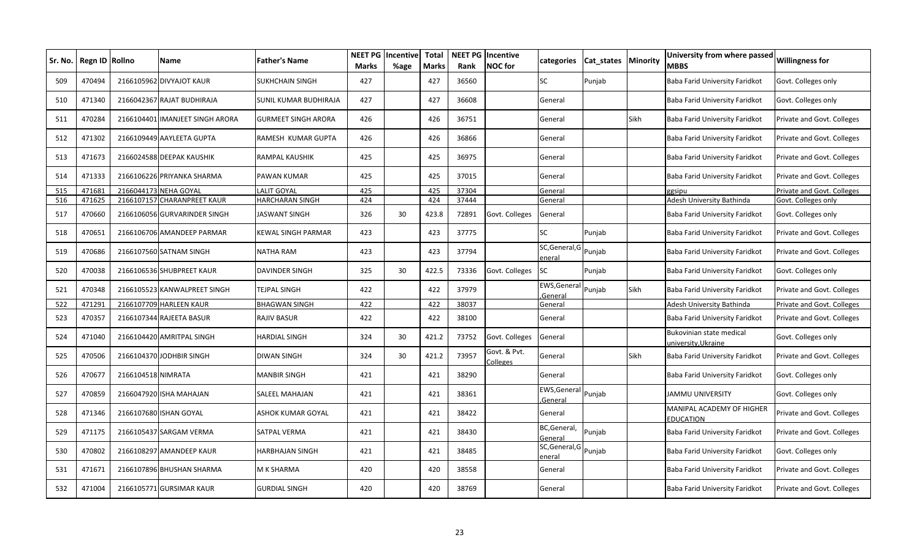| Sr. No. | Regn ID Rollno |                    | Name                            | <b>Father's Name</b>       | <b>NEET PG</b><br><b>Marks</b> | <b>Incentive</b><br>%age | <b>Total</b><br><b>Marks</b> | Rank  | <b>NEET PG Incentive</b><br><b>NOC</b> for | categories               | Cat states   Minority |             | University from where passed<br>MBBS           | <b>Willingness for</b>     |
|---------|----------------|--------------------|---------------------------------|----------------------------|--------------------------------|--------------------------|------------------------------|-------|--------------------------------------------|--------------------------|-----------------------|-------------|------------------------------------------------|----------------------------|
| 509     | 470494         |                    | 2166105962 DIVYAJOT KAUR        | <b>SUKHCHAIN SINGH</b>     | 427                            |                          | 427                          | 36560 |                                            | <b>SC</b>                | Punjab                |             | Baba Farid University Faridkot                 | Govt. Colleges only        |
| 510     | 471340         | 2166042367         | RAJAT BUDHIRAJA                 | SUNIL KUMAR BUDHIRAJA      | 427                            |                          | 427                          | 36608 |                                            | General                  |                       |             | Baba Farid University Faridkot                 | Govt. Colleges only        |
| 511     | 470284         |                    | 2166104401 IMANJEET SINGH ARORA | <b>GURMEET SINGH ARORA</b> | 426                            |                          | 426                          | 36751 |                                            | General                  |                       | Sikh        | Baba Farid University Faridkot                 | Private and Govt. Colleges |
| 512     | 471302         |                    | 2166109449 AAYLEETA GUPTA       | RAMESH KUMAR GUPTA         | 426                            |                          | 426                          | 36866 |                                            | General                  |                       |             | Baba Farid University Faridkot                 | Private and Govt. Colleges |
| 513     | 471673         |                    | 2166024588 DEEPAK KAUSHIK       | <b>RAMPAL KAUSHIK</b>      | 425                            |                          | 425                          | 36975 |                                            | General                  |                       |             | Baba Farid University Faridkot                 | Private and Govt. Colleges |
| 514     | 471333         |                    | 2166106226 PRIYANKA SHARMA      | <b>PAWAN KUMAR</b>         | 425                            |                          | 425                          | 37015 |                                            | General                  |                       |             | Baba Farid University Faridkot                 | Private and Govt. Colleges |
| 515     | 471681         | 2166044173         | <b>NEHA GOYAL</b>               | <b>LALIT GOYAL</b>         | 425                            |                          | 425                          | 37304 |                                            | General                  |                       |             | zgsipu                                         | Private and Govt. Colleges |
| 516     | 471625         | 2166107157         | <b>CHARANPREET KAUR</b>         | <b>HARCHARAN SINGH</b>     | 424                            |                          | 424                          | 37444 |                                            | General                  |                       |             | Adesh University Bathinda                      | Govt. Colleges only        |
| 517     | 470660         |                    | 2166106056 GURVARINDER SINGH    | <b>JASWANT SINGH</b>       | 326                            | 30                       | 423.8                        | 72891 | Govt. Colleges                             | General                  |                       |             | Baba Farid University Faridkot                 | Govt. Colleges only        |
| 518     | 470651         |                    | 2166106706 AMANDEEP PARMAR      | <b>KEWAL SINGH PARMAR</b>  | 423                            |                          | 423                          | 37775 |                                            | SC                       | Punjab                |             | Baba Farid University Faridkot                 | Private and Govt. Colleges |
| 519     | 470686         |                    | 2166107560 SATNAM SINGH         | <b>NATHA RAM</b>           | 423                            |                          | 423                          | 37794 |                                            | SC, General, G<br>eneral | Punjab                |             | Baba Farid University Faridkot                 | Private and Govt. Colleges |
| 520     | 470038         |                    | 2166106536 SHUBPREET KAUR       | <b>DAVINDER SINGH</b>      | 325                            | 30                       | 422.5                        | 73336 | Govt. Colleges                             | SC                       | Punjab                |             | Baba Farid University Faridkot                 | Govt. Colleges only        |
| 521     | 470348         |                    | 2166105523 KANWALPREET SINGH    | <b>TEJPAL SINGH</b>        | 422                            |                          | 422                          | 37979 |                                            | EWS, General<br>General  | Punjab                | <b>Sikh</b> | Baba Farid University Faridkot                 | Private and Govt. Colleges |
| 522     | 471291         |                    | 2166107709 HARLEEN KAUR         | <b>BHAGWAN SINGH</b>       | 422                            |                          | 422                          | 38037 |                                            | General                  |                       |             | Adesh University Bathinda                      | Private and Govt. Colleges |
| 523     | 470357         | 2166107344         | <b>RAJEETA BASUR</b>            | <b>RAJIV BASUR</b>         | 422                            |                          | 422                          | 38100 |                                            | General                  |                       |             | Baba Farid University Faridkot                 | Private and Govt. Colleges |
| 524     | 471040         |                    | 2166104420 AMRITPAL SINGH       | <b>HARDIAL SINGH</b>       | 324                            | 30                       | 421.2                        | 73752 | Govt. Colleges                             | General                  |                       |             | Bukovinian state medical<br>university.Ukraine | Govt. Colleges only        |
| 525     | 470506         |                    | 2166104370 JODHBIR SINGH        | <b>DIWAN SINGH</b>         | 324                            | 30                       | 421.2                        | 73957 | Govt. & Pvt.<br>Colleges                   | General                  |                       | Sikh        | Baba Farid University Faridkot                 | Private and Govt. Colleges |
| 526     | 470677         | 2166104518 NIMRATA |                                 | <b>MANBIR SINGH</b>        | 421                            |                          | 421                          | 38290 |                                            | General                  |                       |             | Baba Farid University Faridkot                 | Govt. Colleges only        |
| 527     | 470859         | 2166047920         | <b>ISHA MAHAJAN</b>             | <b>SALEEL MAHAJAN</b>      | 421                            |                          | 421                          | 38361 |                                            | EWS, General<br>General, | Punjab                |             | JAMMU UNIVERSITY                               | Govt. Colleges only        |
| 528     | 471346         |                    | 2166107680 ISHAN GOYAL          | <b>ASHOK KUMAR GOYAL</b>   | 421                            |                          | 421                          | 38422 |                                            | General                  |                       |             | MANIPAL ACADEMY OF HIGHER<br><b>EDUCATION</b>  | Private and Govt. Colleges |
| 529     | 471175         |                    | 2166105437 SARGAM VERMA         | SATPAL VERMA               | 421                            |                          | 421                          | 38430 |                                            | BC, General,<br>General  | Punjab                |             | Baba Farid University Faridkot                 | Private and Govt. Colleges |
| 530     | 470802         |                    | 2166108297 AMANDEEP KAUR        | <b>HARBHAJAN SINGH</b>     | 421                            |                          | 421                          | 38485 |                                            | SC, General, G<br>enera  | Punjab                |             | Baba Farid University Faridkot                 | Govt. Colleges only        |
| 531     | 471671         |                    | 2166107896 BHUSHAN SHARMA       | <b>M K SHARMA</b>          | 420                            |                          | 420                          | 38558 |                                            | General                  |                       |             | Baba Farid University Faridkot                 | Private and Govt. Colleges |
| 532     | 471004         |                    | 2166105771 GURSIMAR KAUR        | <b>GURDIAL SINGH</b>       | 420                            |                          | 420                          | 38769 |                                            | General                  |                       |             | Baba Farid University Faridkot                 | Private and Govt. Colleges |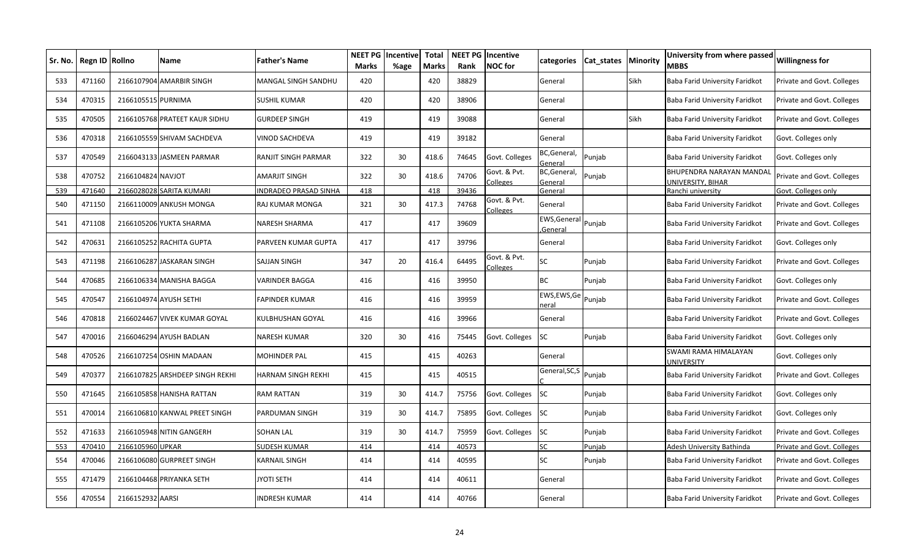| Sr. No. | Regn ID | <b>Rollno</b>      | <b>Name</b>                     | <b>Father's Name</b>         | <b>NEET PG</b><br><b>Marks</b> | Incentive<br>%age | <b>Total</b><br><b>Marks</b> | Rank  | <b>NEET PG Incentive</b><br><b>NOC</b> for | categories              | Cat states | <b>Minority</b> | University from where passed<br><b>MBBS</b>   | <b>Willingness for</b>     |
|---------|---------|--------------------|---------------------------------|------------------------------|--------------------------------|-------------------|------------------------------|-------|--------------------------------------------|-------------------------|------------|-----------------|-----------------------------------------------|----------------------------|
| 533     | 471160  |                    | 2166107904 AMARBIR SINGH        | MANGAL SINGH SANDHU          | 420                            |                   | 420                          | 38829 |                                            | General                 |            | Sikh            | Baba Farid University Faridkot                | Private and Govt. Colleges |
| 534     | 470315  | 2166105515 PURNIMA |                                 | SUSHIL KUMAR                 | 420                            |                   | 420                          | 38906 |                                            | General                 |            |                 | Baba Farid University Faridkot                | Private and Govt. Colleges |
| 535     | 470505  |                    | 2166105768 PRATEET KAUR SIDHU   | <b>GURDEEP SINGH</b>         | 419                            |                   | 419                          | 39088 |                                            | General                 |            | Sikh            | Baba Farid University Faridkot                | Private and Govt. Colleges |
| 536     | 470318  |                    | 2166105559 SHIVAM SACHDEVA      | VINOD SACHDEVA               | 419                            |                   | 419                          | 39182 |                                            | General                 |            |                 | Baba Farid University Faridkot                | Govt. Colleges only        |
| 537     | 470549  |                    | 2166043133 JASMEEN PARMAR       | RANJIT SINGH PARMAR          | 322                            | 30                | 418.6                        | 74645 | Govt. Colleges                             | BC, General,<br>General | Punjab     |                 | Baba Farid University Faridkot                | Govt. Colleges only        |
| 538     | 470752  | 2166104824 NAVJOT  |                                 | AMARJIT SINGH                | 322                            | 30                | 418.6                        | 74706 | Govt. & Pvt.<br><b>Colleges</b>            | BC, General,<br>General | Punjab     |                 | BHUPENDRA NARAYAN MANDAL<br>UNIVERSITY, BIHAR | Private and Govt. Colleges |
| 539     | 471640  |                    | 2166028028 SARITA KUMARI        | <b>INDRADEO PRASAD SINHA</b> | 418                            |                   | 418                          | 39436 |                                            | General                 |            |                 | Ranchi university                             | Govt. Colleges only        |
| 540     | 471150  |                    | 2166110009 ANKUSH MONGA         | RAJ KUMAR MONGA              | 321                            | 30                | 417.3                        | 74768 | Govt. & Pvt.<br>Colleges                   | General                 |            |                 | Baba Farid University Faridkot                | Private and Govt. Colleges |
| 541     | 471108  |                    | 2166105206 YUKTA SHARMA         | <b>NARESH SHARMA</b>         | 417                            |                   | 417                          | 39609 |                                            | EWS, General<br>General | Punjab     |                 | Baba Farid University Faridkot                | Private and Govt. Colleges |
| 542     | 470631  |                    | 2166105252 RACHITA GUPTA        | PARVEEN KUMAR GUPTA          | 417                            |                   | 417                          | 39796 |                                            | General                 |            |                 | Baba Farid University Faridkot                | Govt. Colleges only        |
| 543     | 471198  |                    | 2166106287 JASKARAN SINGH       | SAJJAN SINGH                 | 347                            | 20                | 416.4                        | 64495 | Govt. & Pvt.<br>Colleges                   | SC                      | Punjab     |                 | Baba Farid University Faridkot                | Private and Govt. Colleges |
| 544     | 470685  |                    | 2166106334 MANISHA BAGGA        | VARINDER BAGGA               | 416                            |                   | 416                          | 39950 |                                            | <b>BC</b>               | Punjab     |                 | Baba Farid University Faridkot                | Govt. Colleges only        |
| 545     | 470547  |                    | 2166104974 AYUSH SETHI          | FAPINDER KUMAR               | 416                            |                   | 416                          | 39959 |                                            | EWS,EWS,Ge<br>neral     | Punjab     |                 | Baba Farid University Faridkot                | Private and Govt. Colleges |
| 546     | 470818  |                    | 2166024467 VIVEK KUMAR GOYAL    | KULBHUSHAN GOYAL             | 416                            |                   | 416                          | 39966 |                                            | General                 |            |                 | Baba Farid University Faridkot                | Private and Govt. Colleges |
| 547     | 470016  |                    | 2166046294 AYUSH BADLAN         | NARESH KUMAR                 | 320                            | 30                | 416                          | 75445 | Govt. Colleges                             | <b>SC</b>               | Punjab     |                 | Baba Farid University Faridkot                | Govt. Colleges only        |
| 548     | 470526  |                    | 2166107254 OSHIN MADAAN         | MOHINDER PAL                 | 415                            |                   | 415                          | 40263 |                                            | General                 |            |                 | SWAMI RAMA HIMALAYAN<br><b>JNIVERSITY</b>     | Govt. Colleges only        |
| 549     | 470377  |                    | 2166107825 ARSHDEEP SINGH REKHI | HARNAM SINGH REKHI           | 415                            |                   | 415                          | 40515 |                                            | General, SC, S          | Punjab     |                 | Baba Farid University Faridkot                | Private and Govt. Colleges |
| 550     | 471645  |                    | 2166105858 HANISHA RATTAN       | RAM RATTAN                   | 319                            | 30                | 414.7                        | 75756 | Govt. Colleges                             | <b>SC</b>               | Punjab     |                 | Baba Farid University Faridkot                | Govt. Colleges only        |
| 551     | 470014  |                    | 2166106810 KANWAL PREET SINGH   | PARDUMAN SINGH               | 319                            | 30                | 414.7                        | 75895 | Govt. Colleges                             | <b>SC</b>               | Punjab     |                 | Baba Farid University Faridkot                | Govt. Colleges only        |
| 552     | 471633  |                    | 2166105948 NITIN GANGERH        | SOHAN LAL                    | 319                            | 30                | 414.7                        | 75959 | Govt. Colleges                             | <b>SC</b>               | Punjab     |                 | Baba Farid University Faridkot                | Private and Govt. Colleges |
| 553     | 470410  | 2166105960 UPKAR   |                                 | SUDESH KUMAR                 | 414                            |                   | 414                          | 40573 |                                            | SC                      | Punjab     |                 | Adesh University Bathinda                     | Private and Govt. Colleges |
| 554     | 470046  |                    | 2166106080 GURPREET SINGH       | KARNAIL SINGH                | 414                            |                   | 414                          | 40595 |                                            | SC                      | Punjab     |                 | Baba Farid University Faridkot                | Private and Govt. Colleges |
| 555     | 471479  |                    | 2166104468 PRIYANKA SETH        | JYOTI SETH                   | 414                            |                   | 414                          | 40611 |                                            | General                 |            |                 | Baba Farid University Faridkot                | Private and Govt. Colleges |
| 556     | 470554  | 2166152932 AARSI   |                                 | <b>INDRESH KUMAR</b>         | 414                            |                   | 414                          | 40766 |                                            | General                 |            |                 | Baba Farid University Faridkot                | Private and Govt. Colleges |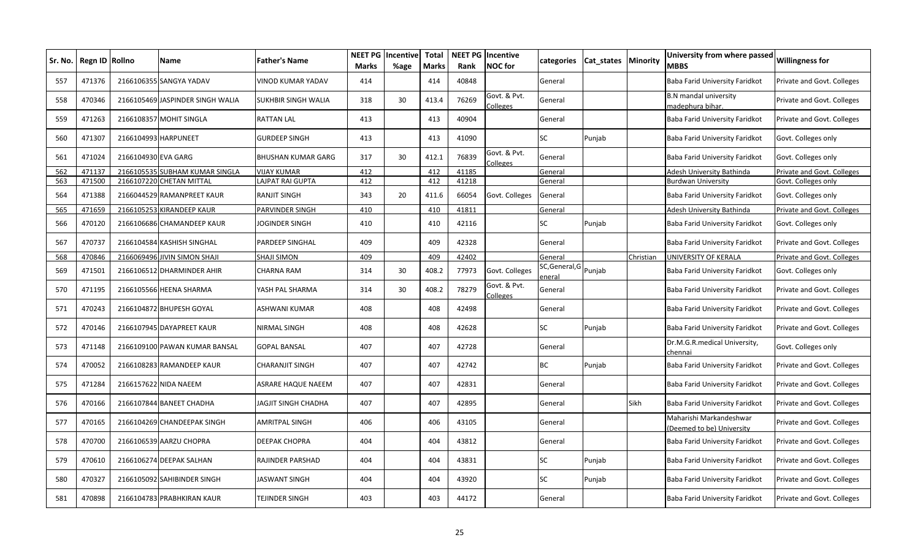| Sr. No. | Regn ID Rollno |                     | <b>Name</b>                      | <b>Father's Name</b>      | <b>NEET PG</b><br>Marks | Incentive<br>%age | <b>Total</b><br><b>Marks</b> | Rank  | <b>NEET PG Incentive</b><br><b>NOC</b> for | categories                      | Cat states   Minority |           | University from where passed<br><b>MBBS</b>         | <b>Willingness for</b>     |
|---------|----------------|---------------------|----------------------------------|---------------------------|-------------------------|-------------------|------------------------------|-------|--------------------------------------------|---------------------------------|-----------------------|-----------|-----------------------------------------------------|----------------------------|
| 557     | 471376         |                     | 2166106355 SANGYA YADAV          | VINOD KUMAR YADAV         | 414                     |                   | 414                          | 40848 |                                            | General                         |                       |           | Baba Farid University Faridkot                      | Private and Govt. Colleges |
| 558     | 470346         |                     | 2166105469 JASPINDER SINGH WALIA | SUKHBIR SINGH WALIA       | 318                     | 30                | 413.4                        | 76269 | Govt. & Pvt.<br>Colleges                   | General                         |                       |           | <b>B.N</b> mandal university<br>nadephura bihar.    | Private and Govt. Colleges |
| 559     | 471263         |                     | 2166108357 MOHIT SINGLA          | <b>RATTAN LAL</b>         | 413                     |                   | 413                          | 40904 |                                            | General                         |                       |           | Baba Farid University Faridkot                      | Private and Govt. Colleges |
| 560     | 471307         | 2166104993          | HARPUNEET                        | <b>GURDEEP SINGH</b>      | 413                     |                   | 413                          | 41090 |                                            | SC                              | Punjab                |           | Baba Farid University Faridkot                      | Govt. Colleges only        |
| 561     | 471024         | 2166104930 EVA GARG |                                  | <b>BHUSHAN KUMAR GARG</b> | 317                     | 30                | 412.1                        | 76839 | Govt. & Pvt.<br>Colleges                   | General                         |                       |           | Baba Farid University Faridkot                      | Govt. Colleges only        |
| 562     | 471137         |                     | 2166105535 SUBHAM KUMAR SINGLA   | VIJAY KUMAR               | 412                     |                   | 412                          | 41185 |                                            | General                         |                       |           | Adesh University Bathinda                           | Private and Govt. Colleges |
| 563     | 471500         | 2166107220          | <b>CHETAN MITTAL</b>             | LAJPAT RAI GUPTA          | 412                     |                   | 412                          | 41218 |                                            | General                         |                       |           | <b>Burdwan University</b>                           | Govt. Colleges only        |
| 564     | 471388         |                     | 2166044529 RAMANPREET KAUR       | <b>RANJIT SINGH</b>       | 343                     | 20                | 411.6                        | 66054 | Govt. Colleges                             | General                         |                       |           | Baba Farid University Faridkot                      | Govt. Colleges only        |
| 565     | 471659         | 2166105253          | <b>KIRANDEEP KAUR</b>            | PARVINDER SINGH           | 410                     |                   | 410                          | 41811 |                                            | General                         |                       |           | Adesh University Bathinda                           | Private and Govt. Colleges |
| 566     | 470120         | 2166106686          | <b>CHAMANDEEP KAUR</b>           | <b>JOGINDER SINGH</b>     | 410                     |                   | 410                          | 42116 |                                            | SC                              | Punjab                |           | Baba Farid University Faridkot                      | Govt. Colleges only        |
| 567     | 470737         |                     | 2166104584 KASHISH SINGHAL       | <b>PARDEEP SINGHAL</b>    | 409                     |                   | 409                          | 42328 |                                            | General                         |                       |           | Baba Farid University Faridkot                      | Private and Govt. Colleges |
| 568     | 470846         |                     | 2166069496 JIVIN SIMON SHAJI     | <b>SHAJI SIMON</b>        | 409                     |                   | 409                          | 42402 |                                            | General                         |                       | Christian | UNIVERSITY OF KERALA                                | Private and Govt. Colleges |
| 569     | 471501         |                     | 2166106512 DHARMINDER AHIR       | CHARNA RAM                | 314                     | 30                | 408.2                        | 77973 | Govt. Colleges                             | SC, General, G Punjab<br>eneral |                       |           | Baba Farid University Faridkot                      | Govt. Colleges only        |
| 570     | 471195         |                     | 2166105566 HEENA SHARMA          | YASH PAL SHARMA           | 314                     | 30                | 408.2                        | 78279 | Govt. & Pvt.<br>Colleges                   | General                         |                       |           | Baba Farid University Faridkot                      | Private and Govt. Colleges |
| 571     | 470243         |                     | 2166104872 BHUPESH GOYAL         | ASHWANI KUMAR             | 408                     |                   | 408                          | 42498 |                                            | General                         |                       |           | Baba Farid University Faridkot                      | Private and Govt. Colleges |
| 572     | 470146         |                     | 2166107945 DAYAPREET KAUR        | NIRMAL SINGH              | 408                     |                   | 408                          | 42628 |                                            | SC                              | Punjab                |           | Baba Farid University Faridkot                      | Private and Govt. Colleges |
| 573     | 471148         |                     | 2166109100 PAWAN KUMAR BANSAL    | <b>GOPAL BANSAL</b>       | 407                     |                   | 407                          | 42728 |                                            | General                         |                       |           | Dr.M.G.R.medical University,<br>:hennai             | Govt. Colleges only        |
| 574     | 470052         |                     | 2166108283 RAMANDEEP KAUR        | <b>CHARANJIT SINGH</b>    | 407                     |                   | 407                          | 42742 |                                            | <b>BC</b>                       | Punjab                |           | Baba Farid University Faridkot                      | Private and Govt. Colleges |
| 575     | 471284         |                     | 2166157622 NIDA NAEEM            | ASRARE HAQUE NAEEM        | 407                     |                   | 407                          | 42831 |                                            | General                         |                       |           | Baba Farid University Faridkot                      | Private and Govt. Colleges |
| 576     | 470166         |                     | 2166107844 BANEET CHADHA         | JAGJIT SINGH CHADHA       | 407                     |                   | 407                          | 42895 |                                            | General                         |                       | Sikh      | Baba Farid University Faridkot                      | Private and Govt. Colleges |
| 577     | 470165         |                     | 2166104269 CHANDEEPAK SINGH      | <b>AMRITPAL SINGH</b>     | 406                     |                   | 406                          | 43105 |                                            | General                         |                       |           | Maharishi Markandeshwar<br>Deemed to be) University | Private and Govt. Colleges |
| 578     | 470700         |                     | 2166106539 AARZU CHOPRA          | <b>DEEPAK CHOPRA</b>      | 404                     |                   | 404                          | 43812 |                                            | General                         |                       |           | Baba Farid University Faridkot                      | Private and Govt. Colleges |
| 579     | 470610         |                     | 2166106274 DEEPAK SALHAN         | RAJINDER PARSHAD          | 404                     |                   | 404                          | 43831 |                                            | SC                              | Punjab                |           | Baba Farid University Faridkot                      | Private and Govt. Colleges |
| 580     | 470327         |                     | 2166105092 SAHIBINDER SINGH      | JASWANT SINGH             | 404                     |                   | 404                          | 43920 |                                            | SC                              | Punjab                |           | Baba Farid University Faridkot                      | Private and Govt. Colleges |
| 581     | 470898         |                     | 2166104783 PRABHKIRAN KAUR       | FEJINDER SINGH            | 403                     |                   | 403                          | 44172 |                                            | General                         |                       |           | Baba Farid University Faridkot                      | Private and Govt. Colleges |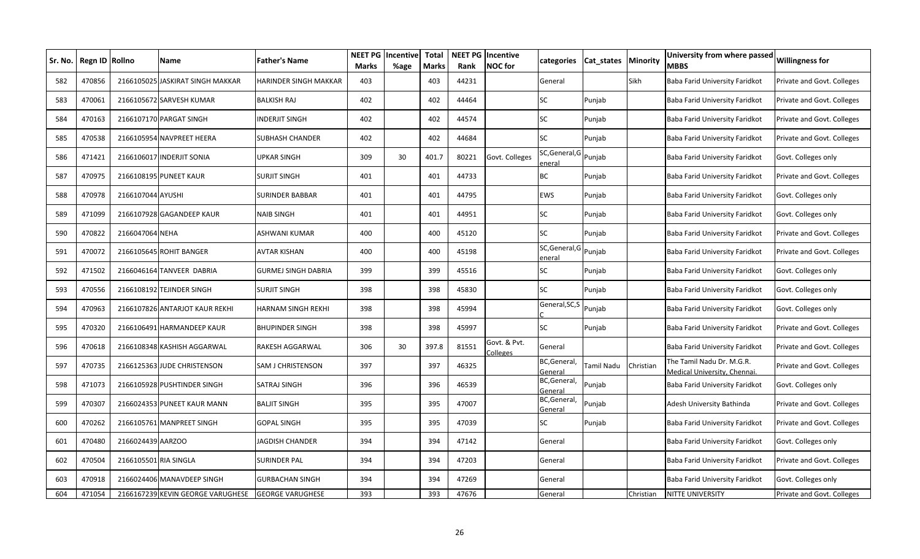| Sr. No. I | <b>Regn ID</b> | <b>Rollno</b>     | Name                              | <b>Father's Name</b>         | <b>NEET PG</b><br><b>Marks</b> | <b>Incentive</b><br>%age | <b>Total</b><br><b>Marks</b> | Rank  | <b>NEET PG</b> Incentive<br><b>NOC</b> for | categories                      | Cat states | Minority  | University from where passed<br><b>MBBS</b>               | Willingness for            |
|-----------|----------------|-------------------|-----------------------------------|------------------------------|--------------------------------|--------------------------|------------------------------|-------|--------------------------------------------|---------------------------------|------------|-----------|-----------------------------------------------------------|----------------------------|
| 582       | 470856         |                   | 2166105025 JASKIRAT SINGH MAKKAR  | <b>HARINDER SINGH MAKKAR</b> | 403                            |                          | 403                          | 44231 |                                            | General                         |            | Sikh      | <b>Baba Farid University Faridkot</b>                     | Private and Govt. Colleges |
| 583       | 470061         |                   | 2166105672 SARVESH KUMAR          | <b>BALKISH RAJ</b>           | 402                            |                          | 402                          | 44464 |                                            | SC                              | Punjab     |           | Baba Farid University Faridkot                            | Private and Govt. Colleges |
| 584       | 470163         |                   | 2166107170 PARGAT SINGH           | <b>INDERJIT SINGH</b>        | 402                            |                          | 402                          | 44574 |                                            | SC                              | Punjab     |           | Baba Farid University Faridkot                            | Private and Govt. Colleges |
| 585       | 470538         |                   | 2166105954 NAVPREET HEERA         | SUBHASH CHANDER              | 402                            |                          | 402                          | 44684 |                                            | <b>SC</b>                       | Punjab     |           | Baba Farid University Faridkot                            | Private and Govt. Colleges |
| 586       | 471421         |                   | 2166106017 INDERJIT SONIA         | UPKAR SINGH                  | 309                            | 30                       | 401.7                        | 80221 | Govt. Colleges                             | SC, General, G Punjab<br>eneral |            |           | Baba Farid University Faridkot                            | Govt. Colleges only        |
| 587       | 470975         |                   | 2166108195 PUNEET KAUR            | SURJIT SINGH                 | 401                            |                          | 401                          | 44733 |                                            | BC                              | Punjab     |           | Baba Farid University Faridkot                            | Private and Govt. Colleges |
| 588       | 470978         | 2166107044 AYUSHI |                                   | <b>SURINDER BABBAR</b>       | 401                            |                          | 401                          | 44795 |                                            | EWS                             | Punjab     |           | Baba Farid University Faridkot                            | Govt. Colleges only        |
| 589       | 471099         |                   | 2166107928 GAGANDEEP KAUR         | <b>NAIB SINGH</b>            | 401                            |                          | 401                          | 44951 |                                            | SC                              | Punjab     |           | Baba Farid University Faridkot                            | Govt. Colleges only        |
| 590       | 470822         | 2166047064 NEHA   |                                   | ASHWANI KUMAR                | 400                            |                          | 400                          | 45120 |                                            | <b>SC</b>                       | Punjab     |           | Baba Farid University Faridkot                            | Private and Govt. Colleges |
| 591       | 470072         |                   | 2166105645 ROHIT BANGER           | AVTAR KISHAN                 | 400                            |                          | 400                          | 45198 |                                            | SC, General, G<br>eneral        | Punjab     |           | Baba Farid University Faridkot                            | Private and Govt. Colleges |
| 592       | 471502         |                   | 2166046164 TANVEER DABRIA         | GURMEJ SINGH DABRIA          | 399                            |                          | 399                          | 45516 |                                            | SC                              | Punjab     |           | Baba Farid University Faridkot                            | Govt. Colleges only        |
| 593       | 470556         |                   | 2166108192 TEJINDER SINGH         | SURJIT SINGH                 | 398                            |                          | 398                          | 45830 |                                            | SC                              | Punjab     |           | Baba Farid University Faridkot                            | Govt. Colleges only        |
| 594       | 470963         |                   | 2166107826 ANTARJOT KAUR REKHI    | HARNAM SINGH REKHI           | 398                            |                          | 398                          | 45994 |                                            | General, SC, S                  | Punjab     |           | Baba Farid University Faridkot                            | Govt. Colleges only        |
| 595       | 470320         |                   | 2166106491 HARMANDEEP KAUR        | <b>BHUPINDER SINGH</b>       | 398                            |                          | 398                          | 45997 |                                            | <b>SC</b>                       | Punjab     |           | Baba Farid University Faridkot                            | Private and Govt. Colleges |
| 596       | 470618         |                   | 2166108348 KASHISH AGGARWAL       | RAKESH AGGARWAL              | 306                            | 30                       | 397.8                        | 81551 | Govt. & Pvt.<br>Colleges                   | General                         |            |           | Baba Farid University Faridkot                            | Private and Govt. Colleges |
| 597       | 470735         |                   | 2166125363 JUDE CHRISTENSON       | SAM J CHRISTENSON            | 397                            |                          | 397                          | 46325 |                                            | BC, General,<br>General         | Tamil Nadu | Christian | The Tamil Nadu Dr. M.G.R.<br>Medical University, Chennai. | Private and Govt. Colleges |
| 598       | 471073         |                   | 2166105928 PUSHTINDER SINGH       | SATRAJ SINGH                 | 396                            |                          | 396                          | 46539 |                                            | BC, General,<br>General         | Punjab     |           | Baba Farid University Faridkot                            | Govt. Colleges only        |
| 599       | 470307         |                   | 2166024353 PUNEET KAUR MANN       | <b>BALJIT SINGH</b>          | 395                            |                          | 395                          | 47007 |                                            | BC, General,<br>General         | Punjab     |           | Adesh University Bathinda                                 | Private and Govt. Colleges |
| 600       | 470262         |                   | 2166105761 MANPREET SINGH         | GOPAL SINGH                  | 395                            |                          | 395                          | 47039 |                                            | SC                              | Punjab     |           | Baba Farid University Faridkot                            | Private and Govt. Colleges |
| 601       | 470480         | 2166024439 AARZOO |                                   | JAGDISH CHANDER              | 394                            |                          | 394                          | 47142 |                                            | General                         |            |           | Baba Farid University Faridkot                            | Govt. Colleges only        |
| 602       | 470504         |                   | 2166105501 RIA SINGLA             | SURINDER PAL                 | 394                            |                          | 394                          | 47203 |                                            | General                         |            |           | Baba Farid University Faridkot                            | Private and Govt. Colleges |
| 603       | 470918         |                   | 2166024406 MANAVDEEP SINGH        | GURBACHAN SINGH              | 394                            |                          | 394                          | 47269 |                                            | General                         |            |           | Baba Farid University Faridkot                            | Govt. Colleges only        |
| 604       | 471054         |                   | 2166167239 KEVIN GEORGE VARUGHESE | <b>GEORGE VARUGHESE</b>      | 393                            |                          | 393                          | 47676 |                                            | General                         |            | Christian | NITTE UNIVERSITY                                          | Private and Govt. Colleges |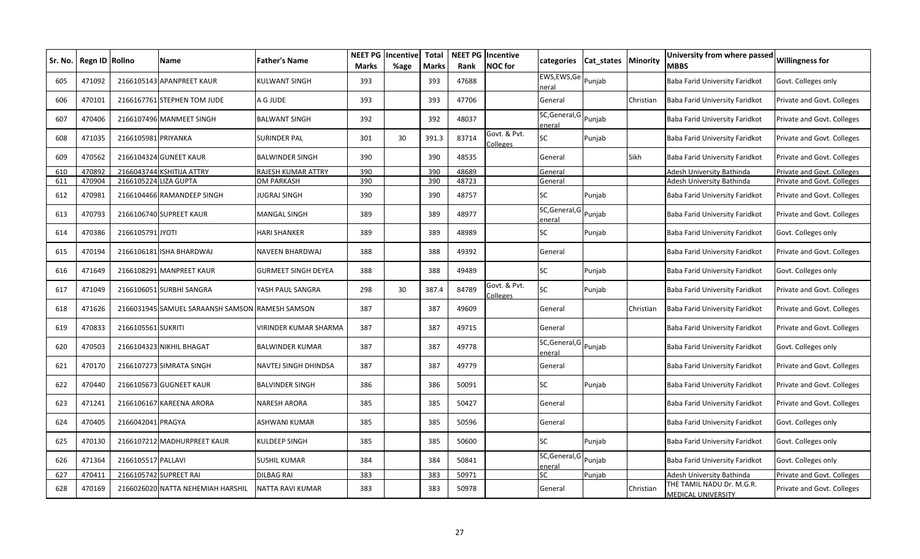| Sr. No. | Regn ID Rollno |                     | Name                                            | <b>Father's Name</b>       | <b>NEET PG</b><br><b>Marks</b> | <b>Incentive</b><br>%age | <b>Total</b><br>Marks | Rank  | <b>NEET PG Incentive</b><br><b>NOC</b> for | categories                      | Cat states | <b>Minority</b> | University from where passed<br><b>MBBS</b>            | <b>Willingness for</b>            |
|---------|----------------|---------------------|-------------------------------------------------|----------------------------|--------------------------------|--------------------------|-----------------------|-------|--------------------------------------------|---------------------------------|------------|-----------------|--------------------------------------------------------|-----------------------------------|
| 605     | 471092         |                     | 2166105143 APANPREET KAUR                       | <b>KULWANT SINGH</b>       | 393                            |                          | 393                   | 47688 |                                            | EWS, EWS, Ge<br>าeral           | Punjab     |                 | Baba Farid University Faridkot                         | Govt. Colleges only               |
| 606     | 470101         | 2166167761          | <b>STEPHEN TOM JUDE</b>                         | A G JUDE                   | 393                            |                          | 393                   | 47706 |                                            | General                         |            | Christian       | Baba Farid University Faridkot                         | Private and Govt. Colleges        |
| 607     | 470406         |                     | 2166107496 MANMEET SINGH                        | <b>BALWANT SINGH</b>       | 392                            |                          | 392                   | 48037 |                                            | SC, General, G Punjab<br>enera  |            |                 | Baba Farid University Faridkot                         | Private and Govt. Colleges        |
| 608     | 471035         | 2166105981 PRIYANKA |                                                 | <b>SURINDER PAL</b>        | 301                            | 30                       | 391.3                 | 83714 | Govt. & Pvt.<br>Colleges                   | SС                              | Punjab     |                 | Baba Farid University Faridkot                         | Private and Govt. Colleges        |
| 609     | 470562         |                     | 2166104324 GUNEET KAUR                          | <b>BALWINDER SINGH</b>     | 390                            |                          | 390                   | 48535 |                                            | General                         |            | Sikh            | Baba Farid University Faridkot                         | Private and Govt. Colleges        |
| 610     | 470892         | 2166043744          | <b>KSHITIJA ATTRY</b>                           | RAJESH KUMAR ATTRY         | 390                            |                          | 390                   | 48689 |                                            | General                         |            |                 | Adesh University Bathinda                              | Private and Govt. Colleges        |
| 611     | 470904         | 2166105224          | <b>LIZA GUPTA</b>                               | OM PARKASH                 | 390                            |                          | 390                   | 48723 |                                            | General                         |            |                 | Adesh University Bathinda                              | <b>Private and Govt. Colleges</b> |
| 612     | 470981         |                     | 2166104466 RAMANDEEP SINGH                      | <b>JUGRAJ SINGH</b>        | 390                            |                          | 390                   | 48757 |                                            | SC                              | Punjab     |                 | Baba Farid University Faridkot                         | Private and Govt. Colleges        |
| 613     | 470793         |                     | 2166106740 SUPREET KAUR                         | <b>MANGAL SINGH</b>        | 389                            |                          | 389                   | 48977 |                                            | SC, General, G<br>enera         | Punjab     |                 | Baba Farid University Faridkot                         | Private and Govt. Colleges        |
| 614     | 470386         | 2166105791 JYOTI    |                                                 | <b>HARI SHANKER</b>        | 389                            |                          | 389                   | 48989 |                                            | SС                              | Punjab     |                 | Baba Farid University Faridkot                         | Govt. Colleges only               |
| 615     | 470194         | 2166106181          | ISHA BHARDWAJ                                   | <b>NAVEEN BHARDWAJ</b>     | 388                            |                          | 388                   | 49392 |                                            | General                         |            |                 | Baba Farid University Faridkot                         | Private and Govt. Colleges        |
| 616     | 471649         | 2166108291          | <b>MANPREET KAUR</b>                            | <b>GURMEET SINGH DEYEA</b> | 388                            |                          | 388                   | 49489 |                                            | SC.                             | Punjab     |                 | Baba Farid University Faridkot                         | Govt. Colleges only               |
| 617     | 471049         |                     | 2166106051 SURBHI SANGRA                        | YASH PAUL SANGRA           | 298                            | 30                       | 387.4                 | 84789 | Govt. & Pvt.<br>Colleges                   | SC.                             | Punjab     |                 | Baba Farid University Faridkot                         | Private and Govt. Colleges        |
| 618     | 471626         |                     | 2166031945 SAMUEL SARAANSH SAMSON RAMESH SAMSON |                            | 387                            |                          | 387                   | 49609 |                                            | General                         |            | Christian       | Baba Farid University Faridkot                         | Private and Govt. Colleges        |
| 619     | 470833         | 2166105561 SUKRITI  |                                                 | VIRINDER KUMAR SHARMA      | 387                            |                          | 387                   | 49715 |                                            | General                         |            |                 | Baba Farid University Faridkot                         | Private and Govt. Colleges        |
| 620     | 470503         |                     | 2166104323 NIKHIL BHAGAT                        | <b>BALWINDER KUMAR</b>     | 387                            |                          | 387                   | 49778 |                                            | SC, General, G<br>eneral        | Punjab     |                 | Baba Farid University Faridkot                         | Govt. Colleges only               |
| 621     | 470170         |                     | 2166107273 SIMRATA SINGH                        | NAVTEJ SINGH DHINDSA       | 387                            |                          | 387                   | 49779 |                                            | General                         |            |                 | Baba Farid University Faridkot                         | Private and Govt. Colleges        |
| 622     | 470440         | 2166105673          | <b>GUGNEET KAUR</b>                             | <b>BALVINDER SINGH</b>     | 386                            |                          | 386                   | 50091 |                                            | SC                              | Punjab     |                 | Baba Farid University Faridkot                         | Private and Govt. Colleges        |
| 623     | 471241         | 2166106167          | <b>KAREENA ARORA</b>                            | <b>NARESH ARORA</b>        | 385                            |                          | 385                   | 50427 |                                            | General                         |            |                 | Baba Farid University Faridkot                         | Private and Govt. Colleges        |
| 624     | 470405         | 2166042041 PRAGYA   |                                                 | ASHWANI KUMAR              | 385                            |                          | 385                   | 50596 |                                            | General                         |            |                 | Baba Farid University Faridkot                         | Govt. Colleges only               |
| 625     | 470130         |                     | 2166107212 MADHURPREET KAUR                     | KULDEEP SINGH              | 385                            |                          | 385                   | 50600 |                                            | SC                              | Punjab     |                 | Baba Farid University Faridkot                         | Govt. Colleges only               |
| 626     | 471364         | 2166105517 PALLAVI  |                                                 | <b>SUSHIL KUMAR</b>        | 384                            |                          | 384                   | 50841 |                                            | SC, General, G<br><u>eneral</u> | Punjab     |                 | Baba Farid University Faridkot                         | Govt. Colleges only               |
| 627     | 470411         |                     | 2166105742 SUPREET RAI                          | <b>DILBAG RAI</b>          | 383                            |                          | 383                   | 50971 |                                            | SC.                             | Punjab     |                 | Adesh University Bathinda                              | Private and Govt. Colleges        |
| 628     | 470169         |                     | 2166026020 NATTA NEHEMIAH HARSHIL               | <b>NATTA RAVI KUMAR</b>    | 383                            |                          | 383                   | 50978 |                                            | General                         |            | Christian       | THE TAMIL NADU Dr. M.G.R.<br><b>MEDICAL UNIVERSITY</b> | Private and Govt. Colleges        |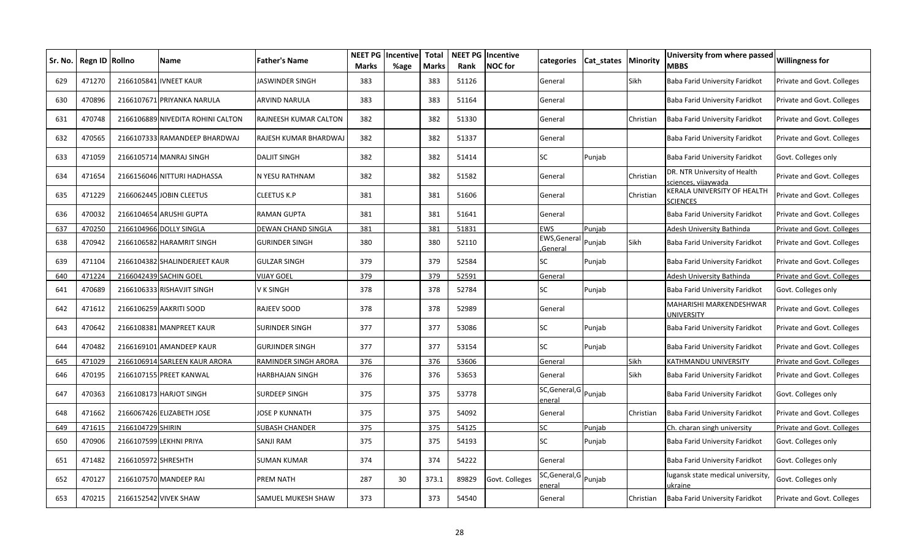| Sr. No. | Regn ID Rollno |                     | Name                              | Father's Name         | <b>NEET PG</b><br><b>Marks</b> | Incentive<br>%age | <b>Total</b><br><b>Marks</b> | Rank  | <b>NEET PG Incentive</b><br><b>NOC</b> for | categories                      | Cat states | Minority    | University from where passed<br><b>MBBS</b>        | Willingness for            |
|---------|----------------|---------------------|-----------------------------------|-----------------------|--------------------------------|-------------------|------------------------------|-------|--------------------------------------------|---------------------------------|------------|-------------|----------------------------------------------------|----------------------------|
| 629     | 471270         |                     | 2166105841 IVNEET KAUR            | IASWINDER SINGH       | 383                            |                   | 383                          | 51126 |                                            | General                         |            | Sikh        | Baba Farid University Faridkot                     | Private and Govt. Colleges |
| 630     | 470896         |                     | 2166107671 PRIYANKA NARULA        | ARVIND NARULA         | 383                            |                   | 383                          | 51164 |                                            | General                         |            |             | Baba Farid University Faridkot                     | Private and Govt. Colleges |
| 631     | 470748         |                     | 2166106889 NIVEDITA ROHINI CALTON | RAJNEESH KUMAR CALTON | 382                            |                   | 382                          | 51330 |                                            | General                         |            | Christian   | Baba Farid University Faridkot                     | Private and Govt. Colleges |
| 632     | 470565         |                     | 2166107333 RAMANDEEP BHARDWAJ     | RAJESH KUMAR BHARDWAJ | 382                            |                   | 382                          | 51337 |                                            | General                         |            |             | Baba Farid University Faridkot                     | Private and Govt. Colleges |
| 633     | 471059         |                     | 2166105714 MANRAJ SINGH           | <b>DALJIT SINGH</b>   | 382                            |                   | 382                          | 51414 |                                            | <b>SC</b>                       | Punjab     |             | Baba Farid University Faridkot                     | Govt. Colleges only        |
| 634     | 471654         |                     | 2166156046 NITTURI HADHASSA       | N YESU RATHNAM        | 382                            |                   | 382                          | 51582 |                                            | General                         |            | Christian   | DR. NTR University of Health<br>ciences, vijaywada | Private and Govt. Colleges |
| 635     | 471229         |                     | 2166062445 JOBIN CLEETUS          | CLEETUS K.P           | 381                            |                   | 381                          | 51606 |                                            | General                         |            | Christian   | KERALA UNIVERSITY OF HEALTH<br><b>SCIENCES</b>     | Private and Govt. Colleges |
| 636     | 470032         |                     | 2166104654 ARUSHI GUPTA           | RAMAN GUPTA           | 381                            |                   | 381                          | 51641 |                                            | General                         |            |             | Baba Farid University Faridkot                     | Private and Govt. Colleges |
| 637     | 470250         |                     | 2166104966 DOLLY SINGLA           | DEWAN CHAND SINGLA    | 381                            |                   | 381                          | 51831 |                                            | <b>EWS</b>                      | Punjab     |             | Adesh University Bathinda                          | Private and Govt. Colleges |
| 638     | 470942         |                     | 2166106582 HARAMRIT SINGH         | GURINDER SINGH        | 380                            |                   | 380                          | 52110 |                                            | EWS, General<br>General         | Punjab     | <b>Sikh</b> | Baba Farid University Faridkot                     | Private and Govt. Colleges |
| 639     | 471104         |                     | 2166104382 SHALINDERJEET KAUR     | GULZAR SINGH          | 379                            |                   | 379                          | 52584 |                                            | SC                              | Punjab     |             | Baba Farid University Faridkot                     | Private and Govt. Colleges |
| 640     | 471224         |                     | 2166042439 SACHIN GOEL            | <b>VIJAY GOEL</b>     | 379                            |                   | 379                          | 52591 |                                            | General                         |            |             | Adesh University Bathinda                          | Private and Govt. Colleges |
| 641     | 470689         |                     | 2166106333 RISHAVJIT SINGH        | V K SINGH             | 378                            |                   | 378                          | 52784 |                                            | SC                              | Punjab     |             | Baba Farid University Faridkot                     | Govt. Colleges only        |
| 642     | 471612         |                     | 2166106259 AAKRITI SOOD           | RAJEEV SOOD           | 378                            |                   | 378                          | 52989 |                                            | General                         |            |             | MAHARISHI MARKENDESHWAR<br>UNIVERSITY              | Private and Govt. Colleges |
| 643     | 470642         |                     | 2166108381 MANPREET KAUR          | SURINDER SINGH        | 377                            |                   | 377                          | 53086 |                                            | SC                              | Punjab     |             | Baba Farid University Faridkot                     | Private and Govt. Colleges |
| 644     | 470482         |                     | 2166169101 AMANDEEP KAUR          | GURJINDER SINGH       | 377                            |                   | 377                          | 53154 |                                            | SC                              | Punjab     |             | Baba Farid University Faridkot                     | Private and Govt. Colleges |
| 645     | 471029         |                     | 2166106914 SARLEEN KAUR ARORA     | RAMINDER SINGH ARORA  | 376                            |                   | 376                          | 53606 |                                            | General                         |            | Sikh        | KATHMANDU UNIVERSITY                               | Private and Govt. Colleges |
| 646     | 470195         |                     | 2166107155 PREET KANWAL           | HARBHAJAN SINGH       | 376                            |                   | 376                          | 53653 |                                            | General                         |            | Sikh        | Baba Farid University Faridkot                     | Private and Govt. Colleges |
| 647     | 470363         |                     | 2166108173 HARJOT SINGH           | SURDEEP SINGH         | 375                            |                   | 375                          | 53778 |                                            | SC, General, G Punjab<br>eneral |            |             | Baba Farid University Faridkot                     | Govt. Colleges only        |
| 648     | 471662         |                     | 2166067426 ELIZABETH JOSE         | IOSE P KUNNATH        | 375                            |                   | 375                          | 54092 |                                            | General                         |            | Christian   | Baba Farid University Faridkot                     | Private and Govt. Colleges |
| 649     | 471615         | 2166104729 SHIRIN   |                                   | SUBASH CHANDER        | 375                            |                   | 375                          | 54125 |                                            | <b>SC</b>                       | Puniab     |             | Ch. charan singh university                        | Private and Govt. Colleges |
| 650     | 470906         |                     | 2166107599 LEKHNI PRIYA           | SANJI RAM             | 375                            |                   | 375                          | 54193 |                                            | SC                              | Punjab     |             | Baba Farid University Faridkot                     | Govt. Colleges only        |
| 651     | 471482         | 2166105972 SHRESHTH |                                   | SUMAN KUMAR           | 374                            |                   | 374                          | 54222 |                                            | General                         |            |             | Baba Farid University Faridkot                     | Govt. Colleges only        |
| 652     | 470127         |                     | 2166107570 MANDEEP RAI            | PREM NATH             | 287                            | 30                | 373.1                        | 89829 | Govt. Colleges                             | SC, General, G Punjab<br>enera  |            |             | ugansk state medical university,<br>ıkraine        | Govt. Colleges only        |
| 653     | 470215         |                     | 2166152542 VIVEK SHAW             | SAMUEL MUKESH SHAW    | 373                            |                   | 373                          | 54540 |                                            | General                         |            | Christian   | Baba Farid University Faridkot                     | Private and Govt. Colleges |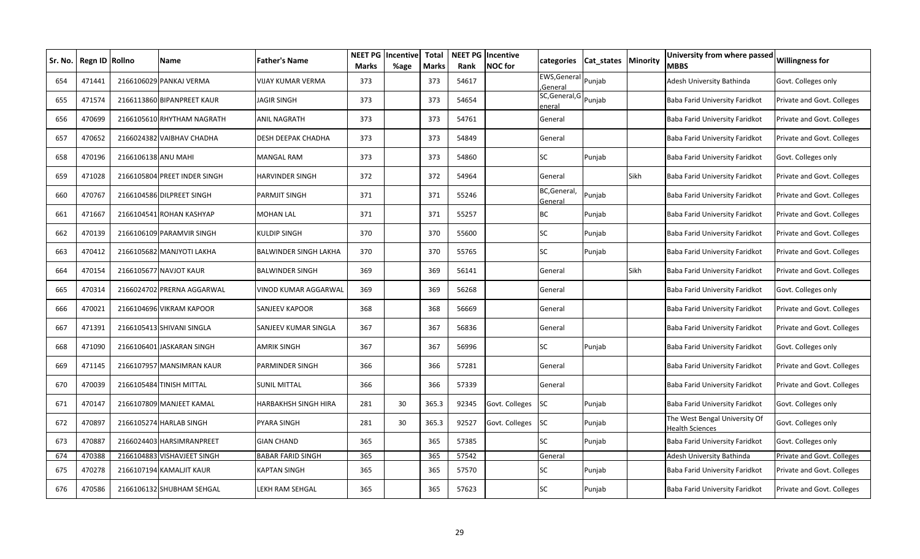| Sr. No. l | Regn ID | <b>Rollno</b>       | Name                         | <b>Father's Name</b>     | <b>NEET PG</b><br><b>Marks</b> | Incentive<br>%age | <b>Total</b><br><b>Marks</b> | Rank  | <b>NEET PG Incentive</b><br><b>NOC</b> for | categories                      | Cat_states   Minority |             | University from where passed<br>MBBS                    | <b>Willingness for</b>     |
|-----------|---------|---------------------|------------------------------|--------------------------|--------------------------------|-------------------|------------------------------|-------|--------------------------------------------|---------------------------------|-----------------------|-------------|---------------------------------------------------------|----------------------------|
| 654       | 471441  |                     | 2166106029 PANKAJ VERMA      | VIJAY KUMAR VERMA        | 373                            |                   | 373                          | 54617 |                                            | EWS, General Punjab<br>General  |                       |             | Adesh University Bathinda                               | Govt. Colleges only        |
| 655       | 471574  |                     | 2166113860 BIPANPREET KAUR   | JAGIR SINGH              | 373                            |                   | 373                          | 54654 |                                            | SC, General, G Punjab<br>eneral |                       |             | Baba Farid University Faridkot                          | Private and Govt. Colleges |
| 656       | 470699  |                     | 2166105610 RHYTHAM NAGRATH   | ANIL NAGRATH             | 373                            |                   | 373                          | 54761 |                                            | General                         |                       |             | Baba Farid University Faridkot                          | Private and Govt. Colleges |
| 657       | 470652  |                     | 2166024382 VAIBHAV CHADHA    | DESH DEEPAK CHADHA       | 373                            |                   | 373                          | 54849 |                                            | General                         |                       |             | Baba Farid University Faridkot                          | Private and Govt. Colleges |
| 658       | 470196  | 2166106138 ANU MAHI |                              | MANGAL RAM               | 373                            |                   | 373                          | 54860 |                                            | <b>SC</b>                       | Punjab                |             | Baba Farid University Faridkot                          | Govt. Colleges only        |
| 659       | 471028  |                     | 2166105804 PREET INDER SINGH | HARVINDER SINGH          | 372                            |                   | 372                          | 54964 |                                            | General                         |                       | <b>Sikh</b> | Baba Farid University Faridkot                          | Private and Govt. Colleges |
| 660       | 470767  |                     | 2166104586 DILPREET SINGH    | PARMJIT SINGH            | 371                            |                   | 371                          | 55246 |                                            | BC,General,<br>General          | Punjab                |             | Baba Farid University Faridkot                          | Private and Govt. Colleges |
| 661       | 471667  |                     | 2166104541 ROHAN KASHYAP     | MOHAN LAL                | 371                            |                   | 371                          | 55257 |                                            | ВC                              | Punjab                |             | Baba Farid University Faridkot                          | Private and Govt. Colleges |
| 662       | 470139  |                     | 2166106109 PARAMVIR SINGH    | KULDIP SINGH             | 370                            |                   | 370                          | 55600 |                                            | SC                              | Punjab                |             | Baba Farid University Faridkot                          | Private and Govt. Colleges |
| 663       | 470412  |                     | 2166105682 MANJYOTI LAKHA    | BALWINDER SINGH LAKHA    | 370                            |                   | 370                          | 55765 |                                            | SC                              | Punjab                |             | Baba Farid University Faridkot                          | Private and Govt. Colleges |
| 664       | 470154  |                     | 2166105677 NAVJOT KAUR       | BALWINDER SINGH          | 369                            |                   | 369                          | 56141 |                                            | General                         |                       | Sikh        | Baba Farid University Faridkot                          | Private and Govt. Colleges |
| 665       | 470314  |                     | 2166024702 PRERNA AGGARWAL   | VINOD KUMAR AGGARWAL     | 369                            |                   | 369                          | 56268 |                                            | General                         |                       |             | Baba Farid University Faridkot                          | Govt. Colleges only        |
| 666       | 470021  |                     | 2166104696 VIKRAM KAPOOR     | SANJEEV KAPOOR           | 368                            |                   | 368                          | 56669 |                                            | General                         |                       |             | Baba Farid University Faridkot                          | Private and Govt. Colleges |
| 667       | 471391  |                     | 2166105413 SHIVANI SINGLA    | SANJEEV KUMAR SINGLA     | 367                            |                   | 367                          | 56836 |                                            | General                         |                       |             | Baba Farid University Faridkot                          | Private and Govt. Colleges |
| 668       | 471090  |                     | 2166106401 JASKARAN SINGH    | AMRIK SINGH              | 367                            |                   | 367                          | 56996 |                                            | SC                              | Punjab                |             | Baba Farid University Faridkot                          | Govt. Colleges only        |
| 669       | 471145  |                     | 2166107957 MANSIMRAN KAUR    | PARMINDER SINGH          | 366                            |                   | 366                          | 57281 |                                            | General                         |                       |             | Baba Farid University Faridkot                          | Private and Govt. Colleges |
| 670       | 470039  |                     | 2166105484 TINISH MITTAL     | SUNIL MITTAL             | 366                            |                   | 366                          | 57339 |                                            | General                         |                       |             | Baba Farid University Faridkot                          | Private and Govt. Colleges |
| 671       | 470147  |                     | 2166107809 MANJEET KAMAL     | HARBAKHSH SINGH HIRA     | 281                            | 30                | 365.3                        | 92345 | Govt. Colleges                             | <b>SC</b>                       | Punjab                |             | Baba Farid University Faridkot                          | Govt. Colleges only        |
| 672       | 470897  |                     | 2166105274 HARLAB SINGH      | PYARA SINGH              | 281                            | 30                | 365.3                        | 92527 | Govt. Colleges                             | <b>SC</b>                       | Punjab                |             | The West Bengal University Of<br><b>Health Sciences</b> | Govt. Colleges only        |
| 673       | 470887  |                     | 2166024403 HARSIMRANPREET    | GIAN CHAND               | 365                            |                   | 365                          | 57385 |                                            | <b>SC</b>                       | Punjab                |             | Baba Farid University Faridkot                          | Govt. Colleges only        |
| 674       | 470388  |                     | 2166104883 VISHAVJEET SINGH  | <b>BABAR FARID SINGH</b> | 365                            |                   | 365                          | 57542 |                                            | General                         |                       |             | Adesh University Bathinda                               | Private and Govt. Colleges |
| 675       | 470278  |                     | 2166107194 KAMALJIT KAUR     | KAPTAN SINGH             | 365                            |                   | 365                          | 57570 |                                            | SC                              | Punjab                |             | Baba Farid University Faridkot                          | Private and Govt. Colleges |
| 676       | 470586  |                     | 2166106132 SHUBHAM SEHGAL    | LEKH RAM SEHGAL          | 365                            |                   | 365                          | 57623 |                                            | SC                              | Punjab                |             | Baba Farid University Faridkot                          | Private and Govt. Colleges |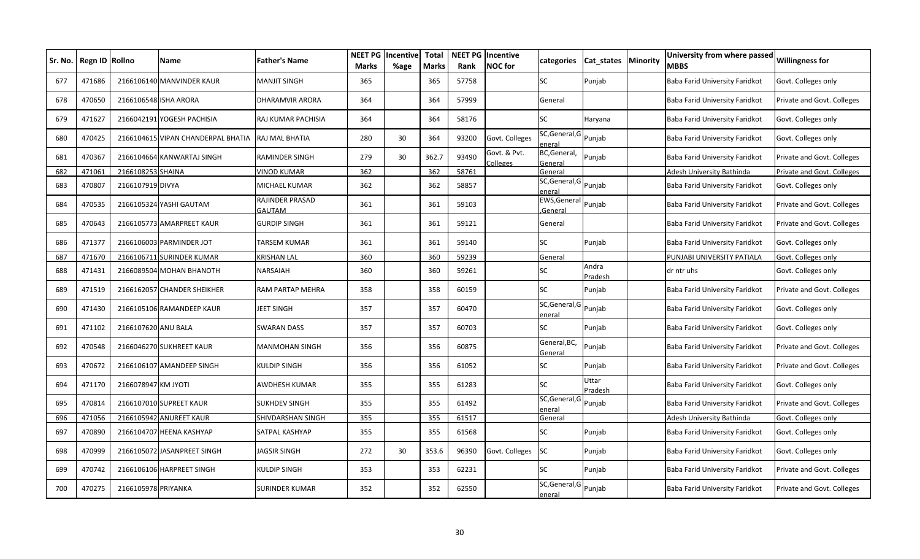| Sr. No. | Regn ID Rollno |                     | Name                               | Father's Name             | <b>NEET PG</b><br><b>Marks</b> | Incentive<br>%age | <b>Total</b><br><b>Marks</b> | Rank  | <b>NEET PG Incentive</b><br><b>NOC</b> for | categories                      | Cat_states   Minority | University from where passed<br><b>MBBS</b> | <b>Willingness for</b>     |
|---------|----------------|---------------------|------------------------------------|---------------------------|--------------------------------|-------------------|------------------------------|-------|--------------------------------------------|---------------------------------|-----------------------|---------------------------------------------|----------------------------|
| 677     | 471686         |                     | 2166106140 MANVINDER KAUR          | MANJIT SINGH              | 365                            |                   | 365                          | 57758 |                                            | <b>SC</b>                       | Punjab                | Baba Farid University Faridkot              | Govt. Colleges only        |
| 678     | 470650         |                     | 2166106548 ISHA ARORA              | DHARAMVIR ARORA           | 364                            |                   | 364                          | 57999 |                                            | General                         |                       | Baba Farid University Faridkot              | Private and Govt. Colleges |
| 679     | 471627         |                     | 2166042191 YOGESH PACHISIA         | RAJ KUMAR PACHISIA        | 364                            |                   | 364                          | 58176 |                                            | SC                              | Haryana               | Baba Farid University Faridkot              | Govt. Colleges only        |
| 680     | 470425         |                     | 2166104615 VIPAN CHANDERPAL BHATIA | RAJ MAL BHATIA            | 280                            | 30                | 364                          | 93200 | Govt. Colleges                             | SC, General, G Punjab<br>eneral |                       | Baba Farid University Faridkot              | Govt. Colleges only        |
| 681     | 470367         |                     | 2166104664 KANWARTAJ SINGH         | RAMINDER SINGH            | 279                            | 30                | 362.7                        | 93490 | Govt. & Pvt.<br>Colleges                   | BC, General,<br>General         | Punjab                | Baba Farid University Faridkot              | Private and Govt. Colleges |
| 682     | 471061         | 2166108253 SHAINA   |                                    | VINOD KUMAR               | 362                            |                   | 362                          | 58761 |                                            | General                         |                       | Adesh University Bathinda                   | Private and Govt. Colleges |
| 683     | 470807         | 2166107919 DIVYA    |                                    | MICHAEL KUMAR             | 362                            |                   | 362                          | 58857 |                                            | SC, General, G Punjab<br>enera  |                       | Baba Farid University Faridkot              | Govt. Colleges only        |
| 684     | 470535         |                     | 2166105324 YASHI GAUTAM            | RAJINDER PRASAD<br>GAUTAM | 361                            |                   | 361                          | 59103 |                                            | EWS, General<br>General         | Punjab                | Baba Farid University Faridkot              | Private and Govt. Colleges |
| 685     | 470643         |                     | 2166105773 AMARPREET KAUR          | GURDIP SINGH              | 361                            |                   | 361                          | 59121 |                                            | General                         |                       | Baba Farid University Faridkot              | Private and Govt. Colleges |
| 686     | 471377         |                     | 2166106003 PARMINDER JOT           | TARSEM KUMAR              | 361                            |                   | 361                          | 59140 |                                            | SC                              | Punjab                | Baba Farid University Faridkot              | Govt. Colleges only        |
| 687     | 471670         |                     | 2166106711 SURINDER KUMAR          | KRISHAN LAL               | 360                            |                   | 360                          | 59239 |                                            | General                         |                       | PUNJABI UNIVERSITY PATIALA                  | Govt. Colleges only        |
| 688     | 471431         |                     | 2166089504 MOHAN BHANOTH           | NARSAIAH                  | 360                            |                   | 360                          | 59261 |                                            | SC                              | Andra<br>Pradesh      | dr ntr uhs                                  | Govt. Colleges only        |
| 689     | 471519         |                     | 2166162057 CHANDER SHEIKHER        | RAM PARTAP MEHRA          | 358                            |                   | 358                          | 60159 |                                            | <b>SC</b>                       | Punjab                | Baba Farid University Faridkot              | Private and Govt. Colleges |
| 690     | 471430         |                     | 2166105106 RAMANDEEP KAUR          | JEET SINGH                | 357                            |                   | 357                          | 60470 |                                            | SC, General, G Punjab<br>enera  |                       | Baba Farid University Faridkot              | Govt. Colleges only        |
| 691     | 471102         | 2166107620 ANU BALA |                                    | SWARAN DASS               | 357                            |                   | 357                          | 60703 |                                            | SC                              | Punjab                | Baba Farid University Faridkot              | Govt. Colleges only        |
| 692     | 470548         |                     | 2166046270 SUKHREET KAUR           | MANMOHAN SINGH            | 356                            |                   | 356                          | 60875 |                                            | General, BC,<br>General         | Punjab                | Baba Farid University Faridkot              | Private and Govt. Colleges |
| 693     | 470672         |                     | 2166106107 AMANDEEP SINGH          | KULDIP SINGH              | 356                            |                   | 356                          | 61052 |                                            | SC                              | Punjab                | Baba Farid University Faridkot              | Private and Govt. Colleges |
| 694     | 471170         | 2166078947 KM JYOTI |                                    | AWDHESH KUMAR             | 355                            |                   | 355                          | 61283 |                                            | <b>SC</b>                       | Uttar<br>Pradesh      | Baba Farid University Faridkot              | Govt. Colleges only        |
| 695     | 470814         |                     | 2166107010 SUPREET KAUR            | SUKHDEV SINGH             | 355                            |                   | 355                          | 61492 |                                            | SC, General, G<br>eneral        | Punjab                | Baba Farid University Faridkot              | Private and Govt. Colleges |
| 696     | 471056         |                     | 2166105942 ANUREET KAUR            | SHIVDARSHAN SINGH         | 355                            |                   | 355                          | 61517 |                                            | General                         |                       | Adesh University Bathinda                   | Govt. Colleges only        |
| 697     | 470890         |                     | 2166104707 HEENA KASHYAP           | SATPAL KASHYAP            | 355                            |                   | 355                          | 61568 |                                            | SC                              | Punjab                | Baba Farid University Faridkot              | Govt. Colleges only        |
| 698     | 470999         |                     | 2166105072 JASANPREET SINGH        | <b>JAGSIR SINGH</b>       | 272                            | 30                | 353.6                        | 96390 | Govt. Colleges                             | SC                              | Punjab                | Baba Farid University Faridkot              | Govt. Colleges only        |
| 699     | 470742         |                     | 2166106106 HARPREET SINGH          | KULDIP SINGH              | 353                            |                   | 353                          | 62231 |                                            | SC                              | Punjab                | Baba Farid University Faridkot              | Private and Govt. Colleges |
| 700     | 470275         | 2166105978 PRIYANKA |                                    | SURINDER KUMAR            | 352                            |                   | 352                          | 62550 |                                            | SC, General, G Punjab<br>eneral |                       | Baba Farid University Faridkot              | Private and Govt. Colleges |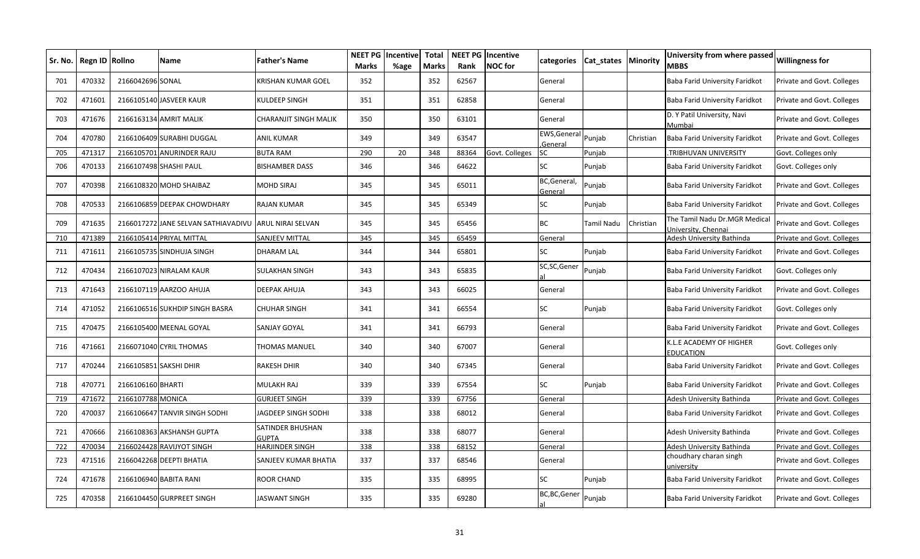| Sr. No. | Regn ID Rollno |                   | Name                                | Father's Name                    | <b>NEET PG</b><br><b>Marks</b> | Incentive<br>%age | <b>Total</b><br><b>Marks</b> | Rank  | <b>NEET PG Incentive</b><br><b>NOC</b> for | categories                     | Cat states | Minority  | University from where passed<br><b>MBBS</b>          | <b>Willingness for</b>     |
|---------|----------------|-------------------|-------------------------------------|----------------------------------|--------------------------------|-------------------|------------------------------|-------|--------------------------------------------|--------------------------------|------------|-----------|------------------------------------------------------|----------------------------|
| 701     | 470332         | 2166042696 SONAL  |                                     | KRISHAN KUMAR GOEL               | 352                            |                   | 352                          | 62567 |                                            | General                        |            |           | Baba Farid University Faridkot                       | Private and Govt. Colleges |
| 702     | 471601         |                   | 2166105140 JASVEER KAUR             | KULDEEP SINGH                    | 351                            |                   | 351                          | 62858 |                                            | General                        |            |           | Baba Farid University Faridkot                       | Private and Govt. Colleges |
| 703     | 471676         |                   | 2166163134 AMRIT MALIK              | CHARANJIT SINGH MALIK            | 350                            |                   | 350                          | 63101 |                                            | General                        |            |           | D. Y Patil University, Navi<br>Mumbai                | Private and Govt. Colleges |
| 704     | 470780         |                   | 2166106409 SURABHI DUGGAL           | ANIL KUMAR                       | 349                            |                   | 349                          | 63547 |                                            | EWS, General Punjab<br>General |            | Christian | Baba Farid University Faridkot                       | Private and Govt. Colleges |
| 705     | 471317         |                   | 2166105701 ANURINDER RAJU           | <b>BUTA RAM</b>                  | 290                            | 20                | 348                          | 88364 | Govt. Colleges                             | <b>SC</b>                      | Punjab     |           | TRIBHUVAN UNIVERSITY.                                | Govt. Colleges only        |
| 706     | 470133         |                   | 2166107498 SHASHI PAUL              | <b>BISHAMBER DASS</b>            | 346                            |                   | 346                          | 64622 |                                            | SC                             | Punjab     |           | Baba Farid University Faridkot                       | Govt. Colleges only        |
| 707     | 470398         |                   | 2166108320 MOHD SHAIBAZ             | MOHD SIRAJ                       | 345                            |                   | 345                          | 65011 |                                            | BC, General,<br>General        | Punjab     |           | Baba Farid University Faridkot                       | Private and Govt. Colleges |
| 708     | 470533         |                   | 2166106859 DEEPAK CHOWDHARY         | RAJAN KUMAR                      | 345                            |                   | 345                          | 65349 |                                            | SC                             | Punjab     |           | Baba Farid University Faridkot                       | Private and Govt. Colleges |
| 709     | 471635         |                   | 2166017272 JANE SELVAN SATHIAVADIVU | <b>ARUL NIRAI SELVAN</b>         | 345                            |                   | 345                          | 65456 |                                            | BC                             | Tamil Nadu | Christian | The Tamil Nadu Dr.MGR Medical<br>University, Chennai | Private and Govt. Colleges |
| 710     | 471389         |                   | 2166105414 PRIYAL MITTAL            | SANJEEV MITTAL                   | 345                            |                   | 345                          | 65459 |                                            | General                        |            |           | Adesh University Bathinda                            | Private and Govt. Colleges |
| 711     | 471611         |                   | 2166105735 SINDHUJA SINGH           | DHARAM LAL                       | 344                            |                   | 344                          | 65801 |                                            | <b>SC</b>                      | Punjab     |           | Baba Farid University Faridkot                       | Private and Govt. Colleges |
| 712     | 470434         |                   | 2166107023 NIRALAM KAUR             | SULAKHAN SINGH                   | 343                            |                   | 343                          | 65835 |                                            | SC,SC,Gener                    | Punjab     |           | Baba Farid University Faridkot                       | Govt. Colleges only        |
| 713     | 471643         |                   | 2166107119 AARZOO AHUJA             | DEEPAK AHUJA                     | 343                            |                   | 343                          | 66025 |                                            | General                        |            |           | Baba Farid University Faridkot                       | Private and Govt. Colleges |
| 714     | 471052         |                   | 2166106516 SUKHDIP SINGH BASRA      | CHUHAR SINGH                     | 341                            |                   | 341                          | 66554 |                                            | SC                             | Punjab     |           | Baba Farid University Faridkot                       | Govt. Colleges only        |
| 715     | 470475         |                   | 2166105400 MEENAL GOYAL             | SANJAY GOYAL                     | 341                            |                   | 341                          | 66793 |                                            | General                        |            |           | Baba Farid University Faridkot                       | Private and Govt. Colleges |
| 716     | 471661         |                   | 2166071040 CYRIL THOMAS             | THOMAS MANUEL                    | 340                            |                   | 340                          | 67007 |                                            | General                        |            |           | K.L.E ACADEMY OF HIGHER<br><b>EDUCATION</b>          | Govt. Colleges only        |
| 717     | 470244         |                   | 2166105851 SAKSHI DHIR              | RAKESH DHIR                      | 340                            |                   | 340                          | 67345 |                                            | General                        |            |           | Baba Farid University Faridkot                       | Private and Govt. Colleges |
| 718     | 470771         | 2166106160 BHARTI |                                     | MULAKH RAJ                       | 339                            |                   | 339                          | 67554 |                                            | <b>SC</b>                      | Punjab     |           | Baba Farid University Faridkot                       | Private and Govt. Colleges |
| 719     | 471672         | 2166107788 MONICA |                                     | <b>GURJEET SINGH</b>             | 339                            |                   | 339                          | 67756 |                                            | General                        |            |           | Adesh University Bathinda                            | Private and Govt. Colleges |
| 720     | 470037         |                   | 2166106647 TANVIR SINGH SODHI       | <b>JAGDEEP SINGH SODHI</b>       | 338                            |                   | 338                          | 68012 |                                            | General                        |            |           | Baba Farid University Faridkot                       | Private and Govt. Colleges |
| 721     | 470666         |                   | 2166108363 AKSHANSH GUPTA           | SATINDER BHUSHAN<br><b>GUPTA</b> | 338                            |                   | 338                          | 68077 |                                            | General                        |            |           | Adesh University Bathinda                            | Private and Govt. Colleges |
| 722     | 470034         |                   | 2166024428 RAVIJYOT SINGH           | HARJINDER SINGH                  | 338                            |                   | 338                          | 68152 |                                            | General                        |            |           | Adesh University Bathinda                            | Private and Govt. Colleges |
| 723     | 471516         |                   | 2166042268 DEEPTI BHATIA            | SANJEEV KUMAR BHATIA             | 337                            |                   | 337                          | 68546 |                                            | General                        |            |           | choudhary charan singh<br>university                 | Private and Govt. Colleges |
| 724     | 471678         |                   | 2166106940 BABITA RANI              | ROOR CHAND                       | 335                            |                   | 335                          | 68995 |                                            | SC                             | Punjab     |           | Baba Farid University Faridkot                       | Private and Govt. Colleges |
| 725     | 470358         |                   | 2166104450 GURPREET SINGH           | IASWANT SINGH                    | 335                            |                   | 335                          | 69280 |                                            | BC,BC,Gener                    | Punjab     |           | Baba Farid University Faridkot                       | Private and Govt. Colleges |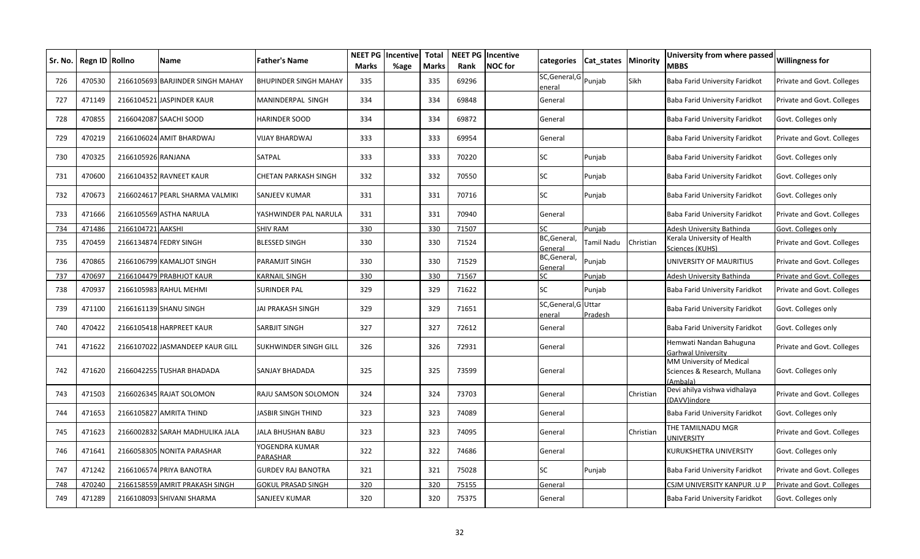| Sr. No. | Regn ID Rollno |                    | Name                            | <b>Father's Name</b>         | <b>NEET PG</b><br><b>Marks</b> | Incentive<br>%age | <b>Total</b><br><b>Marks</b> | Rank  | <b>NEET PG Incentive</b><br><b>NOC</b> for | categories                    | Cat states | <b>Minority</b> | University from where passed<br>MBBS                                | <b>Willingness for</b>     |
|---------|----------------|--------------------|---------------------------------|------------------------------|--------------------------------|-------------------|------------------------------|-------|--------------------------------------------|-------------------------------|------------|-----------------|---------------------------------------------------------------------|----------------------------|
| 726     | 470530         | 2166105693         | <b>BARJINDER SINGH MAHAY</b>    | <b>BHUPINDER SINGH MAHAY</b> | 335                            |                   | 335                          | 69296 |                                            | SC, General, G<br>eneral      | Puniab     | Sikh            | Baba Farid University Faridkot                                      | Private and Govt. Colleges |
| 727     | 471149         |                    | 2166104521 JASPINDER KAUR       | MANINDERPAL SINGH            | 334                            |                   | 334                          | 69848 |                                            | General                       |            |                 | Baba Farid University Faridkot                                      | Private and Govt. Colleges |
| 728     | 470855         |                    | 2166042087 SAACHI SOOD          | <b>HARINDER SOOD</b>         | 334                            |                   | 334                          | 69872 |                                            | General                       |            |                 | Baba Farid University Faridkot                                      | Govt. Colleges only        |
| 729     | 470219         | 2166106024         | <b>AMIT BHARDWAJ</b>            | <b>VIJAY BHARDWAJ</b>        | 333                            |                   | 333                          | 69954 |                                            | General                       |            |                 | Baba Farid University Faridkot                                      | Private and Govt. Colleges |
| 730     | 470325         | 2166105926 RANJANA |                                 | <b>SATPAL</b>                | 333                            |                   | 333                          | 70220 |                                            | SC                            | Punjab     |                 | Baba Farid University Faridkot                                      | Govt. Colleges only        |
| 731     | 470600         | 2166104352         | <b>RAVNEET KAUR</b>             | <b>CHETAN PARKASH SINGH</b>  | 332                            |                   | 332                          | 70550 |                                            | SC                            | Punjab     |                 | Baba Farid University Faridkot                                      | Govt. Colleges only        |
| 732     | 470673         | 2166024617         | PEARL SHARMA VALMIKI            | SANJEEV KUMAR                | 331                            |                   | 331                          | 70716 |                                            | SC                            | Punjab     |                 | Baba Farid University Faridkot                                      | Govt. Colleges only        |
| 733     | 471666         |                    | 2166105569 ASTHA NARULA         | YASHWINDER PAL NARULA        | 331                            |                   | 331                          | 70940 |                                            | General                       |            |                 | Baba Farid University Faridkot                                      | Private and Govt. Colleges |
| 734     | 471486         | 2166104721         | <b>AAKSHI</b>                   | <b>SHIV RAM</b>              | 330                            |                   | 330                          | 71507 |                                            | SC                            | Punjab     |                 | Adesh University Bathinda                                           | Govt. Colleges only        |
| 735     | 470459         | 2166134874         | <b>FEDRY SINGH</b>              | <b>BLESSED SINGH</b>         | 330                            |                   | 330                          | 71524 |                                            | BC, General,<br>General       | Tamil Nadu | Christian       | Gerala University of Health<br>Sciences (KUHS)                      | Private and Govt. Colleges |
| 736     | 470865         |                    | 2166106799 KAMALJOT SINGH       | <b>PARAMJIT SINGH</b>        | 330                            |                   | 330                          | 71529 |                                            | BC, General,<br>General       | Punjab     |                 | UNIVERSITY OF MAURITIUS                                             | Private and Govt. Colleges |
| 737     | 470697         |                    | 2166104479 PRABHJOT KAUR        | <b>KARNAIL SINGH</b>         | 330                            |                   | 330                          | 71567 |                                            | SC                            | Punjab     |                 | Adesh University Bathinda                                           | Private and Govt. Colleges |
| 738     | 470937         |                    | 2166105983 RAHUL MEHMI          | <b>SURINDER PAL</b>          | 329                            |                   | 329                          | 71622 |                                            | SC                            | Punjab     |                 | Baba Farid University Faridkot                                      | Private and Govt. Colleges |
| 739     | 471100         |                    | 2166161139 SHANU SINGH          | JAI PRAKASH SINGH            | 329                            |                   | 329                          | 71651 |                                            | SC, General, GUttar<br>eneral | Pradesh    |                 | Baba Farid University Faridkot                                      | Govt. Colleges only        |
| 740     | 470422         |                    | 2166105418 HARPREET KAUR        | <b>SARBJIT SINGH</b>         | 327                            |                   | 327                          | 72612 |                                            | General                       |            |                 | Baba Farid University Faridkot                                      | Govt. Colleges only        |
| 741     | 471622         |                    | 2166107022 JASMANDEEP KAUR GILL | <b>SUKHWINDER SINGH GILL</b> | 326                            |                   | 326                          | 72931 |                                            | General                       |            |                 | Hemwati Nandan Bahuguna<br>Garhwal University                       | Private and Govt. Colleges |
| 742     | 471620         |                    | 2166042255 TUSHAR BHADADA       | <b>SANJAY BHADADA</b>        | 325                            |                   | 325                          | 73599 |                                            | General                       |            |                 | MM University of Medical<br>Sciences & Research, Mullana<br>Ambala) | Govt. Colleges only        |
| 743     | 471503         |                    | 2166026345 RAJAT SOLOMON        | RAJU SAMSON SOLOMON          | 324                            |                   | 324                          | 73703 |                                            | General                       |            | Christian       | Devi ahilya vishwa vidhalaya<br>DAVV)indore                         | Private and Govt. Colleges |
| 744     | 471653         |                    | 2166105827 AMRITA THIND         | <b>JASBIR SINGH THIND</b>    | 323                            |                   | 323                          | 74089 |                                            | General                       |            |                 | Baba Farid University Faridkot                                      | Govt. Colleges only        |
| 745     | 471623         |                    | 2166002832 SARAH MADHULIKA JALA | <b>JALA BHUSHAN BABU</b>     | 323                            |                   | 323                          | 74095 |                                            | General                       |            | Christian       | THE TAMILNADU MGR<br><b>JNIVERSITY</b>                              | Private and Govt. Colleges |
| 746     | 471641         |                    | 2166058305 NONITA PARASHAR      | YOGENDRA KUMAR<br>PARASHAR   | 322                            |                   | 322                          | 74686 |                                            | General                       |            |                 | KURUKSHETRA UNIVERSITY                                              | Govt. Colleges only        |
| 747     | 471242         | 2166106574         | PRIYA BANOTRA                   | <b>GURDEV RAJ BANOTRA</b>    | 321                            |                   | 321                          | 75028 |                                            | SC                            | Punjab     |                 | Baba Farid University Faridkot                                      | Private and Govt. Colleges |
| 748     | 470240         | 2166158559         | <b>AMRIT PRAKASH SINGH</b>      | <b>GOKUL PRASAD SINGH</b>    | 320                            |                   | 320                          | 75155 |                                            | General                       |            |                 | CSJM UNIVERSITY KANPUR .U P                                         | Private and Govt. Colleges |
| 749     | 471289         |                    | 2166108093 SHIVANI SHARMA       | <b>SANJEEV KUMAR</b>         | 320                            |                   | 320                          | 75375 |                                            | General                       |            |                 | Baba Farid University Faridkot                                      | Govt. Colleges only        |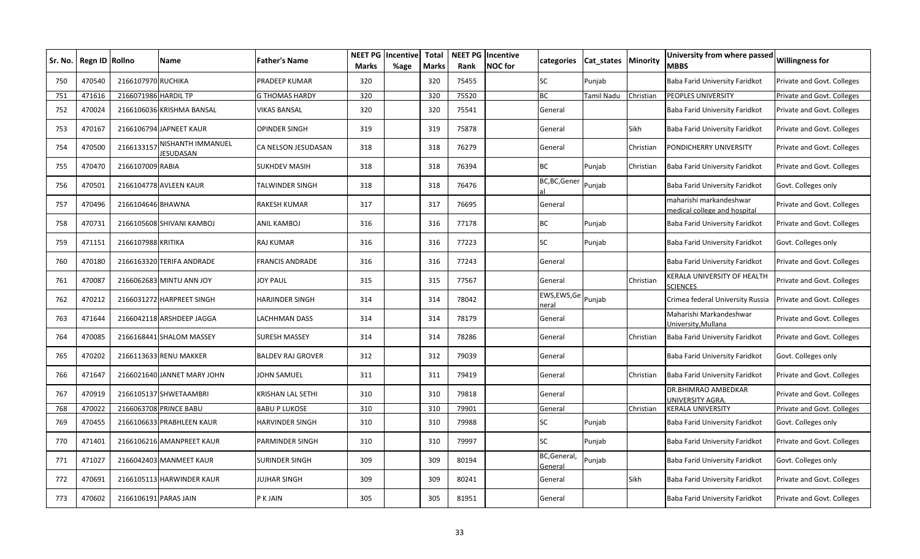| Sr. No. | Regn ID Rollno |                      | Name                           | <b>Father's Name</b>     | <b>NEET PG</b><br><b>Marks</b> | Incentive<br>%age | <b>Total</b><br><b>Marks</b> | Rank  | <b>NEET PG Incentive</b><br><b>NOC</b> for | categories                | <b>Cat states Minority</b> |           | University from where passed<br>MBBS                    | <b>Willingness for</b>     |
|---------|----------------|----------------------|--------------------------------|--------------------------|--------------------------------|-------------------|------------------------------|-------|--------------------------------------------|---------------------------|----------------------------|-----------|---------------------------------------------------------|----------------------------|
| 750     | 470540         | 2166107970           | <b>RUCHIKA</b>                 | PRADEEP KUMAR            | 320                            |                   | 320                          | 75455 |                                            | SC                        | Punjab                     |           | Baba Farid University Faridkot                          | Private and Govt. Colleges |
| 751     | 471616         | 2166071986 HARDIL TP |                                | <b>G THOMAS HARDY</b>    | 320                            |                   | 320                          | 75520 |                                            | <b>BC</b>                 | Tamil Nadu                 | Christian | PEOPLES UNIVERSITY                                      | Private and Govt. Colleges |
| 752     | 470024         |                      | 2166106036 KRISHMA BANSAL      | <b>VIKAS BANSAL</b>      | 320                            |                   | 320                          | 75541 |                                            | General                   |                            |           | Baba Farid University Faridkot                          | Private and Govt. Colleges |
| 753     | 470167         |                      | 2166106794 JAPNEET KAUR        | <b>OPINDER SINGH</b>     | 319                            |                   | 319                          | 75878 |                                            | General                   |                            | Sikh      | Baba Farid University Faridkot                          | Private and Govt. Colleges |
| 754     | 470500         | 2166133157           | NISHANTH IMMANUEL<br>IESUDASAN | CA NELSON JESUDASAN      | 318                            |                   | 318                          | 76279 |                                            | General                   |                            | Christian | PONDICHERRY UNIVERSITY                                  | Private and Govt. Colleges |
| 755     | 470470         | 2166107009 RABIA     |                                | <b>SUKHDEV MASIH</b>     | 318                            |                   | 318                          | 76394 |                                            | ВC                        | Punjab                     | Christian | Baba Farid University Faridkot                          | Private and Govt. Colleges |
| 756     | 470501         |                      | 2166104778 AVLEEN KAUR         | <b>TALWINDER SINGH</b>   | 318                            |                   | 318                          | 76476 |                                            | BC,BC,Gener               | Punjab                     |           | Baba Farid University Faridkot                          | Govt. Colleges only        |
| 757     | 470496         | 2166104646 BHAWNA    |                                | <b>RAKESH KUMAR</b>      | 317                            |                   | 317                          | 76695 |                                            | General                   |                            |           | naharishi markandeshwar<br>nedical college and hospital | Private and Govt. Colleges |
| 758     | 470731         |                      | 2166105608 SHIVANI KAMBOJ      | <b>ANIL KAMBOJ</b>       | 316                            |                   | 316                          | 77178 |                                            | BC                        | Punjab                     |           | Baba Farid University Faridkot                          | Private and Govt. Colleges |
| 759     | 471151         | 2166107988 KRITIKA   |                                | <b>RAJ KUMAR</b>         | 316                            |                   | 316                          | 77223 |                                            | <b>SC</b>                 | Punjab                     |           | Baba Farid University Faridkot                          | Govt. Colleges only        |
| 760     | 470180         |                      | 2166163320 TERIFA ANDRADE      | <b>FRANCIS ANDRADE</b>   | 316                            |                   | 316                          | 77243 |                                            | General                   |                            |           | Baba Farid University Faridkot                          | Private and Govt. Colleges |
| 761     | 470087         |                      | 2166062683 MINTU ANN JOY       | <b>JOY PAUL</b>          | 315                            |                   | 315                          | 77567 |                                            | General                   |                            | Christian | KERALA UNIVERSITY OF HEALTH<br><b>CIENCES</b>           | Private and Govt. Colleges |
| 762     | 470212         | 2166031272           | <b>HARPREET SINGH</b>          | <b>HARJINDER SINGH</b>   | 314                            |                   | 314                          | 78042 |                                            | EWS,EWS,Ge Punjab<br>eral |                            |           | Crimea federal University Russia                        | Private and Govt. Colleges |
| 763     | 471644         |                      | 2166042118 ARSHDEEP JAGGA      | <b>LACHHMAN DASS</b>     | 314                            |                   | 314                          | 78179 |                                            | General                   |                            |           | Maharishi Markandeshwar<br><b>Jniversity, Mullana</b>   | Private and Govt. Colleges |
| 764     | 470085         |                      | 2166168441 SHALOM MASSEY       | <b>SURESH MASSEY</b>     | 314                            |                   | 314                          | 78286 |                                            | General                   |                            | Christian | Baba Farid University Faridkot                          | Private and Govt. Colleges |
| 765     | 470202         |                      | 2166113633 RENU MAKKER         | <b>BALDEV RAJ GROVER</b> | 312                            |                   | 312                          | 79039 |                                            | General                   |                            |           | Baba Farid University Faridkot                          | Govt. Colleges only        |
| 766     | 471647         |                      | 2166021640 JANNET MARY JOHN    | <b>JOHN SAMUEL</b>       | 311                            |                   | 311                          | 79419 |                                            | General                   |                            | Christian | Baba Farid University Faridkot                          | Private and Govt. Colleges |
| 767     | 470919         |                      | 2166105137 SHWETAAMBRI         | KRISHAN LAL SETHI        | 310                            |                   | 310                          | 79818 |                                            | General                   |                            |           | DR.BHIMRAO AMBEDKAR<br><b>JNIVERSITY AGRA.</b>          | Private and Govt. Colleges |
| 768     | 470022         |                      | 2166063708 PRINCE BABU         | <b>BABU P LUKOSE</b>     | 310                            |                   | 310                          | 79901 |                                            | General                   |                            | Christian | <b>KERALA UNIVERSITY</b>                                | Private and Govt. Colleges |
| 769     | 470455         |                      | 2166106633 PRABHLEEN KAUR      | <b>HARVINDER SINGH</b>   | 310                            |                   | 310                          | 79988 |                                            | SC                        | Punjab                     |           | Baba Farid University Faridkot                          | Govt. Colleges only        |
| 770     | 471401         |                      | 2166106216 AMANPREET KAUR      | <b>PARMINDER SINGH</b>   | 310                            |                   | 310                          | 79997 |                                            | SC                        | Punjab                     |           | Baba Farid University Faridkot                          | Private and Govt. Colleges |
| 771     | 471027         |                      | 2166042403 MANMEET KAUR        | <b>SURINDER SINGH</b>    | 309                            |                   | 309                          | 80194 |                                            | BC, General,<br>General   | Punjab                     |           | Baba Farid University Faridkot                          | Govt. Colleges only        |
| 772     | 470691         |                      | 2166105113 HARWINDER KAUR      | <b>JUJHAR SINGH</b>      | 309                            |                   | 309                          | 80241 |                                            | General                   |                            | Sikh      | Baba Farid University Faridkot                          | Private and Govt. Colleges |
| 773     | 470602         |                      | 2166106191 PARAS JAIN          | P K JAIN                 | 305                            |                   | 305                          | 81951 |                                            | General                   |                            |           | Baba Farid University Faridkot                          | Private and Govt. Colleges |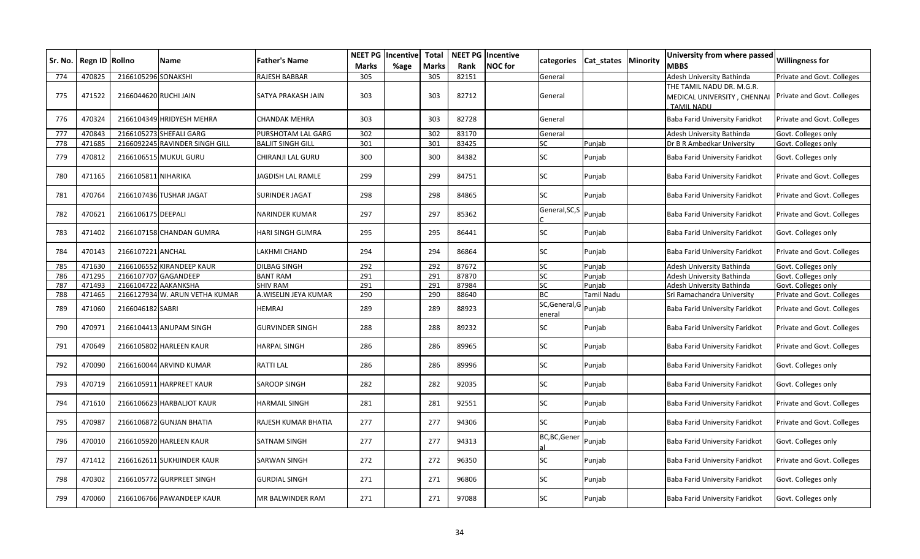| Sr. No. | Regn ID Rollno |                       | <b>Name</b>                    | <b>Father's Name</b>     | NEET PG<br><b>Marks</b> | Incentive<br>%age | <b>Total</b><br><b>Marks</b> | Rank  | <b>NEET PG Incentive</b><br><b>NOC</b> for | categories              | Cat states | <b>Minority</b> | University from where passed<br>MBBS                                            | <b>Willingness for</b>     |
|---------|----------------|-----------------------|--------------------------------|--------------------------|-------------------------|-------------------|------------------------------|-------|--------------------------------------------|-------------------------|------------|-----------------|---------------------------------------------------------------------------------|----------------------------|
| 774     | 470825         | 2166105296 SONAKSHI   |                                | <b>RAJESH BABBAR</b>     | 305                     |                   | 305                          | 82151 |                                            | General                 |            |                 | Adesh University Bathinda                                                       | Private and Govt. Colleges |
| 775     | 471522         | 2166044620 RUCHI JAIN |                                | SATYA PRAKASH JAIN       | 303                     |                   | 303                          | 82712 |                                            | General                 |            |                 | THE TAMIL NADU DR. M.G.R.<br>MEDICAL UNIVERSITY , CHENNAI<br><b>TAMII NADIJ</b> | Private and Govt. Colleges |
| 776     | 470324         |                       | 2166104349 HRIDYESH MEHRA      | <b>CHANDAK MEHRA</b>     | 303                     |                   | 303                          | 82728 |                                            | General                 |            |                 | Baba Farid University Faridkot                                                  | Private and Govt. Colleges |
| 777     | 470843         |                       | 2166105273 SHEFALI GARG        | PURSHOTAM LAL GARG       | 302                     |                   | 302                          | 83170 |                                            | General                 |            |                 | Adesh University Bathinda                                                       | Govt. Colleges only        |
| 778     | 471685         |                       | 2166092245 RAVINDER SINGH GILL | <b>BALJIT SINGH GILL</b> | 301                     |                   | 301                          | 83425 |                                            | SC                      | Puniab     |                 | Dr B R Ambedkar University                                                      | Govt. Colleges only        |
| 779     | 470812         |                       | 2166106515 MUKUL GURU          | CHIRANJI LAL GURU        | 300                     |                   | 300                          | 84382 |                                            | SC                      | Punjab     |                 | Baba Farid University Faridkot                                                  | Govt. Colleges only        |
| 780     | 471165         | 2166105811 NIHARIKA   |                                | JAGDISH LAL RAMLE        | 299                     |                   | 299                          | 84751 |                                            | SC                      | Punjab     |                 | Baba Farid University Faridkot                                                  | Private and Govt. Colleges |
| 781     | 470764         |                       | 2166107436 TUSHAR JAGAT        | <b>SURINDER JAGAT</b>    | 298                     |                   | 298                          | 84865 |                                            | SC                      | Punjab     |                 | Baba Farid University Faridkot                                                  | Private and Govt. Colleges |
| 782     | 470621         | 2166106175 DEEPALI    |                                | NARINDER KUMAR           | 297                     |                   | 297                          | 85362 |                                            | General, SC, S          | Punjab     |                 | Baba Farid University Faridkot                                                  | Private and Govt. Colleges |
| 783     | 471402         |                       | 2166107158 CHANDAN GUMRA       | HARI SINGH GUMRA         | 295                     |                   | 295                          | 86441 |                                            | <b>SC</b>               | Punjab     |                 | Baba Farid University Faridkot                                                  | Govt. Colleges only        |
| 784     | 470143         | 2166107221 ANCHAL     |                                | LAKHMI CHAND             | 294                     |                   | 294                          | 86864 |                                            | SC                      | Punjab     |                 | Baba Farid University Faridkot                                                  | Private and Govt. Colleges |
| 785     | 471630         |                       | 2166106552 KIRANDEEP KAUR      | DILBAG SINGH             | 292                     |                   | 292                          | 87672 |                                            | SC                      | Punjab     |                 | Adesh University Bathinda                                                       | Govt. Colleges only        |
| 786     | 471295         |                       | 2166107707 GAGANDEEP           | <b>BANT RAM</b>          | 291                     |                   | 291                          | 87870 |                                            | SC                      | Punjab     |                 | Adesh University Bathinda                                                       | Govt. Colleges only        |
| 787     | 471493         |                       | 2166104722 AAKANKSHA           | SHIV RAM                 | 291                     |                   | 291                          | 87984 |                                            | SC                      | Punjab     |                 | Adesh University Bathinda                                                       | Govt. Colleges only        |
| 788     | 471465         |                       | 2166127934 W. ARUN VETHA KUMAR | A.WISELIN JEYA KUMAR     | 290                     |                   | 290                          | 88640 |                                            | <b>BC</b>               | Tamil Nadu |                 | Sri Ramachandra University                                                      | Private and Govt. Colleges |
| 789     | 471060         | 2166046182 SABRI      |                                | HEMRAJ                   | 289                     |                   | 289                          | 88923 |                                            | SC, General, G<br>enera | Punjab     |                 | Baba Farid University Faridkot                                                  | Private and Govt. Colleges |
| 790     | 470971         |                       | 2166104413 ANUPAM SINGH        | <b>GURVINDER SINGH</b>   | 288                     |                   | 288                          | 89232 |                                            | SC                      | Punjab     |                 | Baba Farid University Faridkot                                                  | Private and Govt. Colleges |
| 791     | 470649         |                       | 2166105802 HARLEEN KAUR        | <b>HARPAL SINGH</b>      | 286                     |                   | 286                          | 89965 |                                            | SC                      | Punjab     |                 | Baba Farid University Faridkot                                                  | Private and Govt. Colleges |
| 792     | 470090         |                       | 2166160044 ARVIND KUMAR        | <b>RATTI LAL</b>         | 286                     |                   | 286                          | 89996 |                                            | SC                      | Punjab     |                 | Baba Farid University Faridkot                                                  | Govt. Colleges only        |
| 793     | 470719         |                       | 2166105911 HARPREET KAUR       | <b>SAROOP SINGH</b>      | 282                     |                   | 282                          | 92035 |                                            | SC.                     | Punjab     |                 | Baba Farid University Faridkot                                                  | Govt. Colleges only        |
| 794     | 471610         |                       | 2166106623 HARBALJOT KAUR      | <b>HARMAIL SINGH</b>     | 281                     |                   | 281                          | 92551 |                                            | SC                      | Punjab     |                 | Baba Farid University Faridkot                                                  | Private and Govt. Colleges |
| 795     | 470987         |                       | 2166106872 GUNJAN BHATIA       | RAJESH KUMAR BHATIA      | 277                     |                   | 277                          | 94306 |                                            | SC                      | Punjab     |                 | Baba Farid University Faridkot                                                  | Private and Govt. Colleges |
| 796     | 470010         |                       | 2166105920 HARLEEN KAUR        | SATNAM SINGH             | 277                     |                   | 277                          | 94313 |                                            | BC,BC,Gener             | Punjab     |                 | Baba Farid University Faridkot                                                  | Govt. Colleges only        |
| 797     | 471412         |                       | 2166162611 SUKHJINDER KAUR     | SARWAN SINGH             | 272                     |                   | 272                          | 96350 |                                            | SC                      | Punjab     |                 | Baba Farid University Faridkot                                                  | Private and Govt. Colleges |
| 798     | 470302         |                       | 2166105772 GURPREET SINGH      | <b>GURDIAL SINGH</b>     | 271                     |                   | 271                          | 96806 |                                            | SC                      | Punjab     |                 | Baba Farid University Faridkot                                                  | Govt. Colleges only        |
| 799     | 470060         |                       | 2166106766 PAWANDEEP KAUR      | MR BALWINDER RAM         | 271                     |                   | 271                          | 97088 |                                            | SC                      | Punjab     |                 | Baba Farid University Faridkot                                                  | Govt. Colleges only        |